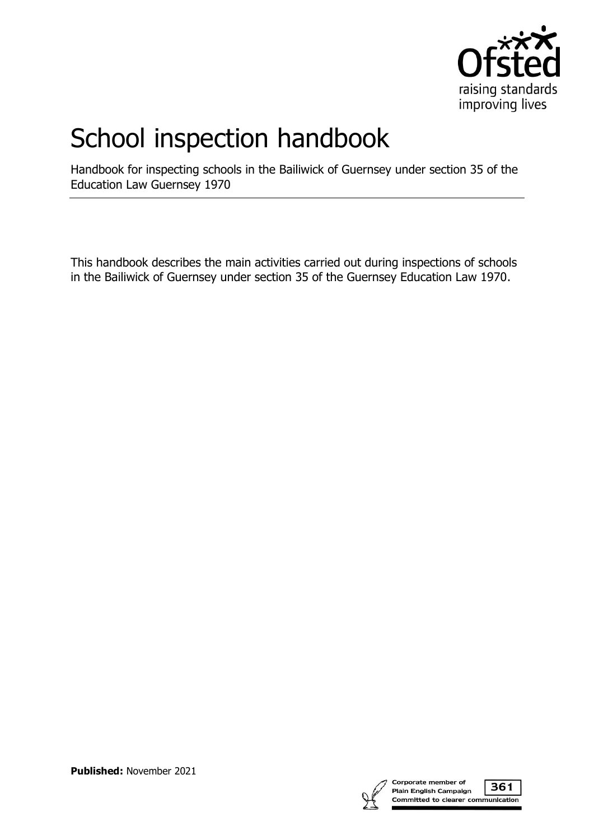

## School inspection handbook

Handbook for inspecting schools in the Bailiwick of Guernsey under section 35 of the Education Law Guernsey 1970

This handbook describes the main activities carried out during inspections of schools in the Bailiwick of Guernsey under section 35 of the Guernsey Education Law 1970.



**Published:** November 2021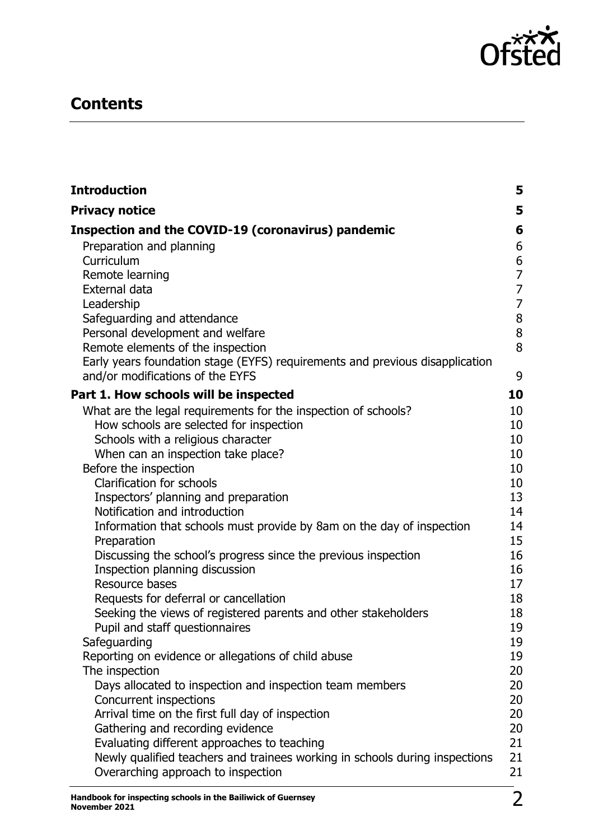

## **Contents**

| <b>Introduction</b>                                                                                              | 5              |
|------------------------------------------------------------------------------------------------------------------|----------------|
| <b>Privacy notice</b>                                                                                            | 5              |
| Inspection and the COVID-19 (coronavirus) pandemic                                                               | 6              |
| Preparation and planning                                                                                         | 6              |
| Curriculum                                                                                                       | $\frac{6}{7}$  |
| Remote learning                                                                                                  |                |
| External data                                                                                                    | $\overline{7}$ |
| Leadership                                                                                                       | $\overline{7}$ |
| Safeguarding and attendance                                                                                      | 8              |
| Personal development and welfare                                                                                 | 8              |
| Remote elements of the inspection                                                                                | 8              |
| Early years foundation stage (EYFS) requirements and previous disapplication<br>and/or modifications of the EYFS | 9              |
| Part 1. How schools will be inspected                                                                            | 10             |
| What are the legal requirements for the inspection of schools?                                                   | 10             |
| How schools are selected for inspection                                                                          | 10             |
| Schools with a religious character                                                                               | 10             |
| When can an inspection take place?                                                                               | 10             |
| Before the inspection                                                                                            | 10             |
| <b>Clarification for schools</b>                                                                                 | 10             |
| Inspectors' planning and preparation                                                                             | 13             |
| Notification and introduction                                                                                    | 14             |
| Information that schools must provide by 8am on the day of inspection                                            | 14<br>15       |
| Preparation                                                                                                      | 16             |
| Discussing the school's progress since the previous inspection<br>Inspection planning discussion                 | 16             |
| Resource bases                                                                                                   | 17             |
| Requests for deferral or cancellation                                                                            | 18             |
| Seeking the views of registered parents and other stakeholders                                                   | 18             |
| Pupil and staff questionnaires                                                                                   | 19             |
| Safeguarding                                                                                                     | 19             |
| Reporting on evidence or allegations of child abuse                                                              | 19             |
| The inspection                                                                                                   | 20             |
| Days allocated to inspection and inspection team members                                                         | 20             |
| Concurrent inspections                                                                                           | 20             |
| Arrival time on the first full day of inspection                                                                 | 20             |
| Gathering and recording evidence                                                                                 | 20             |
| Evaluating different approaches to teaching                                                                      | 21             |
| Newly qualified teachers and trainees working in schools during inspections                                      | 21             |
| Overarching approach to inspection                                                                               | 21             |
| Handbook for incoacting schools in the Bailiwick of Guernsey                                                     | า              |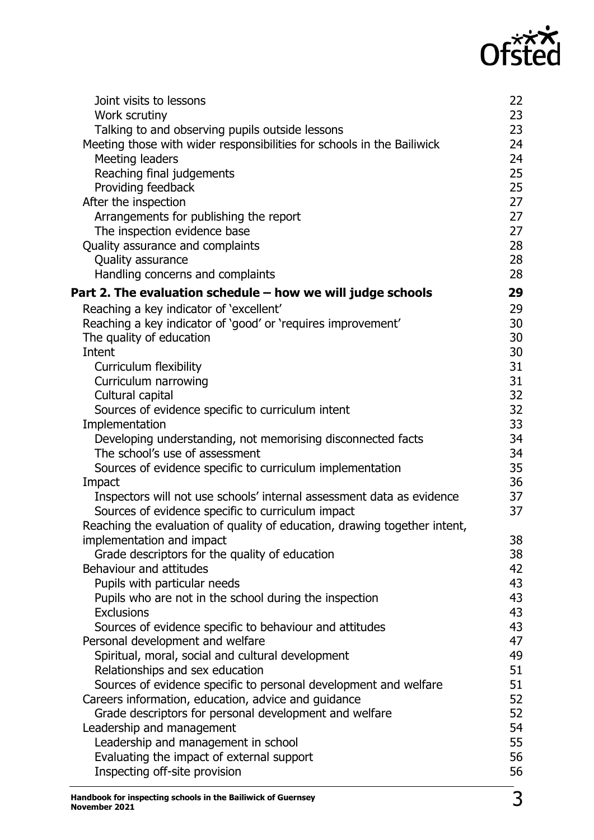# Ofsted

| Joint visits to lessons<br>Work scrutiny<br>Talking to and observing pupils outside lessons<br>Meeting those with wider responsibilities for schools in the Bailiwick<br>Meeting leaders<br>Reaching final judgements<br>Providing feedback<br>After the inspection<br>Arrangements for publishing the report<br>The inspection evidence base<br>Quality assurance and complaints<br>Quality assurance<br>Handling concerns and complaints                                                                                                                                                                                                                                    | 22<br>23<br>23<br>24<br>24<br>25<br>25<br>27<br>27<br>27<br>28<br>28<br>28                   |
|-------------------------------------------------------------------------------------------------------------------------------------------------------------------------------------------------------------------------------------------------------------------------------------------------------------------------------------------------------------------------------------------------------------------------------------------------------------------------------------------------------------------------------------------------------------------------------------------------------------------------------------------------------------------------------|----------------------------------------------------------------------------------------------|
| Part 2. The evaluation schedule - how we will judge schools                                                                                                                                                                                                                                                                                                                                                                                                                                                                                                                                                                                                                   | 29                                                                                           |
| Reaching a key indicator of 'excellent'<br>Reaching a key indicator of 'good' or 'requires improvement'<br>The quality of education<br>Intent<br>Curriculum flexibility<br>Curriculum narrowing<br>Cultural capital<br>Sources of evidence specific to curriculum intent<br>Implementation<br>Developing understanding, not memorising disconnected facts<br>The school's use of assessment<br>Sources of evidence specific to curriculum implementation<br>Impact<br>Inspectors will not use schools' internal assessment data as evidence<br>Sources of evidence specific to curriculum impact<br>Reaching the evaluation of quality of education, drawing together intent, | 29<br>30<br>30<br>30<br>31<br>31<br>32<br>32<br>33<br>34<br>34<br>35<br>36<br>37<br>37<br>38 |
| implementation and impact<br>Grade descriptors for the quality of education                                                                                                                                                                                                                                                                                                                                                                                                                                                                                                                                                                                                   | 38                                                                                           |
| <b>Behaviour and attitudes</b>                                                                                                                                                                                                                                                                                                                                                                                                                                                                                                                                                                                                                                                | 42                                                                                           |
| Pupils with particular needs                                                                                                                                                                                                                                                                                                                                                                                                                                                                                                                                                                                                                                                  | 43                                                                                           |
| Pupils who are not in the school during the inspection<br><b>Exclusions</b>                                                                                                                                                                                                                                                                                                                                                                                                                                                                                                                                                                                                   | 43<br>43                                                                                     |
| Sources of evidence specific to behaviour and attitudes                                                                                                                                                                                                                                                                                                                                                                                                                                                                                                                                                                                                                       | 43                                                                                           |
| Personal development and welfare                                                                                                                                                                                                                                                                                                                                                                                                                                                                                                                                                                                                                                              | 47                                                                                           |
| Spiritual, moral, social and cultural development                                                                                                                                                                                                                                                                                                                                                                                                                                                                                                                                                                                                                             | 49                                                                                           |
| Relationships and sex education<br>Sources of evidence specific to personal development and welfare                                                                                                                                                                                                                                                                                                                                                                                                                                                                                                                                                                           | 51<br>51                                                                                     |
| Careers information, education, advice and guidance                                                                                                                                                                                                                                                                                                                                                                                                                                                                                                                                                                                                                           | 52                                                                                           |
| Grade descriptors for personal development and welfare                                                                                                                                                                                                                                                                                                                                                                                                                                                                                                                                                                                                                        | 52                                                                                           |
| Leadership and management<br>Leadership and management in school                                                                                                                                                                                                                                                                                                                                                                                                                                                                                                                                                                                                              | 54<br>55                                                                                     |
| Evaluating the impact of external support                                                                                                                                                                                                                                                                                                                                                                                                                                                                                                                                                                                                                                     | 56                                                                                           |
| Inspecting off-site provision                                                                                                                                                                                                                                                                                                                                                                                                                                                                                                                                                                                                                                                 | 56                                                                                           |
|                                                                                                                                                                                                                                                                                                                                                                                                                                                                                                                                                                                                                                                                               |                                                                                              |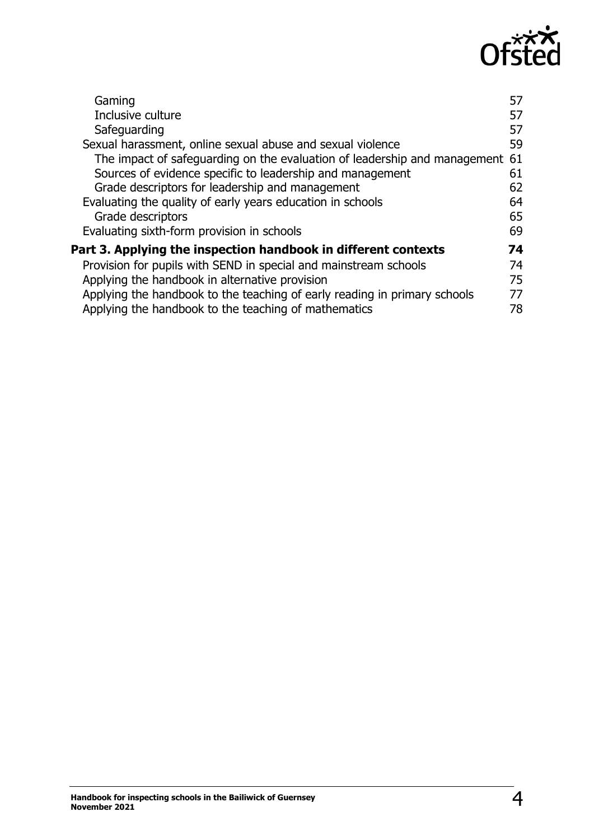

| Gaming                                                                       | 57 |
|------------------------------------------------------------------------------|----|
| Inclusive culture                                                            | 57 |
| Safeguarding                                                                 | 57 |
| Sexual harassment, online sexual abuse and sexual violence                   | 59 |
| The impact of safeguarding on the evaluation of leadership and management 61 |    |
| Sources of evidence specific to leadership and management                    | 61 |
| Grade descriptors for leadership and management                              | 62 |
| Evaluating the quality of early years education in schools                   | 64 |
| Grade descriptors                                                            | 65 |
| Evaluating sixth-form provision in schools                                   | 69 |
| Part 3. Applying the inspection handbook in different contexts               | 74 |
| Provision for pupils with SEND in special and mainstream schools             | 74 |
| Applying the handbook in alternative provision                               | 75 |
| Applying the handbook to the teaching of early reading in primary schools    | 77 |
| Applying the handbook to the teaching of mathematics                         | 78 |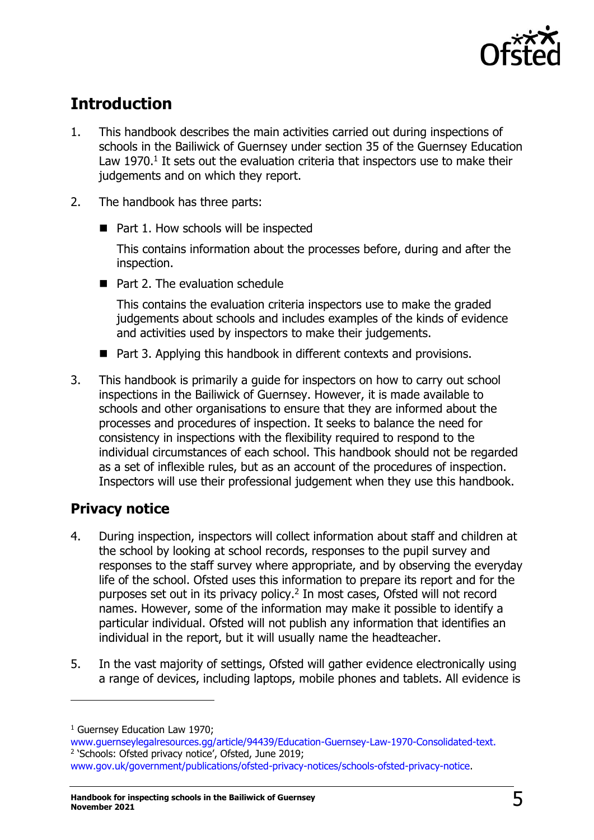

## <span id="page-4-0"></span>**Introduction**

- 1. This handbook describes the main activities carried out during inspections of schools in the Bailiwick of Guernsey under section 35 of the Guernsey Education Law  $1970.<sup>1</sup>$  It sets out the evaluation criteria that inspectors use to make their judgements and on which they report.
- 2. The handbook has three parts:
	- Part 1. How schools will be inspected

This contains information about the processes before, during and after the inspection.

■ Part 2. The evaluation schedule

This contains the evaluation criteria inspectors use to make the graded judgements about schools and includes examples of the kinds of evidence and activities used by inspectors to make their judgements.

- Part 3. Applying this handbook in different contexts and provisions.
- 3. This handbook is primarily a guide for inspectors on how to carry out school inspections in the Bailiwick of Guernsey. However, it is made available to schools and other organisations to ensure that they are informed about the processes and procedures of inspection. It seeks to balance the need for consistency in inspections with the flexibility required to respond to the individual circumstances of each school. This handbook should not be regarded as a set of inflexible rules, but as an account of the procedures of inspection. Inspectors will use their professional judgement when they use this handbook.

## <span id="page-4-1"></span>**Privacy notice**

- 4. During inspection, inspectors will collect information about staff and children at the school by looking at school records, responses to the pupil survey and responses to the staff survey where appropriate, and by observing the everyday life of the school. Ofsted uses this information to prepare its report and for the purposes set out in its privacy policy.<sup>2</sup> In most cases, Ofsted will not record names. However, some of the information may make it possible to identify a particular individual. Ofsted will not publish any information that identifies an individual in the report, but it will usually name the headteacher.
- 5. In the vast majority of settings, Ofsted will gather evidence electronically using a range of devices, including laptops, mobile phones and tablets. All evidence is

[www.guernseylegalresources.gg/article/94439/Education-Guernsey-Law-1970-Consolidated-text.](http://www.guernseylegalresources.gg/article/94439/Education-Guernsey-Law-1970-Consolidated-text) 2 'Schools: Ofsted privacy notice', Ofsted, June 2019;

[www.gov.uk/government/publications/ofsted-privacy-notices/schools-ofsted-privacy-notice.](https://www.gov.uk/government/publications/ofsted-privacy-notices/schools-ofsted-privacy-notice)

<sup>&</sup>lt;sup>1</sup> Guernsey Education Law 1970: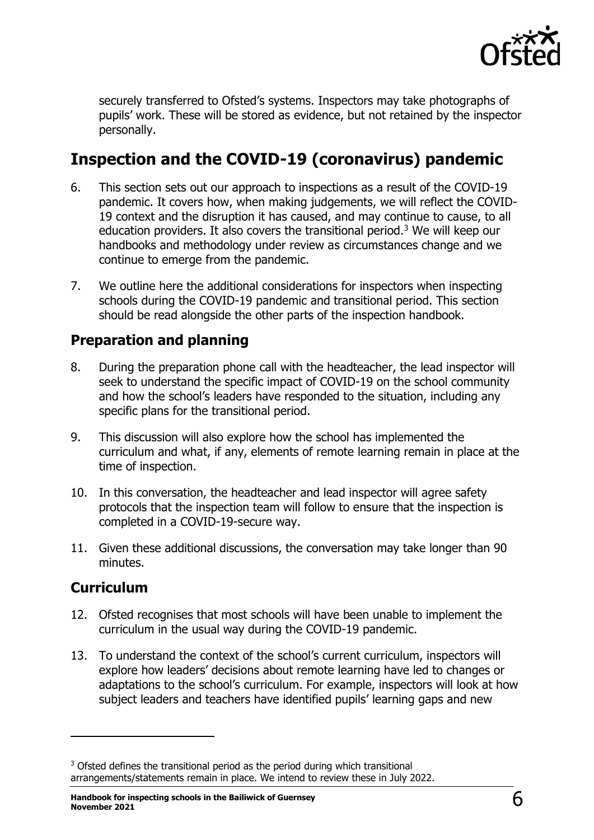

securely transferred to Ofsted's systems. Inspectors may take photographs of pupils' work. These will be stored as evidence, but not retained by the inspector personally.

## <span id="page-5-0"></span>**Inspection and the COVID-19 (coronavirus) pandemic**

- 6. This section sets out our approach to inspections as a result of the COVID-19 pandemic. It covers how, when making judgements, we will reflect the COVID-19 context and the disruption it has caused, and may continue to cause, to all education providers. It also covers the transitional period.<sup>3</sup> We will keep our handbooks and methodology under review as circumstances change and we continue to emerge from the pandemic.
- 7. We outline here the additional considerations for inspectors when inspecting schools during the COVID-19 pandemic and transitional period. This section should be read alongside the other parts of the inspection handbook.

## <span id="page-5-1"></span>**Preparation and planning**

- 8. During the preparation phone call with the headteacher, the lead inspector will seek to understand the specific impact of COVID-19 on the school community and how the school's leaders have responded to the situation, including any specific plans for the transitional period.
- 9. This discussion will also explore how the school has implemented the curriculum and what, if any, elements of remote learning remain in place at the time of inspection.
- 10. In this conversation, the headteacher and lead inspector will agree safety protocols that the inspection team will follow to ensure that the inspection is completed in a COVID-19-secure way.
- 11. Given these additional discussions, the conversation may take longer than 90 minutes.

## <span id="page-5-2"></span>**Curriculum**

- 12. Ofsted recognises that most schools will have been unable to implement the curriculum in the usual way during the COVID-19 pandemic.
- 13. To understand the context of the school's current curriculum, inspectors will explore how leaders' decisions about remote learning have led to changes or adaptations to the school's curriculum. For example, inspectors will look at how subject leaders and teachers have identified pupils' learning gaps and new

<sup>&</sup>lt;sup>3</sup> Ofsted defines the transitional period as the period during which transitional arrangements/statements remain in place. We intend to review these in July 2022.

**Handbook for inspecting schools in the Bailiwick of Guernsey November <sup>2021</sup>** 6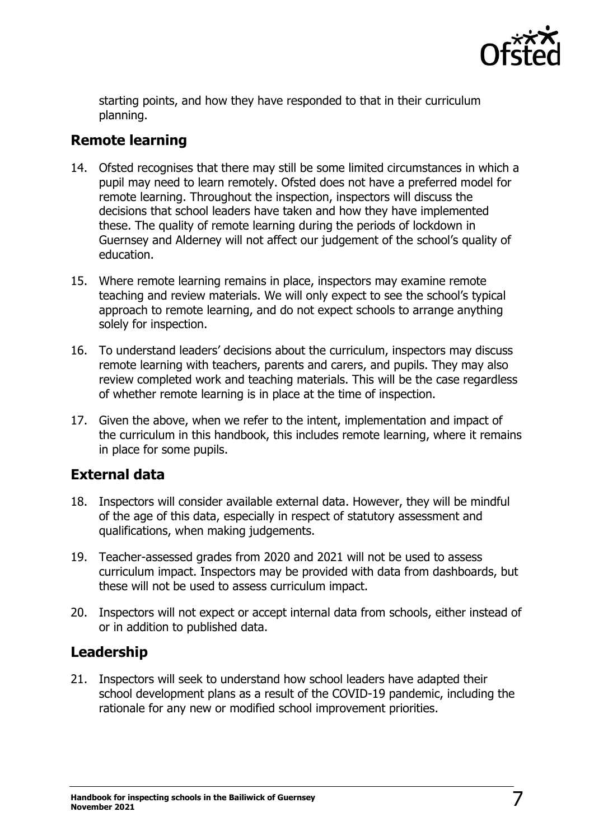

starting points, and how they have responded to that in their curriculum planning.

### <span id="page-6-0"></span>**Remote learning**

- 14. Ofsted recognises that there may still be some limited circumstances in which a pupil may need to learn remotely. Ofsted does not have a preferred model for remote learning. Throughout the inspection, inspectors will discuss the decisions that school leaders have taken and how they have implemented these. The quality of remote learning during the periods of lockdown in Guernsey and Alderney will not affect our judgement of the school's quality of education.
- 15. Where remote learning remains in place, inspectors may examine remote teaching and review materials. We will only expect to see the school's typical approach to remote learning, and do not expect schools to arrange anything solely for inspection.
- 16. To understand leaders' decisions about the curriculum, inspectors may discuss remote learning with teachers, parents and carers, and pupils. They may also review completed work and teaching materials. This will be the case regardless of whether remote learning is in place at the time of inspection.
- 17. Given the above, when we refer to the intent, implementation and impact of the curriculum in this handbook, this includes remote learning, where it remains in place for some pupils.

#### <span id="page-6-1"></span>**External data**

- 18. Inspectors will consider available external data. However, they will be mindful of the age of this data, especially in respect of statutory assessment and qualifications, when making judgements.
- 19. Teacher-assessed grades from 2020 and 2021 will not be used to assess curriculum impact. Inspectors may be provided with data from dashboards, but these will not be used to assess curriculum impact.
- 20. Inspectors will not expect or accept internal data from schools, either instead of or in addition to published data.

## <span id="page-6-2"></span>**Leadership**

21. Inspectors will seek to understand how school leaders have adapted their school development plans as a result of the COVID-19 pandemic, including the rationale for any new or modified school improvement priorities.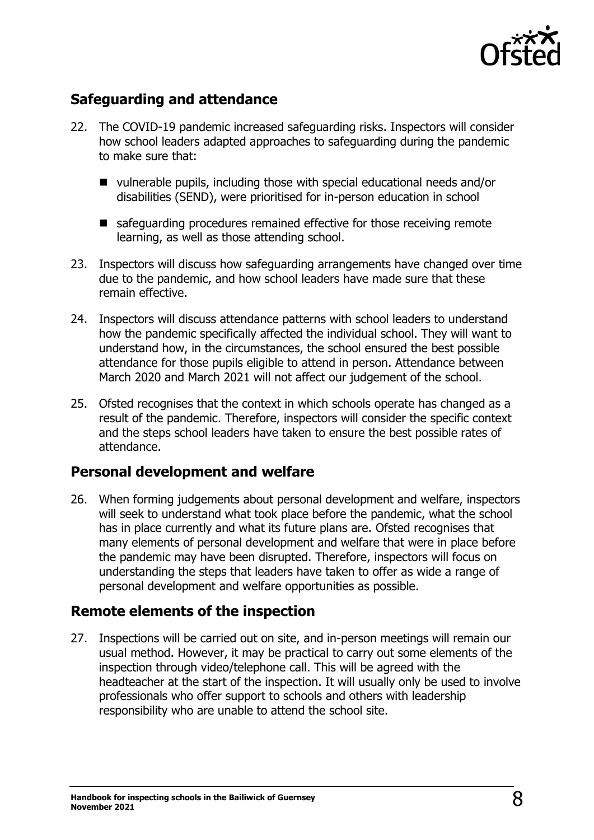

## <span id="page-7-0"></span>**Safeguarding and attendance**

- 22. The COVID-19 pandemic increased safeguarding risks. Inspectors will consider how school leaders adapted approaches to safeguarding during the pandemic to make sure that:
	- vulnerable pupils, including those with special educational needs and/or disabilities (SEND), were prioritised for in-person education in school
	- safeguarding procedures remained effective for those receiving remote learning, as well as those attending school.
- 23. Inspectors will discuss how safeguarding arrangements have changed over time due to the pandemic, and how school leaders have made sure that these remain effective.
- 24. Inspectors will discuss attendance patterns with school leaders to understand how the pandemic specifically affected the individual school. They will want to understand how, in the circumstances, the school ensured the best possible attendance for those pupils eligible to attend in person. Attendance between March 2020 and March 2021 will not affect our judgement of the school.
- 25. Ofsted recognises that the context in which schools operate has changed as a result of the pandemic. Therefore, inspectors will consider the specific context and the steps school leaders have taken to ensure the best possible rates of attendance.

#### <span id="page-7-1"></span>**Personal development and welfare**

26. When forming judgements about personal development and welfare, inspectors will seek to understand what took place before the pandemic, what the school has in place currently and what its future plans are. Ofsted recognises that many elements of personal development and welfare that were in place before the pandemic may have been disrupted. Therefore, inspectors will focus on understanding the steps that leaders have taken to offer as wide a range of personal development and welfare opportunities as possible.

## <span id="page-7-2"></span>**Remote elements of the inspection**

27. Inspections will be carried out on site, and in-person meetings will remain our usual method. However, it may be practical to carry out some elements of the inspection through video/telephone call. This will be agreed with the headteacher at the start of the inspection. It will usually only be used to involve professionals who offer support to schools and others with leadership responsibility who are unable to attend the school site.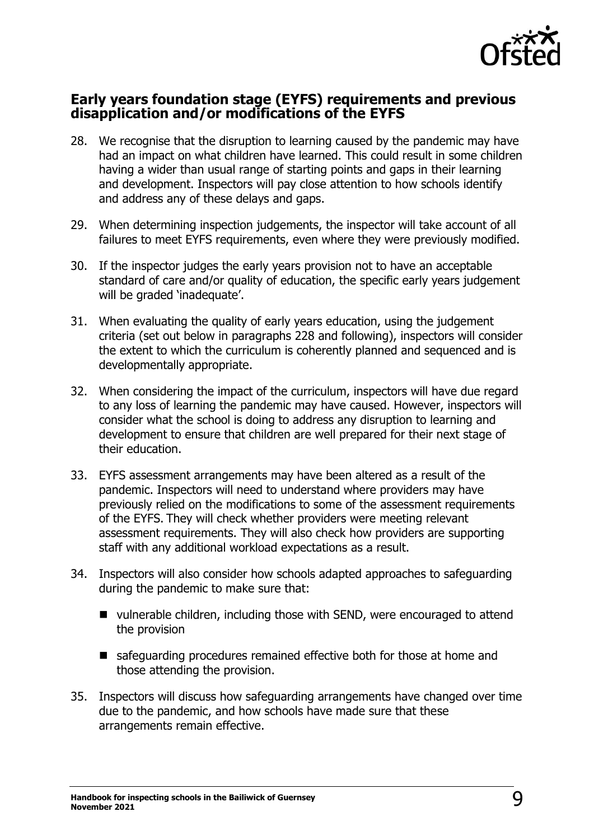

#### <span id="page-8-0"></span>**Early years foundation stage (EYFS) requirements and previous disapplication and/or modifications of the EYFS**

- 28. We recognise that the disruption to learning caused by the pandemic may have had an impact on what children have learned. This could result in some children having a wider than usual range of starting points and gaps in their learning and development. Inspectors will pay close attention to how schools identify and address any of these delays and gaps.
- 29. When determining inspection judgements, the inspector will take account of all failures to meet EYFS requirements, even where they were previously modified.
- 30. If the inspector judges the early years provision not to have an acceptable standard of care and/or quality of education, the specific early years judgement will be graded 'inadequate'.
- 31. When evaluating the quality of early years education, using the judgement criteria (set out below in paragraphs 228 and following), inspectors will consider the extent to which the curriculum is coherently planned and sequenced and is developmentally appropriate.
- 32. When considering the impact of the curriculum, inspectors will have due regard to any loss of learning the pandemic may have caused. However, inspectors will consider what the school is doing to address any disruption to learning and development to ensure that children are well prepared for their next stage of their education.
- 33. EYFS assessment arrangements may have been altered as a result of the pandemic. Inspectors will need to understand where providers may have previously relied on the modifications to some of the assessment requirements of the EYFS. They will check whether providers were meeting relevant assessment requirements. They will also check how providers are supporting staff with any additional workload expectations as a result.
- 34. Inspectors will also consider how schools adapted approaches to safeguarding during the pandemic to make sure that:
	- vulnerable children, including those with SEND, were encouraged to attend the provision
	- safeguarding procedures remained effective both for those at home and those attending the provision.
- 35. Inspectors will discuss how safeguarding arrangements have changed over time due to the pandemic, and how schools have made sure that these arrangements remain effective.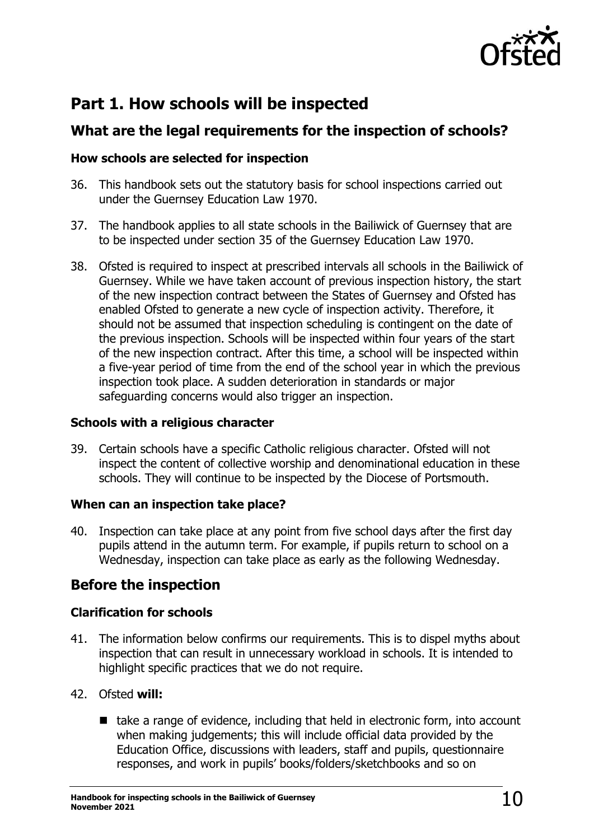

## <span id="page-9-0"></span>**Part 1. How schools will be inspected**

## <span id="page-9-1"></span>**What are the legal requirements for the inspection of schools?**

#### <span id="page-9-2"></span>**How schools are selected for inspection**

- 36. This handbook sets out the statutory basis for school inspections carried out under the Guernsey Education Law 1970.
- 37. The handbook applies to all state schools in the Bailiwick of Guernsey that are to be inspected under section 35 of the Guernsey Education Law 1970.
- 38. Ofsted is required to inspect at prescribed intervals all schools in the Bailiwick of Guernsey. While we have taken account of previous inspection history, the start of the new inspection contract between the States of Guernsey and Ofsted has enabled Ofsted to generate a new cycle of inspection activity. Therefore, it should not be assumed that inspection scheduling is contingent on the date of the previous inspection. Schools will be inspected within four years of the start of the new inspection contract. After this time, a school will be inspected within a five-year period of time from the end of the school year in which the previous inspection took place. A sudden deterioration in standards or major safeguarding concerns would also trigger an inspection.

#### <span id="page-9-3"></span>**Schools with a religious character**

39. Certain schools have a specific Catholic religious character. Ofsted will not inspect the content of collective worship and denominational education in these schools. They will continue to be inspected by the Diocese of Portsmouth.

#### <span id="page-9-4"></span>**When can an inspection take place?**

40. Inspection can take place at any point from five school days after the first day pupils attend in the autumn term. For example, if pupils return to school on a Wednesday, inspection can take place as early as the following Wednesday.

## <span id="page-9-5"></span>**Before the inspection**

#### <span id="page-9-6"></span>**Clarification for schools**

41. The information below confirms our requirements. This is to dispel myths about inspection that can result in unnecessary workload in schools. It is intended to highlight specific practices that we do not require.

#### 42. Ofsted **will:**

■ take a range of evidence, including that held in electronic form, into account when making judgements; this will include official data provided by the Education Office, discussions with leaders, staff and pupils, questionnaire responses, and work in pupils' books/folders/sketchbooks and so on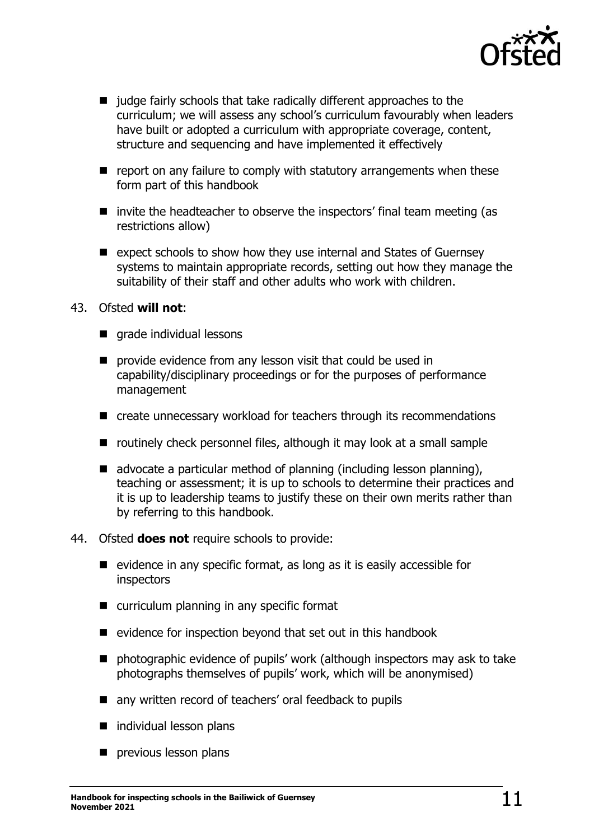

- judge fairly schools that take radically different approaches to the curriculum; we will assess any school's curriculum favourably when leaders have built or adopted a curriculum with appropriate coverage, content, structure and sequencing and have implemented it effectively
- report on any failure to comply with statutory arrangements when these form part of this handbook
- invite the headteacher to observe the inspectors' final team meeting (as restrictions allow)
- expect schools to show how they use internal and States of Guernsey systems to maintain appropriate records, setting out how they manage the suitability of their staff and other adults who work with children.

#### 43. Ofsted **will not**:

- grade individual lessons
- provide evidence from any lesson visit that could be used in capability/disciplinary proceedings or for the purposes of performance management
- create unnecessary workload for teachers through its recommendations
- routinely check personnel files, although it may look at a small sample
- $\blacksquare$  advocate a particular method of planning (including lesson planning), teaching or assessment; it is up to schools to determine their practices and it is up to leadership teams to justify these on their own merits rather than by referring to this handbook.
- 44. Ofsted **does not** require schools to provide:
	- evidence in any specific format, as long as it is easily accessible for inspectors
	- curriculum planning in any specific format
	- evidence for inspection beyond that set out in this handbook
	- photographic evidence of pupils' work (although inspectors may ask to take photographs themselves of pupils' work, which will be anonymised)
	- any written record of teachers' oral feedback to pupils
	- individual lesson plans
	- previous lesson plans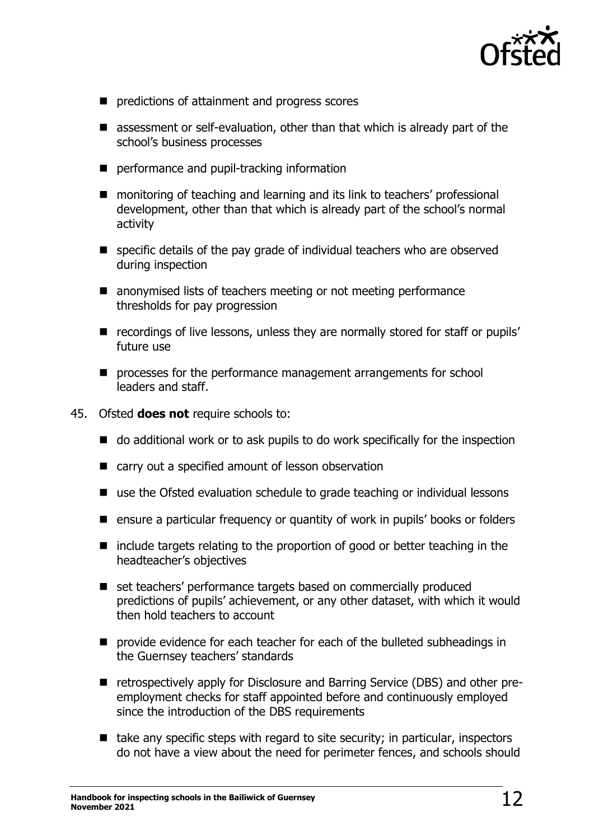

- predictions of attainment and progress scores
- assessment or self-evaluation, other than that which is already part of the school's business processes
- performance and pupil-tracking information
- monitoring of teaching and learning and its link to teachers' professional development, other than that which is already part of the school's normal activity
- specific details of the pay grade of individual teachers who are observed during inspection
- anonymised lists of teachers meeting or not meeting performance thresholds for pay progression
- recordings of live lessons, unless they are normally stored for staff or pupils' future use
- processes for the performance management arrangements for school leaders and staff.
- 45. Ofsted **does not** require schools to:
	- do additional work or to ask pupils to do work specifically for the inspection
	- carry out a specified amount of lesson observation
	- use the Ofsted evaluation schedule to grade teaching or individual lessons
	- ensure a particular frequency or quantity of work in pupils' books or folders
	- include targets relating to the proportion of good or better teaching in the headteacher's objectives
	- set teachers' performance targets based on commercially produced predictions of pupils' achievement, or any other dataset, with which it would then hold teachers to account
	- provide evidence for each teacher for each of the bulleted subheadings in the Guernsey teachers' standards
	- retrospectively apply for Disclosure and Barring Service (DBS) and other preemployment checks for staff appointed before and continuously employed since the introduction of the DBS requirements
	- $\blacksquare$  take any specific steps with regard to site security; in particular, inspectors do not have a view about the need for perimeter fences, and schools should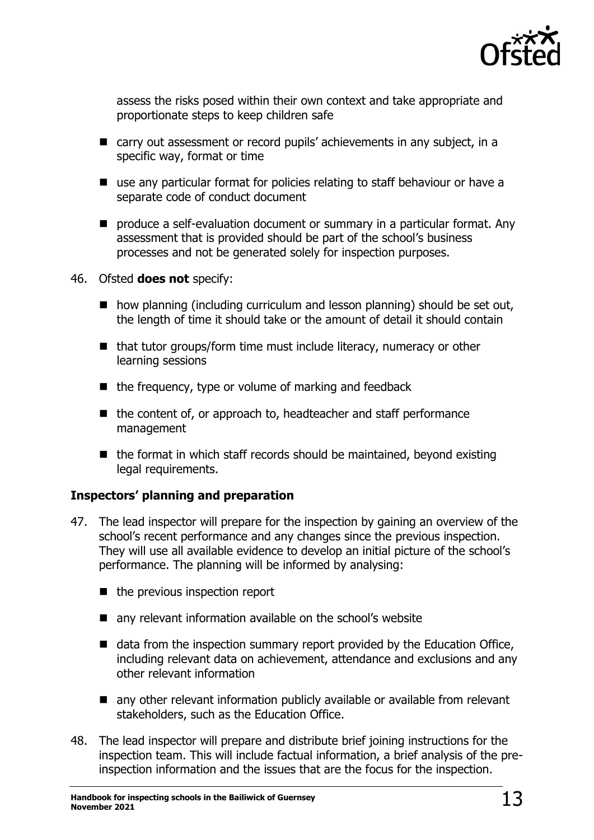

assess the risks posed within their own context and take appropriate and proportionate steps to keep children safe

- carry out assessment or record pupils' achievements in any subject, in a specific way, format or time
- use any particular format for policies relating to staff behaviour or have a separate code of conduct document
- produce a self-evaluation document or summary in a particular format. Any assessment that is provided should be part of the school's business processes and not be generated solely for inspection purposes.

#### 46. Ofsted **does not** specify:

- how planning (including curriculum and lesson planning) should be set out, the length of time it should take or the amount of detail it should contain
- that tutor groups/form time must include literacy, numeracy or other learning sessions
- the frequency, type or volume of marking and feedback
- the content of, or approach to, headteacher and staff performance management
- $\blacksquare$  the format in which staff records should be maintained, beyond existing legal requirements.

#### <span id="page-12-0"></span>**Inspectors' planning and preparation**

- 47. The lead inspector will prepare for the inspection by gaining an overview of the school's recent performance and any changes since the previous inspection. They will use all available evidence to develop an initial picture of the school's performance. The planning will be informed by analysing:
	- the previous inspection report
	- any relevant information available on the school's website
	- data from the inspection summary report provided by the Education Office, including relevant data on achievement, attendance and exclusions and any other relevant information
	- any other relevant information publicly available or available from relevant stakeholders, such as the Education Office.
- 48. The lead inspector will prepare and distribute brief joining instructions for the inspection team. This will include factual information, a brief analysis of the preinspection information and the issues that are the focus for the inspection.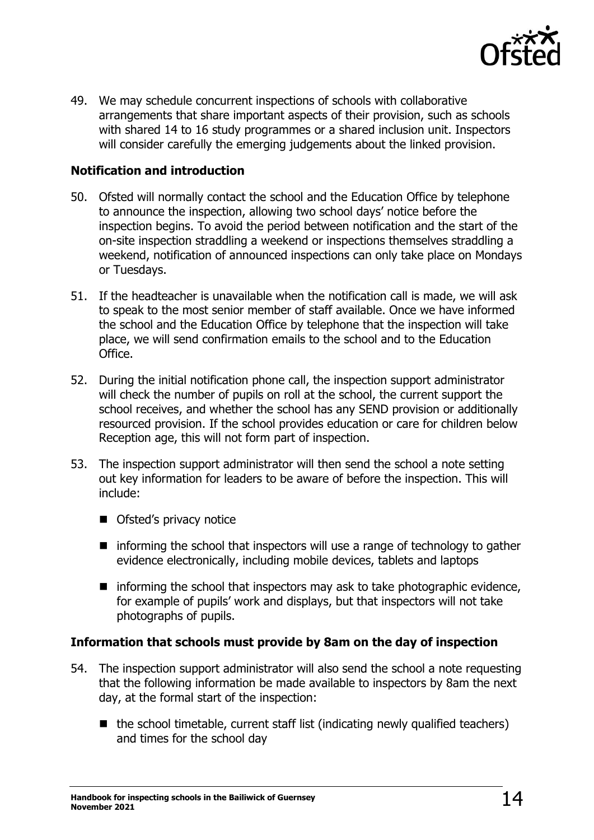

49. We may schedule concurrent inspections of schools with collaborative arrangements that share important aspects of their provision, such as schools with shared 14 to 16 study programmes or a shared inclusion unit. Inspectors will consider carefully the emerging judgements about the linked provision.

#### <span id="page-13-0"></span>**Notification and introduction**

- 50. Ofsted will normally contact the school and the Education Office by telephone to announce the inspection, allowing two school days' notice before the inspection begins. To avoid the period between notification and the start of the on-site inspection straddling a weekend or inspections themselves straddling a weekend, notification of announced inspections can only take place on Mondays or Tuesdays.
- 51. If the headteacher is unavailable when the notification call is made, we will ask to speak to the most senior member of staff available. Once we have informed the school and the Education Office by telephone that the inspection will take place, we will send confirmation emails to the school and to the Education Office.
- 52. During the initial notification phone call, the inspection support administrator will check the number of pupils on roll at the school, the current support the school receives, and whether the school has any SEND provision or additionally resourced provision. If the school provides education or care for children below Reception age, this will not form part of inspection.
- 53. The inspection support administrator will then send the school a note setting out key information for leaders to be aware of before the inspection. This will include:
	- Ofsted's privacy notice
	- informing the school that inspectors will use a range of technology to gather evidence electronically, including mobile devices, tablets and laptops
	- $\blacksquare$  informing the school that inspectors may ask to take photographic evidence, for example of pupils' work and displays, but that inspectors will not take photographs of pupils.

#### <span id="page-13-1"></span>**Information that schools must provide by 8am on the day of inspection**

- 54. The inspection support administrator will also send the school a note requesting that the following information be made available to inspectors by 8am the next day, at the formal start of the inspection:
	- $\blacksquare$  the school timetable, current staff list (indicating newly qualified teachers) and times for the school day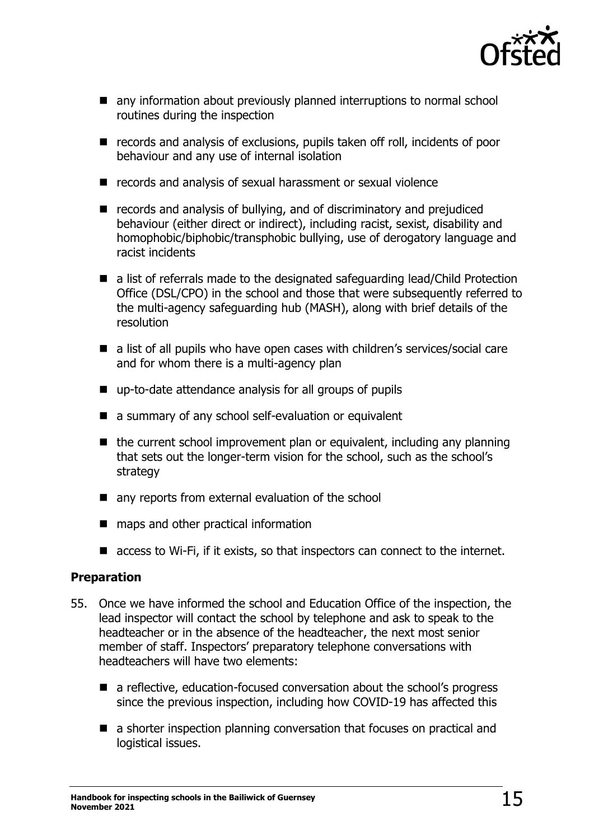

- any information about previously planned interruptions to normal school routines during the inspection
- records and analysis of exclusions, pupils taken off roll, incidents of poor behaviour and any use of internal isolation
- records and analysis of sexual harassment or sexual violence
- records and analysis of bullying, and of discriminatory and prejudiced behaviour (either direct or indirect), including racist, sexist, disability and homophobic/biphobic/transphobic bullying, use of derogatory language and racist incidents
- a list of referrals made to the designated safeguarding lead/Child Protection Office (DSL/CPO) in the school and those that were subsequently referred to the multi-agency safeguarding hub (MASH), along with brief details of the resolution
- a list of all pupils who have open cases with children's services/social care and for whom there is a multi-agency plan
- up-to-date attendance analysis for all groups of pupils
- a summary of any school self-evaluation or equivalent
- the current school improvement plan or equivalent, including any planning that sets out the longer-term vision for the school, such as the school's strategy
- any reports from external evaluation of the school
- maps and other practical information
- access to Wi-Fi, if it exists, so that inspectors can connect to the internet.

#### <span id="page-14-0"></span>**Preparation**

- 55. Once we have informed the school and Education Office of the inspection, the lead inspector will contact the school by telephone and ask to speak to the headteacher or in the absence of the headteacher, the next most senior member of staff. Inspectors' preparatory telephone conversations with headteachers will have two elements:
	- a reflective, education-focused conversation about the school's progress since the previous inspection, including how COVID-19 has affected this
	- a shorter inspection planning conversation that focuses on practical and logistical issues.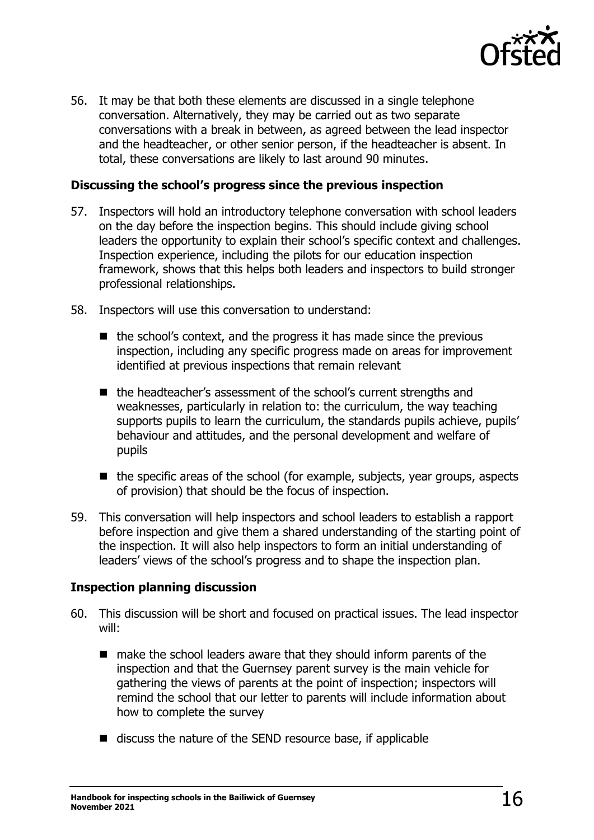

56. It may be that both these elements are discussed in a single telephone conversation. Alternatively, they may be carried out as two separate conversations with a break in between, as agreed between the lead inspector and the headteacher, or other senior person, if the headteacher is absent. In total, these conversations are likely to last around 90 minutes.

#### <span id="page-15-0"></span>**Discussing the school's progress since the previous inspection**

- 57. Inspectors will hold an introductory telephone conversation with school leaders on the day before the inspection begins. This should include giving school leaders the opportunity to explain their school's specific context and challenges. Inspection experience, including the pilots for our education inspection framework, shows that this helps both leaders and inspectors to build stronger professional relationships.
- 58. Inspectors will use this conversation to understand:
	- $\blacksquare$  the school's context, and the progress it has made since the previous inspection, including any specific progress made on areas for improvement identified at previous inspections that remain relevant
	- the headteacher's assessment of the school's current strengths and weaknesses, particularly in relation to: the curriculum, the way teaching supports pupils to learn the curriculum, the standards pupils achieve, pupils' behaviour and attitudes, and the personal development and welfare of pupils
	- $\blacksquare$  the specific areas of the school (for example, subjects, year groups, aspects of provision) that should be the focus of inspection.
- 59. This conversation will help inspectors and school leaders to establish a rapport before inspection and give them a shared understanding of the starting point of the inspection. It will also help inspectors to form an initial understanding of leaders' views of the school's progress and to shape the inspection plan.

#### <span id="page-15-1"></span>**Inspection planning discussion**

- 60. This discussion will be short and focused on practical issues. The lead inspector will:
	- make the school leaders aware that they should inform parents of the inspection and that the Guernsey parent survey is the main vehicle for gathering the views of parents at the point of inspection; inspectors will remind the school that our letter to parents will include information about how to complete the survey
	- discuss the nature of the SEND resource base, if applicable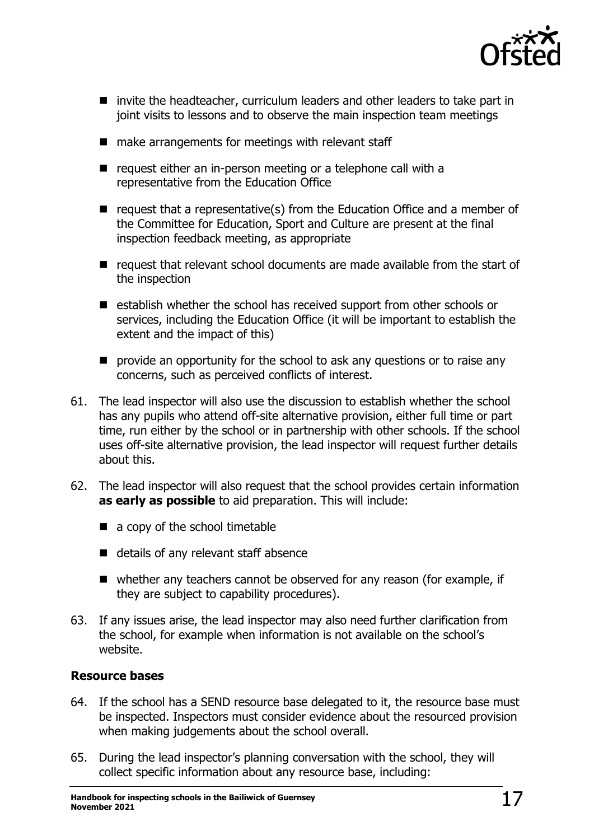

- invite the headteacher, curriculum leaders and other leaders to take part in joint visits to lessons and to observe the main inspection team meetings
- make arrangements for meetings with relevant staff
- request either an in-person meeting or a telephone call with a representative from the Education Office
- request that a representative(s) from the Education Office and a member of the Committee for Education, Sport and Culture are present at the final inspection feedback meeting, as appropriate
- request that relevant school documents are made available from the start of the inspection
- establish whether the school has received support from other schools or services, including the Education Office (it will be important to establish the extent and the impact of this)
- provide an opportunity for the school to ask any questions or to raise any concerns, such as perceived conflicts of interest.
- 61. The lead inspector will also use the discussion to establish whether the school has any pupils who attend off-site alternative provision, either full time or part time, run either by the school or in partnership with other schools. If the school uses off-site alternative provision, the lead inspector will request further details about this.
- 62. The lead inspector will also request that the school provides certain information **as early as possible** to aid preparation. This will include:
	- $\blacksquare$  a copy of the school timetable
	- details of any relevant staff absence
	- whether any teachers cannot be observed for any reason (for example, if they are subject to capability procedures).
- 63. If any issues arise, the lead inspector may also need further clarification from the school, for example when information is not available on the school's website.

#### <span id="page-16-0"></span>**Resource bases**

- 64. If the school has a SEND resource base delegated to it, the resource base must be inspected. Inspectors must consider evidence about the resourced provision when making judgements about the school overall.
- 65. During the lead inspector's planning conversation with the school, they will collect specific information about any resource base, including: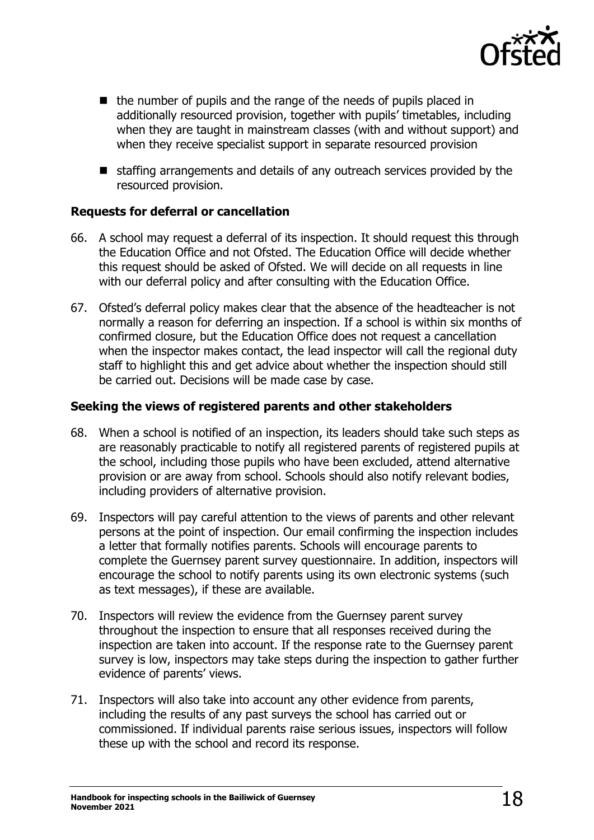

- the number of pupils and the range of the needs of pupils placed in additionally resourced provision, together with pupils' timetables, including when they are taught in mainstream classes (with and without support) and when they receive specialist support in separate resourced provision
- staffing arrangements and details of any outreach services provided by the resourced provision.

#### <span id="page-17-0"></span>**Requests for deferral or cancellation**

- 66. A school may request a deferral of its inspection. It should request this through the Education Office and not Ofsted. The Education Office will decide whether this request should be asked of Ofsted. We will decide on all requests in line with our deferral policy and after consulting with the Education Office.
- 67. Ofsted's deferral policy makes clear that the absence of the headteacher is not normally a reason for deferring an inspection. If a school is within six months of confirmed closure, but the Education Office does not request a cancellation when the inspector makes contact, the lead inspector will call the regional duty staff to highlight this and get advice about whether the inspection should still be carried out. Decisions will be made case by case.

#### <span id="page-17-1"></span>**Seeking the views of registered parents and other stakeholders**

- 68. When a school is notified of an inspection, its leaders should take such steps as are reasonably practicable to notify all registered parents of registered pupils at the school, including those pupils who have been excluded, attend alternative provision or are away from school. Schools should also notify relevant bodies, including providers of alternative provision.
- 69. Inspectors will pay careful attention to the views of parents and other relevant persons at the point of inspection. Our email confirming the inspection includes a letter that formally notifies parents. Schools will encourage parents to complete the Guernsey parent survey questionnaire. In addition, inspectors will encourage the school to notify parents using its own electronic systems (such as text messages), if these are available.
- 70. Inspectors will review the evidence from the Guernsey parent survey throughout the inspection to ensure that all responses received during the inspection are taken into account. If the response rate to the Guernsey parent survey is low, inspectors may take steps during the inspection to gather further evidence of parents' views.
- 71. Inspectors will also take into account any other evidence from parents, including the results of any past surveys the school has carried out or commissioned. If individual parents raise serious issues, inspectors will follow these up with the school and record its response.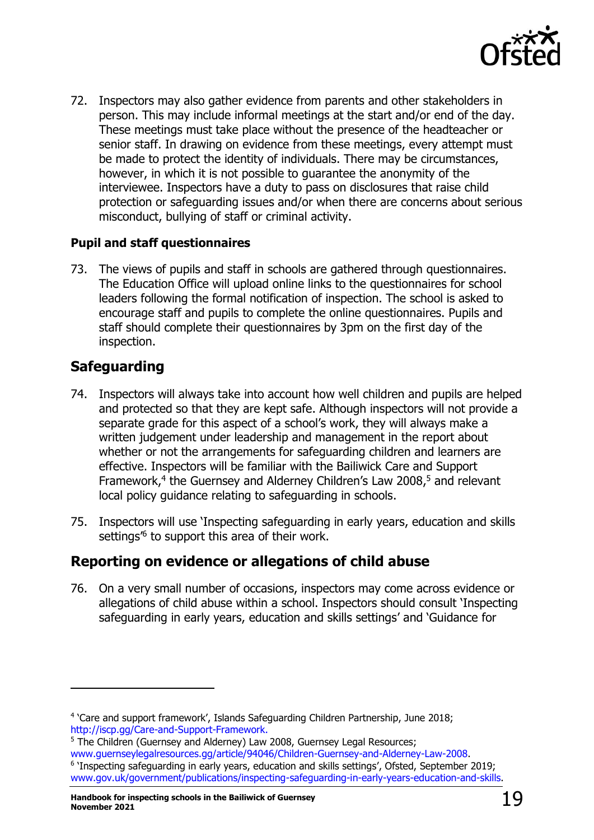

72. Inspectors may also gather evidence from parents and other stakeholders in person. This may include informal meetings at the start and/or end of the day. These meetings must take place without the presence of the headteacher or senior staff. In drawing on evidence from these meetings, every attempt must be made to protect the identity of individuals. There may be circumstances, however, in which it is not possible to guarantee the anonymity of the interviewee. Inspectors have a duty to pass on disclosures that raise child protection or safeguarding issues and/or when there are concerns about serious misconduct, bullying of staff or criminal activity.

#### <span id="page-18-0"></span>**Pupil and staff questionnaires**

73. The views of pupils and staff in schools are gathered through questionnaires. The Education Office will upload online links to the questionnaires for school leaders following the formal notification of inspection. The school is asked to encourage staff and pupils to complete the online questionnaires. Pupils and staff should complete their questionnaires by 3pm on the first day of the inspection.

## <span id="page-18-1"></span>**Safeguarding**

- 74. Inspectors will always take into account how well children and pupils are helped and protected so that they are kept safe. Although inspectors will not provide a separate grade for this aspect of a school's work, they will always make a written judgement under leadership and management in the report about whether or not the arrangements for safeguarding children and learners are effective. Inspectors will be familiar with the Bailiwick Care and Support Framework, 4 the Guernsey and Alderney Children's Law 2008, <sup>5</sup> and relevant local policy guidance relating to safeguarding in schools.
- 75. Inspectors will use 'Inspecting safeguarding in early years, education and skills settings<sup>16</sup> to support this area of their work.

## <span id="page-18-2"></span>**Reporting on evidence or allegations of child abuse**

76. On a very small number of occasions, inspectors may come across evidence or allegations of child abuse within a school. Inspectors should consult 'Inspecting safeguarding in early years, education and skills settings' and 'Guidance for

<sup>5</sup> The Children (Guernsey and Alderney) Law 2008, Guernsey Legal Resources; [www.guernseylegalresources.gg/article/94046/Children-Guernsey-and-Alderney-Law-2008.](http://www.guernseylegalresources.gg/article/94046/Children-Guernsey-and-Alderney-Law-2008) <sup>6</sup> 'Inspecting safeguarding in early years, education and skills settings', Ofsted, September 2019; [www.gov.uk/government/publications/inspecting-safeguarding-in-early-years-education-and-skills.](http://www.gov.uk/government/publications/inspecting-safeguarding-in-early-years-education-and-skills)

<sup>4</sup> 'Care and support framework', Islands Safeguarding Children Partnership, June 2018; [http://iscp.gg/Care-and-Support-Framework.](http://iscp.gg/Care-and-Support-Framework)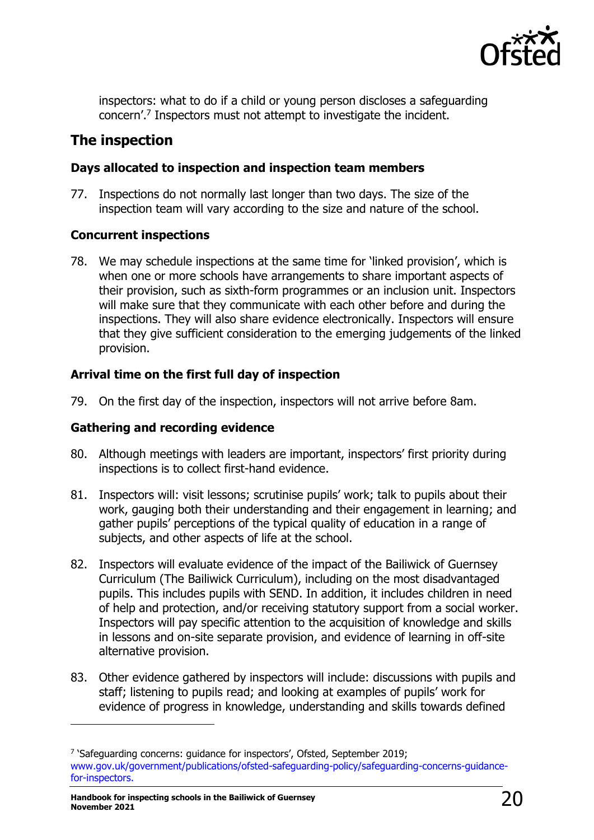

inspectors: what to do if a child or young person discloses a safeguarding concern'. 7 Inspectors must not attempt to investigate the incident.

## <span id="page-19-0"></span>**The inspection**

#### <span id="page-19-1"></span>**Days allocated to inspection and inspection team members**

77. Inspections do not normally last longer than two days. The size of the inspection team will vary according to the size and nature of the school.

#### <span id="page-19-2"></span>**Concurrent inspections**

78. We may schedule inspections at the same time for 'linked provision', which is when one or more schools have arrangements to share important aspects of their provision, such as sixth-form programmes or an inclusion unit. Inspectors will make sure that they communicate with each other before and during the inspections. They will also share evidence electronically. Inspectors will ensure that they give sufficient consideration to the emerging judgements of the linked provision.

#### <span id="page-19-3"></span>**Arrival time on the first full day of inspection**

79. On the first day of the inspection, inspectors will not arrive before 8am.

#### <span id="page-19-4"></span>**Gathering and recording evidence**

- 80. Although meetings with leaders are important, inspectors' first priority during inspections is to collect first-hand evidence.
- 81. Inspectors will: visit lessons; scrutinise pupils' work; talk to pupils about their work, gauging both their understanding and their engagement in learning; and gather pupils' perceptions of the typical quality of education in a range of subjects, and other aspects of life at the school.
- 82. Inspectors will evaluate evidence of the impact of the Bailiwick of Guernsey Curriculum (The Bailiwick Curriculum), including on the most disadvantaged pupils. This includes pupils with SEND. In addition, it includes children in need of help and protection, and/or receiving statutory support from a social worker. Inspectors will pay specific attention to the acquisition of knowledge and skills in lessons and on-site separate provision, and evidence of learning in off-site alternative provision.
- 83. Other evidence gathered by inspectors will include: discussions with pupils and staff; listening to pupils read; and looking at examples of pupils' work for evidence of progress in knowledge, understanding and skills towards defined

<sup>&</sup>lt;sup>7</sup> 'Safeguarding concerns: guidance for inspectors', Ofsted, September 2019; [www.gov.uk/government/publications/ofsted-safeguarding-policy/safeguarding-concerns-guidance](https://www.gov.uk/government/publications/ofsted-safeguarding-policy/safeguarding-concerns-guidance-for-inspectors)[for-inspectors.](https://www.gov.uk/government/publications/ofsted-safeguarding-policy/safeguarding-concerns-guidance-for-inspectors)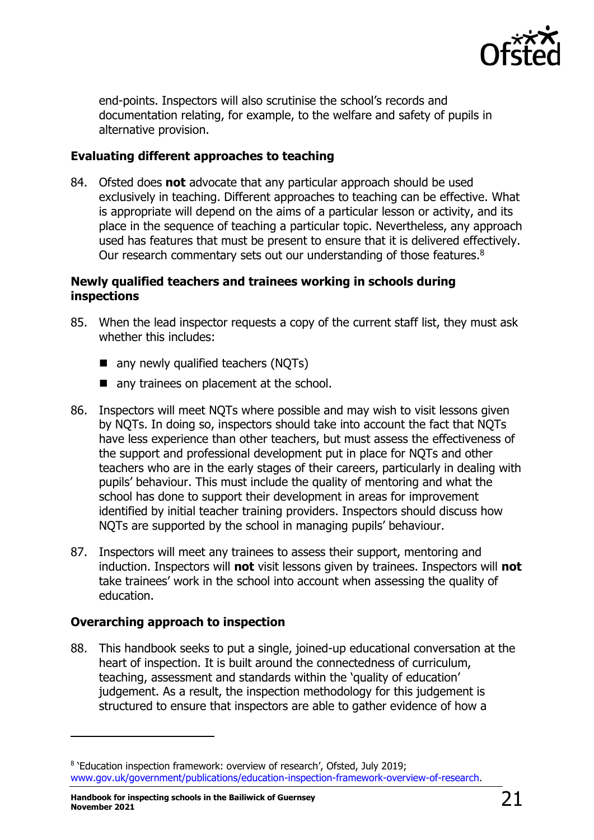

end-points. Inspectors will also scrutinise the school's records and documentation relating, for example, to the welfare and safety of pupils in alternative provision.

#### <span id="page-20-0"></span>**Evaluating different approaches to teaching**

84. Ofsted does **not** advocate that any particular approach should be used exclusively in teaching. Different approaches to teaching can be effective. What is appropriate will depend on the aims of a particular lesson or activity, and its place in the sequence of teaching a particular topic. Nevertheless, any approach used has features that must be present to ensure that it is delivered effectively. Our research commentary sets out our understanding of those features.<sup>8</sup>

#### <span id="page-20-1"></span>**Newly qualified teachers and trainees working in schools during inspections**

- 85. When the lead inspector requests a copy of the current staff list, they must ask whether this includes:
	- any newly qualified teachers (NQTs)
	- any trainees on placement at the school.
- 86. Inspectors will meet NQTs where possible and may wish to visit lessons given by NQTs. In doing so, inspectors should take into account the fact that NQTs have less experience than other teachers, but must assess the effectiveness of the support and professional development put in place for NQTs and other teachers who are in the early stages of their careers, particularly in dealing with pupils' behaviour. This must include the quality of mentoring and what the school has done to support their development in areas for improvement identified by initial teacher training providers. Inspectors should discuss how NQTs are supported by the school in managing pupils' behaviour.
- 87. Inspectors will meet any trainees to assess their support, mentoring and induction. Inspectors will **not** visit lessons given by trainees. Inspectors will **not** take trainees' work in the school into account when assessing the quality of education.

#### <span id="page-20-2"></span>**Overarching approach to inspection**

88. This handbook seeks to put a single, joined-up educational conversation at the heart of inspection. It is built around the connectedness of curriculum, teaching, assessment and standards within the 'quality of education' judgement. As a result, the inspection methodology for this judgement is structured to ensure that inspectors are able to gather evidence of how a

<sup>&</sup>lt;sup>8</sup> 'Education inspection framework: overview of research', Ofsted, July 2019; [www.gov.uk/government/publications/education-inspection-framework-overview-of-research.](http://www.gov.uk/government/publications/education-inspection-framework-overview-of-research)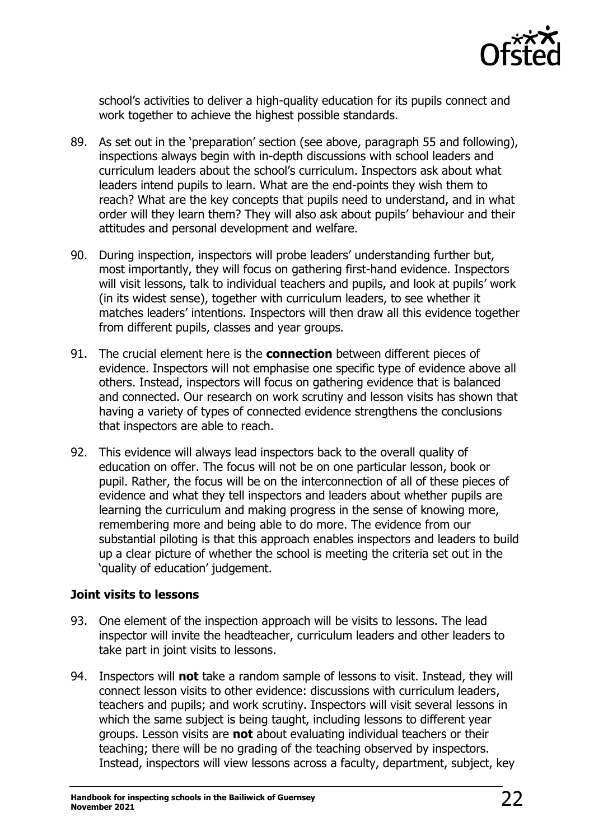

school's activities to deliver a high-quality education for its pupils connect and work together to achieve the highest possible standards.

- 89. As set out in the 'preparation' section (see above, paragraph 55 and following), inspections always begin with in-depth discussions with school leaders and curriculum leaders about the school's curriculum. Inspectors ask about what leaders intend pupils to learn. What are the end-points they wish them to reach? What are the key concepts that pupils need to understand, and in what order will they learn them? They will also ask about pupils' behaviour and their attitudes and personal development and welfare.
- 90. During inspection, inspectors will probe leaders' understanding further but, most importantly, they will focus on gathering first-hand evidence. Inspectors will visit lessons, talk to individual teachers and pupils, and look at pupils' work (in its widest sense), together with curriculum leaders, to see whether it matches leaders' intentions. Inspectors will then draw all this evidence together from different pupils, classes and year groups.
- 91. The crucial element here is the **connection** between different pieces of evidence. Inspectors will not emphasise one specific type of evidence above all others. Instead, inspectors will focus on gathering evidence that is balanced and connected. Our research on work scrutiny and lesson visits has shown that having a variety of types of connected evidence strengthens the conclusions that inspectors are able to reach.
- 92. This evidence will always lead inspectors back to the overall quality of education on offer. The focus will not be on one particular lesson, book or pupil. Rather, the focus will be on the interconnection of all of these pieces of evidence and what they tell inspectors and leaders about whether pupils are learning the curriculum and making progress in the sense of knowing more, remembering more and being able to do more. The evidence from our substantial piloting is that this approach enables inspectors and leaders to build up a clear picture of whether the school is meeting the criteria set out in the 'quality of education' judgement.

#### <span id="page-21-0"></span>**Joint visits to lessons**

- 93. One element of the inspection approach will be visits to lessons. The lead inspector will invite the headteacher, curriculum leaders and other leaders to take part in joint visits to lessons.
- 94. Inspectors will **not** take a random sample of lessons to visit. Instead, they will connect lesson visits to other evidence: discussions with curriculum leaders, teachers and pupils; and work scrutiny. Inspectors will visit several lessons in which the same subject is being taught, including lessons to different year groups. Lesson visits are **not** about evaluating individual teachers or their teaching; there will be no grading of the teaching observed by inspectors. Instead, inspectors will view lessons across a faculty, department, subject, key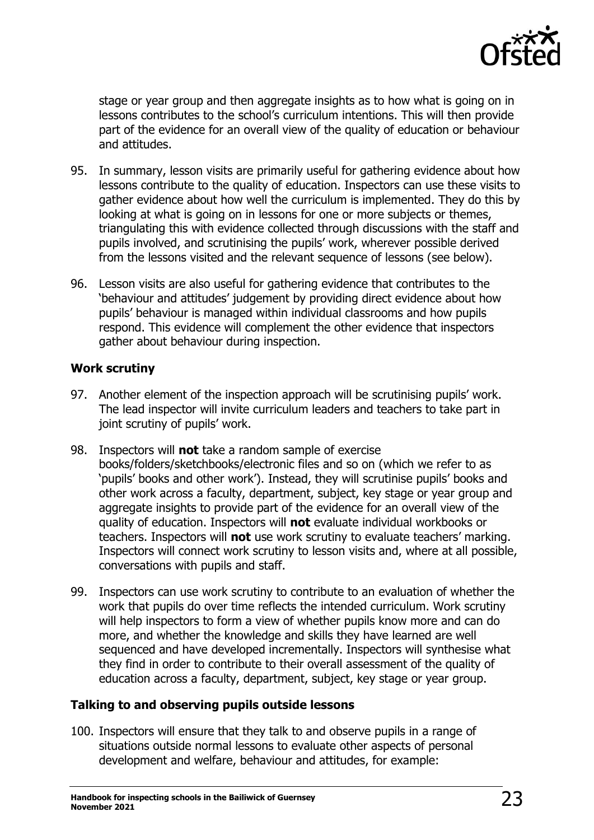

stage or year group and then aggregate insights as to how what is going on in lessons contributes to the school's curriculum intentions. This will then provide part of the evidence for an overall view of the quality of education or behaviour and attitudes.

- 95. In summary, lesson visits are primarily useful for gathering evidence about how lessons contribute to the quality of education. Inspectors can use these visits to gather evidence about how well the curriculum is implemented. They do this by looking at what is going on in lessons for one or more subjects or themes, triangulating this with evidence collected through discussions with the staff and pupils involved, and scrutinising the pupils' work, wherever possible derived from the lessons visited and the relevant sequence of lessons (see below).
- 96. Lesson visits are also useful for gathering evidence that contributes to the 'behaviour and attitudes' judgement by providing direct evidence about how pupils' behaviour is managed within individual classrooms and how pupils respond. This evidence will complement the other evidence that inspectors gather about behaviour during inspection.

#### <span id="page-22-0"></span>**Work scrutiny**

- 97. Another element of the inspection approach will be scrutinising pupils' work. The lead inspector will invite curriculum leaders and teachers to take part in joint scrutiny of pupils' work.
- 98. Inspectors will **not** take a random sample of exercise books/folders/sketchbooks/electronic files and so on (which we refer to as 'pupils' books and other work'). Instead, they will scrutinise pupils' books and other work across a faculty, department, subject, key stage or year group and aggregate insights to provide part of the evidence for an overall view of the quality of education. Inspectors will **not** evaluate individual workbooks or teachers. Inspectors will **not** use work scrutiny to evaluate teachers' marking. Inspectors will connect work scrutiny to lesson visits and, where at all possible, conversations with pupils and staff.
- 99. Inspectors can use work scrutiny to contribute to an evaluation of whether the work that pupils do over time reflects the intended curriculum. Work scrutiny will help inspectors to form a view of whether pupils know more and can do more, and whether the knowledge and skills they have learned are well sequenced and have developed incrementally. Inspectors will synthesise what they find in order to contribute to their overall assessment of the quality of education across a faculty, department, subject, key stage or year group.

#### <span id="page-22-1"></span>**Talking to and observing pupils outside lessons**

100. Inspectors will ensure that they talk to and observe pupils in a range of situations outside normal lessons to evaluate other aspects of personal development and welfare, behaviour and attitudes, for example: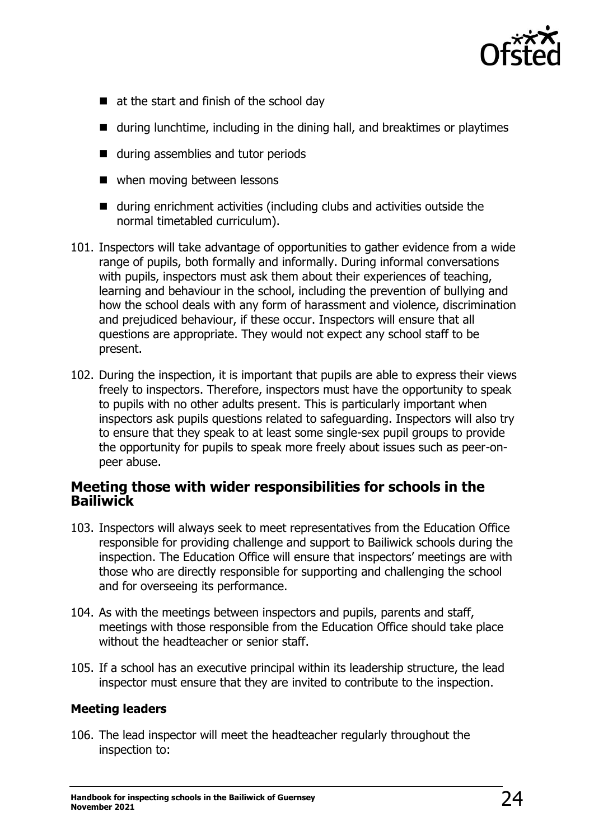

- at the start and finish of the school day
- during lunchtime, including in the dining hall, and breaktimes or playtimes
- during assemblies and tutor periods
- when moving between lessons
- during enrichment activities (including clubs and activities outside the normal timetabled curriculum).
- 101. Inspectors will take advantage of opportunities to gather evidence from a wide range of pupils, both formally and informally. During informal conversations with pupils, inspectors must ask them about their experiences of teaching, learning and behaviour in the school, including the prevention of bullying and how the school deals with any form of harassment and violence, discrimination and prejudiced behaviour, if these occur. Inspectors will ensure that all questions are appropriate. They would not expect any school staff to be present.
- 102. During the inspection, it is important that pupils are able to express their views freely to inspectors. Therefore, inspectors must have the opportunity to speak to pupils with no other adults present. This is particularly important when inspectors ask pupils questions related to safeguarding. Inspectors will also try to ensure that they speak to at least some single-sex pupil groups to provide the opportunity for pupils to speak more freely about issues such as peer-onpeer abuse.

#### <span id="page-23-0"></span>**Meeting those with wider responsibilities for schools in the Bailiwick**

- 103. Inspectors will always seek to meet representatives from the Education Office responsible for providing challenge and support to Bailiwick schools during the inspection. The Education Office will ensure that inspectors' meetings are with those who are directly responsible for supporting and challenging the school and for overseeing its performance.
- 104. As with the meetings between inspectors and pupils, parents and staff, meetings with those responsible from the Education Office should take place without the headteacher or senior staff.
- 105. If a school has an executive principal within its leadership structure, the lead inspector must ensure that they are invited to contribute to the inspection.

#### <span id="page-23-1"></span>**Meeting leaders**

106. The lead inspector will meet the headteacher regularly throughout the inspection to: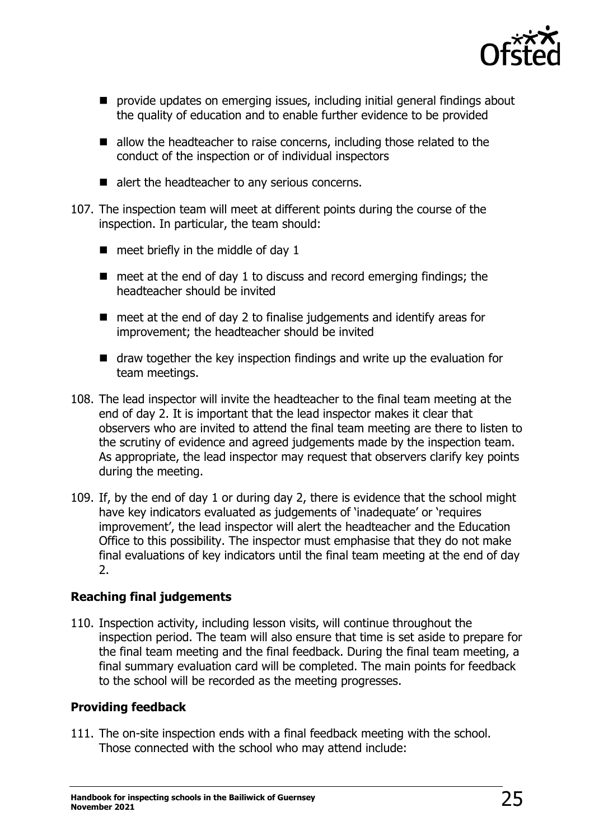

- provide updates on emerging issues, including initial general findings about the quality of education and to enable further evidence to be provided
- allow the headteacher to raise concerns, including those related to the conduct of the inspection or of individual inspectors
- alert the headteacher to any serious concerns.
- 107. The inspection team will meet at different points during the course of the inspection. In particular, the team should:
	- $\blacksquare$  meet briefly in the middle of day 1
	- meet at the end of day 1 to discuss and record emerging findings; the headteacher should be invited
	- meet at the end of day 2 to finalise judgements and identify areas for improvement; the headteacher should be invited
	- draw together the key inspection findings and write up the evaluation for team meetings.
- 108. The lead inspector will invite the headteacher to the final team meeting at the end of day 2. It is important that the lead inspector makes it clear that observers who are invited to attend the final team meeting are there to listen to the scrutiny of evidence and agreed judgements made by the inspection team. As appropriate, the lead inspector may request that observers clarify key points during the meeting.
- 109. If, by the end of day 1 or during day 2, there is evidence that the school might have key indicators evaluated as judgements of 'inadequate' or 'requires improvement', the lead inspector will alert the headteacher and the Education Office to this possibility. The inspector must emphasise that they do not make final evaluations of key indicators until the final team meeting at the end of day 2.

#### <span id="page-24-0"></span>**Reaching final judgements**

110. Inspection activity, including lesson visits, will continue throughout the inspection period. The team will also ensure that time is set aside to prepare for the final team meeting and the final feedback. During the final team meeting, a final summary evaluation card will be completed. The main points for feedback to the school will be recorded as the meeting progresses.

#### <span id="page-24-1"></span>**Providing feedback**

111. The on-site inspection ends with a final feedback meeting with the school. Those connected with the school who may attend include: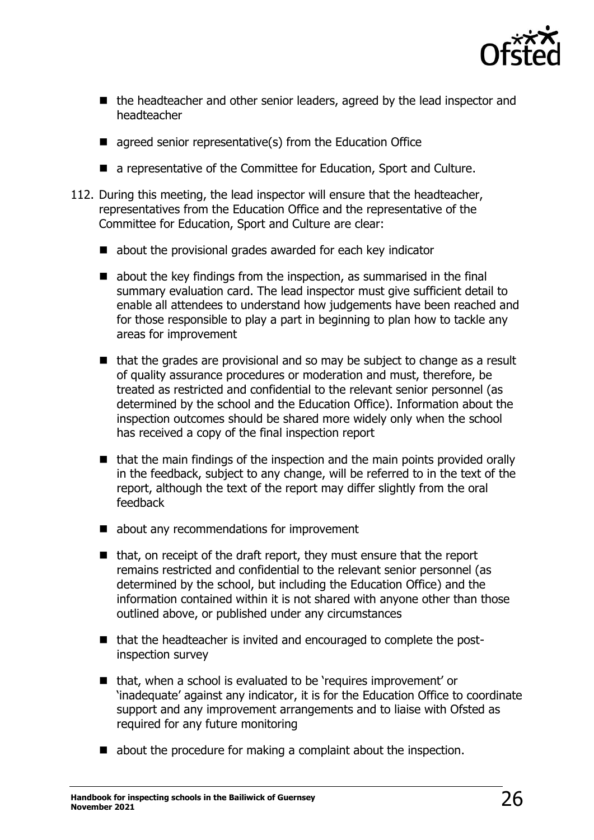

- the headteacher and other senior leaders, agreed by the lead inspector and headteacher
- $\blacksquare$  agreed senior representative(s) from the Education Office
- a representative of the Committee for Education, Sport and Culture.
- 112. During this meeting, the lead inspector will ensure that the headteacher, representatives from the Education Office and the representative of the Committee for Education, Sport and Culture are clear:
	- about the provisional grades awarded for each key indicator
	- $\blacksquare$  about the key findings from the inspection, as summarised in the final summary evaluation card. The lead inspector must give sufficient detail to enable all attendees to understand how judgements have been reached and for those responsible to play a part in beginning to plan how to tackle any areas for improvement
	- that the grades are provisional and so may be subject to change as a result of quality assurance procedures or moderation and must, therefore, be treated as restricted and confidential to the relevant senior personnel (as determined by the school and the Education Office). Information about the inspection outcomes should be shared more widely only when the school has received a copy of the final inspection report
	- that the main findings of the inspection and the main points provided orally in the feedback, subject to any change, will be referred to in the text of the report, although the text of the report may differ slightly from the oral feedback
	- about any recommendations for improvement
	- that, on receipt of the draft report, they must ensure that the report remains restricted and confidential to the relevant senior personnel (as determined by the school, but including the Education Office) and the information contained within it is not shared with anyone other than those outlined above, or published under any circumstances
	- that the headteacher is invited and encouraged to complete the postinspection survey
	- that, when a school is evaluated to be 'requires improvement' or 'inadequate' against any indicator, it is for the Education Office to coordinate support and any improvement arrangements and to liaise with Ofsted as required for any future monitoring
	- about the procedure for making a complaint about the inspection.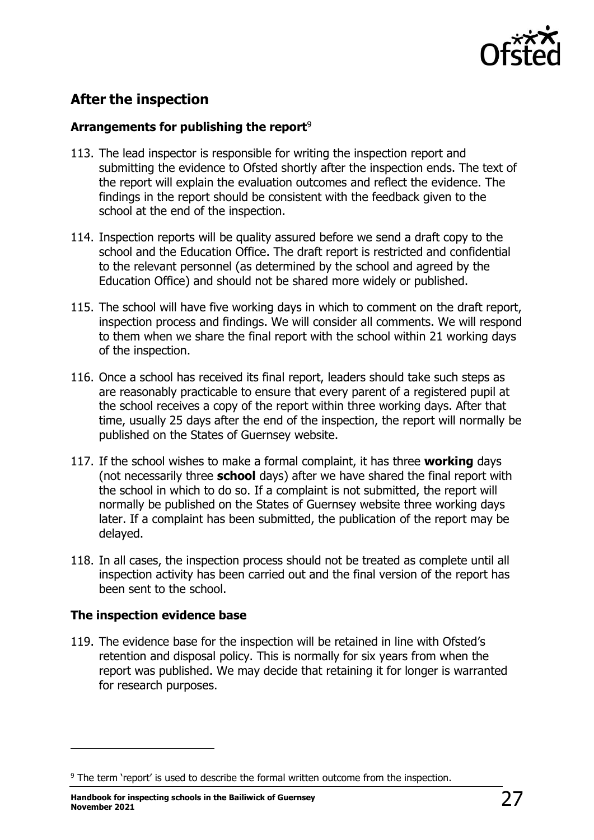

## <span id="page-26-0"></span>**After the inspection**

#### <span id="page-26-1"></span>**Arrangements for publishing the report**<sup>9</sup>

- 113. The lead inspector is responsible for writing the inspection report and submitting the evidence to Ofsted shortly after the inspection ends. The text of the report will explain the evaluation outcomes and reflect the evidence. The findings in the report should be consistent with the feedback given to the school at the end of the inspection.
- 114. Inspection reports will be quality assured before we send a draft copy to the school and the Education Office. The draft report is restricted and confidential to the relevant personnel (as determined by the school and agreed by the Education Office) and should not be shared more widely or published.
- 115. The school will have five working days in which to comment on the draft report, inspection process and findings. We will consider all comments. We will respond to them when we share the final report with the school within 21 working days of the inspection.
- 116. Once a school has received its final report, leaders should take such steps as are reasonably practicable to ensure that every parent of a registered pupil at the school receives a copy of the report within three working days. After that time, usually 25 days after the end of the inspection, the report will normally be published on the States of Guernsey website.
- 117. If the school wishes to make a formal complaint, it has three **working** days (not necessarily three **school** days) after we have shared the final report with the school in which to do so. If a complaint is not submitted, the report will normally be published on the States of Guernsey website three working days later. If a complaint has been submitted, the publication of the report may be delayed.
- 118. In all cases, the inspection process should not be treated as complete until all inspection activity has been carried out and the final version of the report has been sent to the school.

#### <span id="page-26-2"></span>**The inspection evidence base**

119. The evidence base for the inspection will be retained in line with Ofsted's retention and disposal policy. This is normally for six years from when the report was published. We may decide that retaining it for longer is warranted for research purposes.

<sup>&</sup>lt;sup>9</sup> The term 'report' is used to describe the formal written outcome from the inspection.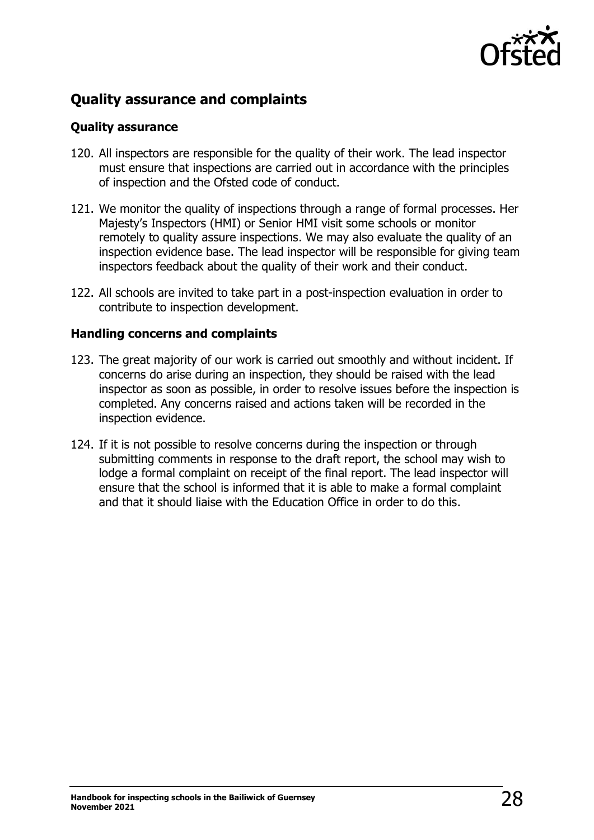

## <span id="page-27-0"></span>**Quality assurance and complaints**

#### <span id="page-27-1"></span>**Quality assurance**

- 120. All inspectors are responsible for the quality of their work. The lead inspector must ensure that inspections are carried out in accordance with the principles of inspection and the Ofsted code of conduct.
- 121. We monitor the quality of inspections through a range of formal processes. Her Majesty's Inspectors (HMI) or Senior HMI visit some schools or monitor remotely to quality assure inspections. We may also evaluate the quality of an inspection evidence base. The lead inspector will be responsible for giving team inspectors feedback about the quality of their work and their conduct.
- 122. All schools are invited to take part in a post-inspection evaluation in order to contribute to inspection development.

#### <span id="page-27-2"></span>**Handling concerns and complaints**

- 123. The great majority of our work is carried out smoothly and without incident. If concerns do arise during an inspection, they should be raised with the lead inspector as soon as possible, in order to resolve issues before the inspection is completed. Any concerns raised and actions taken will be recorded in the inspection evidence.
- 124. If it is not possible to resolve concerns during the inspection or through submitting comments in response to the draft report, the school may wish to lodge a formal complaint on receipt of the final report. The lead inspector will ensure that the school is informed that it is able to make a formal complaint and that it should liaise with the Education Office in order to do this.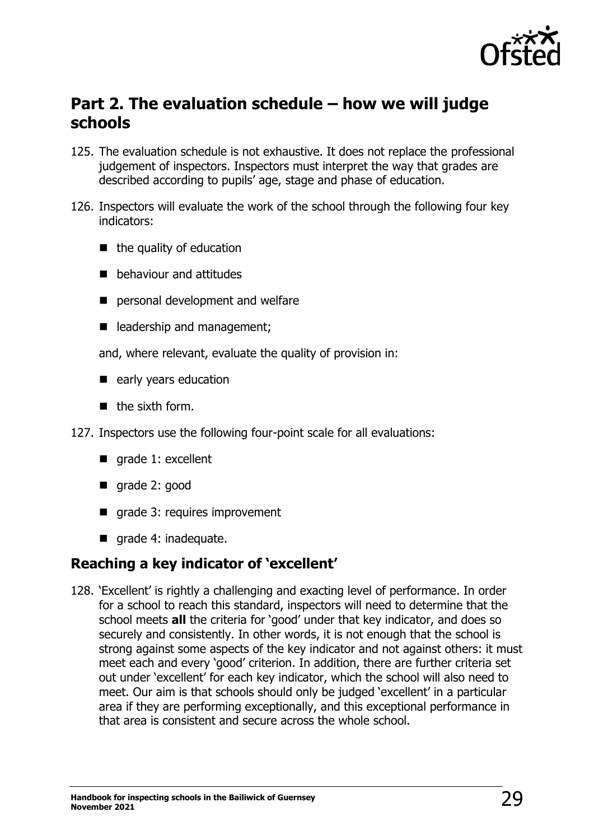

## <span id="page-28-0"></span>**Part 2. The evaluation schedule – how we will judge schools**

- 125. The evaluation schedule is not exhaustive. It does not replace the professional judgement of inspectors. Inspectors must interpret the way that grades are described according to pupils' age, stage and phase of education.
- 126. Inspectors will evaluate the work of the school through the following four key indicators:
	- $\blacksquare$  the quality of education
	- behaviour and attitudes
	- personal development and welfare
	- leadership and management;
	- and, where relevant, evaluate the quality of provision in:
	- early years education
	- $\blacksquare$  the sixth form.
- 127. Inspectors use the following four-point scale for all evaluations:
	- grade 1: excellent
	- grade 2: good
	- grade 3: requires improvement
	- grade 4: inadequate.

## <span id="page-28-1"></span>**Reaching a key indicator of 'excellent'**

128. 'Excellent' is rightly a challenging and exacting level of performance. In order for a school to reach this standard, inspectors will need to determine that the school meets **all** the criteria for 'good' under that key indicator, and does so securely and consistently. In other words, it is not enough that the school is strong against some aspects of the key indicator and not against others: it must meet each and every 'good' criterion. In addition, there are further criteria set out under 'excellent' for each key indicator, which the school will also need to meet. Our aim is that schools should only be judged 'excellent' in a particular area if they are performing exceptionally, and this exceptional performance in that area is consistent and secure across the whole school.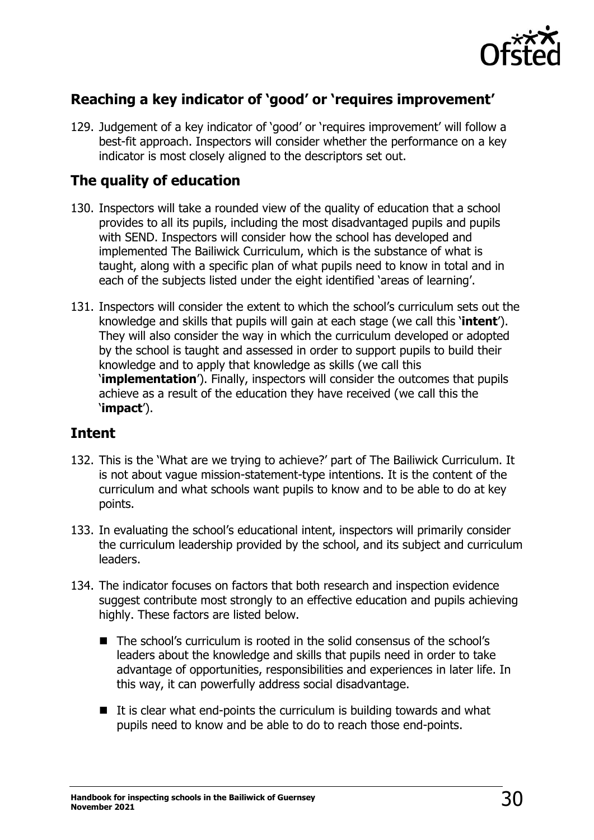

## <span id="page-29-0"></span>**Reaching a key indicator of 'good' or 'requires improvement'**

129. Judgement of a key indicator of 'good' or 'requires improvement' will follow a best-fit approach. Inspectors will consider whether the performance on a key indicator is most closely aligned to the descriptors set out.

## <span id="page-29-1"></span>**The quality of education**

- 130. Inspectors will take a rounded view of the quality of education that a school provides to all its pupils, including the most disadvantaged pupils and pupils with SEND. Inspectors will consider how the school has developed and implemented The Bailiwick Curriculum, which is the substance of what is taught, along with a specific plan of what pupils need to know in total and in each of the subjects listed under the eight identified 'areas of learning'.
- 131. Inspectors will consider the extent to which the school's curriculum sets out the knowledge and skills that pupils will gain at each stage (we call this '**intent**'). They will also consider the way in which the curriculum developed or adopted by the school is taught and assessed in order to support pupils to build their knowledge and to apply that knowledge as skills (we call this '**implementation**'). Finally, inspectors will consider the outcomes that pupils achieve as a result of the education they have received (we call this the '**impact**').

## <span id="page-29-2"></span>**Intent**

- 132. This is the 'What are we trying to achieve?' part of The Bailiwick Curriculum. It is not about vague mission-statement-type intentions. It is the content of the curriculum and what schools want pupils to know and to be able to do at key points.
- 133. In evaluating the school's educational intent, inspectors will primarily consider the curriculum leadership provided by the school, and its subject and curriculum leaders.
- 134. The indicator focuses on factors that both research and inspection evidence suggest contribute most strongly to an effective education and pupils achieving highly. These factors are listed below.
	- The school's curriculum is rooted in the solid consensus of the school's leaders about the knowledge and skills that pupils need in order to take advantage of opportunities, responsibilities and experiences in later life. In this way, it can powerfully address social disadvantage.
	- It is clear what end-points the curriculum is building towards and what pupils need to know and be able to do to reach those end-points.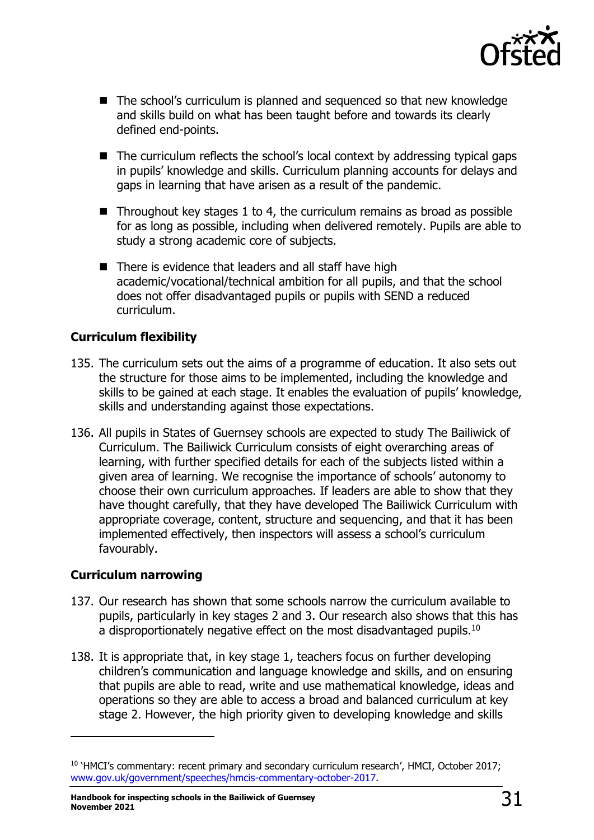

- The school's curriculum is planned and sequenced so that new knowledge and skills build on what has been taught before and towards its clearly defined end-points.
- The curriculum reflects the school's local context by addressing typical gaps in pupils' knowledge and skills. Curriculum planning accounts for delays and gaps in learning that have arisen as a result of the pandemic.
- $\blacksquare$  Throughout key stages 1 to 4, the curriculum remains as broad as possible for as long as possible, including when delivered remotely. Pupils are able to study a strong academic core of subjects.
- There is evidence that leaders and all staff have high academic/vocational/technical ambition for all pupils, and that the school does not offer disadvantaged pupils or pupils with SEND a reduced curriculum.

#### <span id="page-30-0"></span>**Curriculum flexibility**

- 135. The curriculum sets out the aims of a programme of education. It also sets out the structure for those aims to be implemented, including the knowledge and skills to be gained at each stage. It enables the evaluation of pupils' knowledge, skills and understanding against those expectations.
- 136. All pupils in States of Guernsey schools are expected to study The Bailiwick of Curriculum. The Bailiwick Curriculum consists of eight overarching areas of learning, with further specified details for each of the subjects listed within a given area of learning. We recognise the importance of schools' autonomy to choose their own curriculum approaches. If leaders are able to show that they have thought carefully, that they have developed The Bailiwick Curriculum with appropriate coverage, content, structure and sequencing, and that it has been implemented effectively, then inspectors will assess a school's curriculum favourably.

#### <span id="page-30-1"></span>**Curriculum narrowing**

- 137. Our research has shown that some schools narrow the curriculum available to pupils, particularly in key stages 2 and 3. Our research also shows that this has a disproportionately negative effect on the most disadvantaged pupils.<sup>10</sup>
- 138. It is appropriate that, in key stage 1, teachers focus on further developing children's communication and language knowledge and skills, and on ensuring that pupils are able to read, write and use mathematical knowledge, ideas and operations so they are able to access a broad and balanced curriculum at key stage 2. However, the high priority given to developing knowledge and skills

<sup>&</sup>lt;sup>10</sup> 'HMCI's commentary: recent primary and secondary curriculum research', HMCI, October 2017; [www.gov.uk/government/speeches/hmcis-commentary-october-2017.](http://www.gov.uk/government/speeches/hmcis-commentary-october-2017)

**Handbook for inspecting schools in the Bailiwick of Guernsey**  $\mathbb{S}1$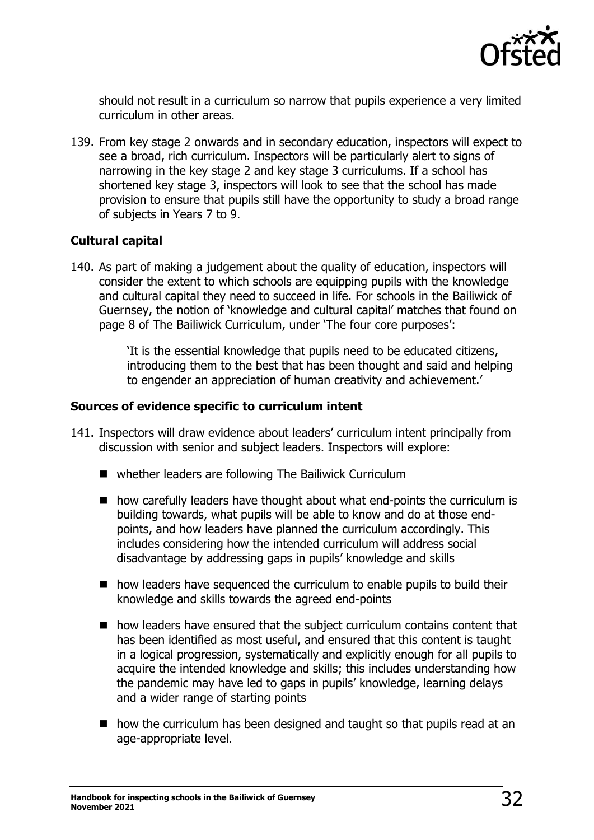

should not result in a curriculum so narrow that pupils experience a very limited curriculum in other areas.

139. From key stage 2 onwards and in secondary education, inspectors will expect to see a broad, rich curriculum. Inspectors will be particularly alert to signs of narrowing in the key stage 2 and key stage 3 curriculums. If a school has shortened key stage 3, inspectors will look to see that the school has made provision to ensure that pupils still have the opportunity to study a broad range of subjects in Years 7 to 9.

#### <span id="page-31-0"></span>**Cultural capital**

140. As part of making a judgement about the quality of education, inspectors will consider the extent to which schools are equipping pupils with the knowledge and cultural capital they need to succeed in life. For schools in the Bailiwick of Guernsey, the notion of 'knowledge and cultural capital' matches that found on page 8 of The Bailiwick Curriculum, under 'The four core purposes':

> 'It is the essential knowledge that pupils need to be educated citizens, introducing them to the best that has been thought and said and helping to engender an appreciation of human creativity and achievement.'

#### <span id="page-31-1"></span>**Sources of evidence specific to curriculum intent**

- 141. Inspectors will draw evidence about leaders' curriculum intent principally from discussion with senior and subject leaders. Inspectors will explore:
	- whether leaders are following The Bailiwick Curriculum
	- how carefully leaders have thought about what end-points the curriculum is building towards, what pupils will be able to know and do at those endpoints, and how leaders have planned the curriculum accordingly. This includes considering how the intended curriculum will address social disadvantage by addressing gaps in pupils' knowledge and skills
	- how leaders have sequenced the curriculum to enable pupils to build their knowledge and skills towards the agreed end-points
	- how leaders have ensured that the subject curriculum contains content that has been identified as most useful, and ensured that this content is taught in a logical progression, systematically and explicitly enough for all pupils to acquire the intended knowledge and skills; this includes understanding how the pandemic may have led to gaps in pupils' knowledge, learning delays and a wider range of starting points
	- how the curriculum has been designed and taught so that pupils read at an age-appropriate level.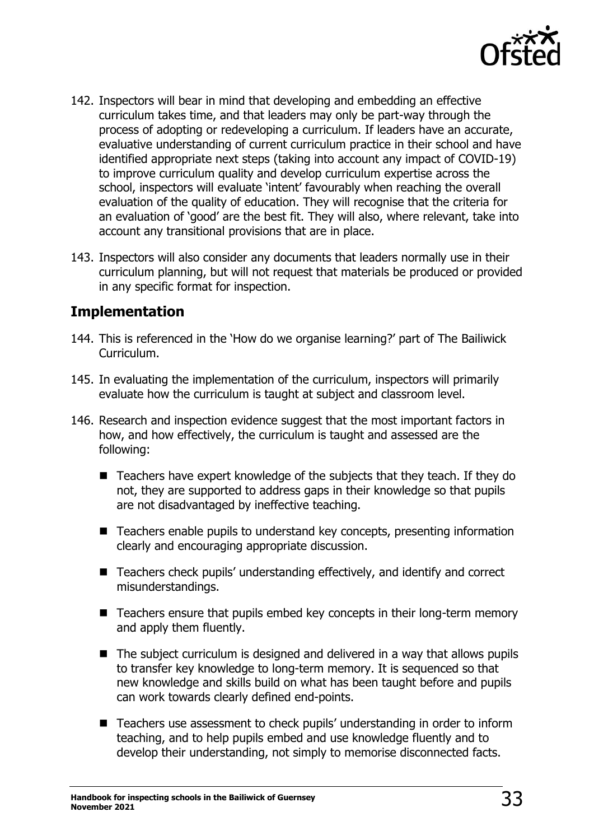

- 142. Inspectors will bear in mind that developing and embedding an effective curriculum takes time, and that leaders may only be part-way through the process of adopting or redeveloping a curriculum. If leaders have an accurate, evaluative understanding of current curriculum practice in their school and have identified appropriate next steps (taking into account any impact of COVID-19) to improve curriculum quality and develop curriculum expertise across the school, inspectors will evaluate 'intent' favourably when reaching the overall evaluation of the quality of education. They will recognise that the criteria for an evaluation of 'good' are the best fit. They will also, where relevant, take into account any transitional provisions that are in place.
- 143. Inspectors will also consider any documents that leaders normally use in their curriculum planning, but will not request that materials be produced or provided in any specific format for inspection.

## <span id="page-32-0"></span>**Implementation**

- 144. This is referenced in the 'How do we organise learning?' part of The Bailiwick Curriculum.
- 145. In evaluating the implementation of the curriculum, inspectors will primarily evaluate how the curriculum is taught at subject and classroom level.
- 146. Research and inspection evidence suggest that the most important factors in how, and how effectively, the curriculum is taught and assessed are the following:
	- Teachers have expert knowledge of the subjects that they teach. If they do not, they are supported to address gaps in their knowledge so that pupils are not disadvantaged by ineffective teaching.
	- Teachers enable pupils to understand key concepts, presenting information clearly and encouraging appropriate discussion.
	- Teachers check pupils' understanding effectively, and identify and correct misunderstandings.
	- Teachers ensure that pupils embed key concepts in their long-term memory and apply them fluently.
	- The subject curriculum is designed and delivered in a way that allows pupils to transfer key knowledge to long-term memory. It is sequenced so that new knowledge and skills build on what has been taught before and pupils can work towards clearly defined end-points.
	- Teachers use assessment to check pupils' understanding in order to inform teaching, and to help pupils embed and use knowledge fluently and to develop their understanding, not simply to memorise disconnected facts.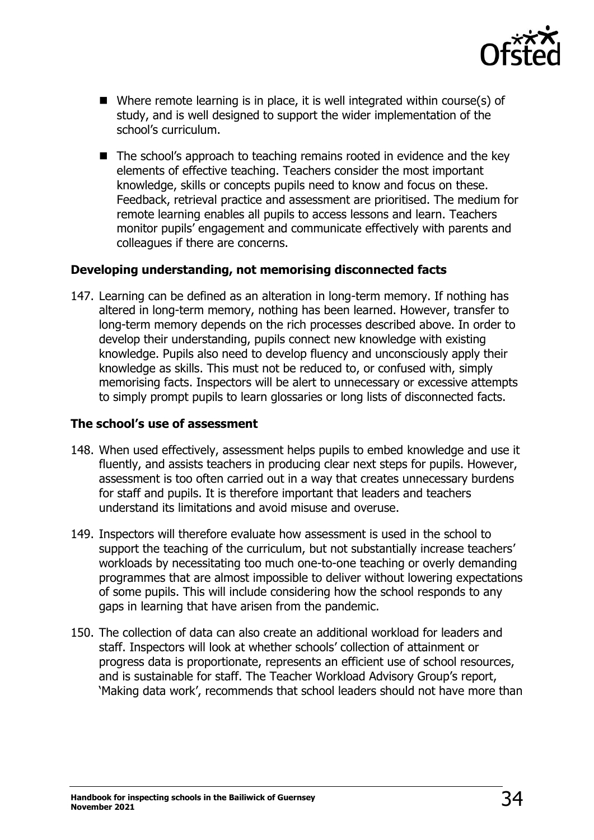

- Where remote learning is in place, it is well integrated within course(s) of study, and is well designed to support the wider implementation of the school's curriculum.
- The school's approach to teaching remains rooted in evidence and the key elements of effective teaching. Teachers consider the most important knowledge, skills or concepts pupils need to know and focus on these. Feedback, retrieval practice and assessment are prioritised. The medium for remote learning enables all pupils to access lessons and learn. Teachers monitor pupils' engagement and communicate effectively with parents and colleagues if there are concerns.

#### <span id="page-33-0"></span>**Developing understanding, not memorising disconnected facts**

147. Learning can be defined as an alteration in long-term memory. If nothing has altered in long-term memory, nothing has been learned. However, transfer to long-term memory depends on the rich processes described above. In order to develop their understanding, pupils connect new knowledge with existing knowledge. Pupils also need to develop fluency and unconsciously apply their knowledge as skills. This must not be reduced to, or confused with, simply memorising facts. Inspectors will be alert to unnecessary or excessive attempts to simply prompt pupils to learn glossaries or long lists of disconnected facts.

#### <span id="page-33-1"></span>**The school's use of assessment**

- 148. When used effectively, assessment helps pupils to embed knowledge and use it fluently, and assists teachers in producing clear next steps for pupils. However, assessment is too often carried out in a way that creates unnecessary burdens for staff and pupils. It is therefore important that leaders and teachers understand its limitations and avoid misuse and overuse.
- 149. Inspectors will therefore evaluate how assessment is used in the school to support the teaching of the curriculum, but not substantially increase teachers' workloads by necessitating too much one-to-one teaching or overly demanding programmes that are almost impossible to deliver without lowering expectations of some pupils. This will include considering how the school responds to any gaps in learning that have arisen from the pandemic.
- 150. The collection of data can also create an additional workload for leaders and staff. Inspectors will look at whether schools' collection of attainment or progress data is proportionate, represents an efficient use of school resources, and is sustainable for staff. The Teacher Workload Advisory Group's report, 'Making data work', recommends that school leaders should not have more than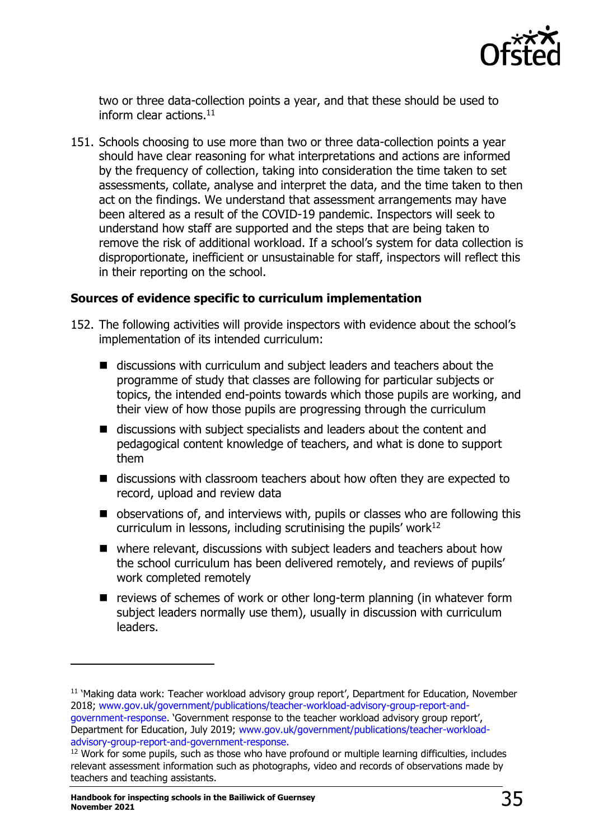

two or three data-collection points a year, and that these should be used to inform clear actions.<sup>11</sup>

151. Schools choosing to use more than two or three data-collection points a year should have clear reasoning for what interpretations and actions are informed by the frequency of collection, taking into consideration the time taken to set assessments, collate, analyse and interpret the data, and the time taken to then act on the findings. We understand that assessment arrangements may have been altered as a result of the COVID-19 pandemic. Inspectors will seek to understand how staff are supported and the steps that are being taken to remove the risk of additional workload. If a school's system for data collection is disproportionate, inefficient or unsustainable for staff, inspectors will reflect this in their reporting on the school.

#### <span id="page-34-0"></span>**Sources of evidence specific to curriculum implementation**

- 152. The following activities will provide inspectors with evidence about the school's implementation of its intended curriculum:
	- discussions with curriculum and subject leaders and teachers about the programme of study that classes are following for particular subjects or topics, the intended end-points towards which those pupils are working, and their view of how those pupils are progressing through the curriculum
	- discussions with subject specialists and leaders about the content and pedagogical content knowledge of teachers, and what is done to support them
	- discussions with classroom teachers about how often they are expected to record, upload and review data
	- observations of, and interviews with, pupils or classes who are following this curriculum in lessons, including scrutinising the pupils' work $12$
	- where relevant, discussions with subject leaders and teachers about how the school curriculum has been delivered remotely, and reviews of pupils' work completed remotely
	- reviews of schemes of work or other long-term planning (in whatever form subject leaders normally use them), usually in discussion with curriculum leaders.

<sup>&</sup>lt;sup>11</sup> 'Making data work: Teacher workload advisory group report', Department for Education, November 2018; [www.gov.uk/government/publications/teacher-workload-advisory-group-report-and](http://www.gov.uk/government/publications/teacher-workload-advisory-group-report-and-government-response)[government-response](http://www.gov.uk/government/publications/teacher-workload-advisory-group-report-and-government-response). 'Government response to the teacher workload advisory group report',

Department for Education, July 2019; [www.gov.uk/government/publications/teacher-workload](http://www.gov.uk/government/publications/teacher-workload-advisory-group-report-and-government-response)[advisory-group-report-and-government-response.](http://www.gov.uk/government/publications/teacher-workload-advisory-group-report-and-government-response)

<sup>&</sup>lt;sup>12</sup> Work for some pupils, such as those who have profound or multiple learning difficulties, includes relevant assessment information such as photographs, video and records of observations made by teachers and teaching assistants.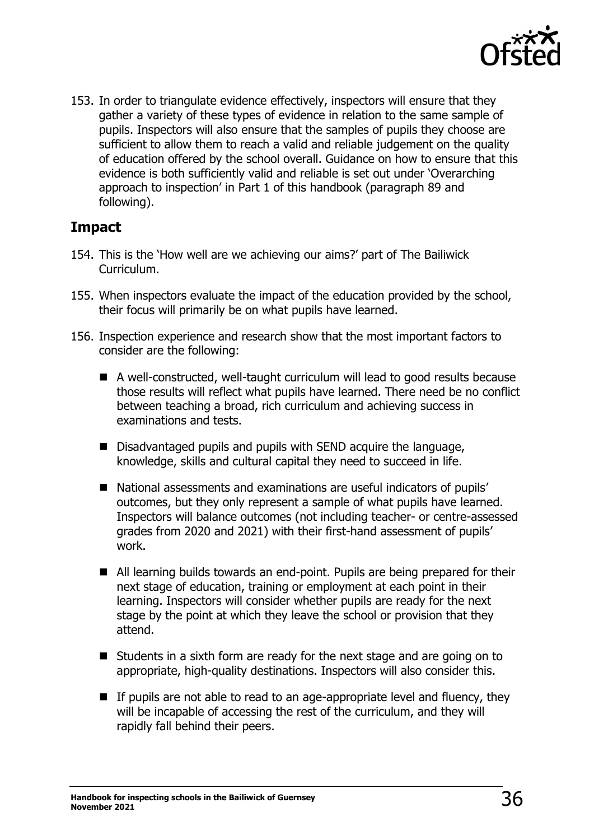

153. In order to triangulate evidence effectively, inspectors will ensure that they gather a variety of these types of evidence in relation to the same sample of pupils. Inspectors will also ensure that the samples of pupils they choose are sufficient to allow them to reach a valid and reliable judgement on the quality of education offered by the school overall. Guidance on how to ensure that this evidence is both sufficiently valid and reliable is set out under 'Overarching approach to inspection' in Part 1 of this handbook (paragraph 89 and following).

## <span id="page-35-0"></span>**Impact**

- 154. This is the 'How well are we achieving our aims?' part of The Bailiwick Curriculum.
- 155. When inspectors evaluate the impact of the education provided by the school, their focus will primarily be on what pupils have learned.
- 156. Inspection experience and research show that the most important factors to consider are the following:
	- A well-constructed, well-taught curriculum will lead to good results because those results will reflect what pupils have learned. There need be no conflict between teaching a broad, rich curriculum and achieving success in examinations and tests.
	- Disadvantaged pupils and pupils with SEND acquire the language, knowledge, skills and cultural capital they need to succeed in life.
	- National assessments and examinations are useful indicators of pupils' outcomes, but they only represent a sample of what pupils have learned. Inspectors will balance outcomes (not including teacher- or centre-assessed grades from 2020 and 2021) with their first-hand assessment of pupils' work.
	- All learning builds towards an end-point. Pupils are being prepared for their next stage of education, training or employment at each point in their learning. Inspectors will consider whether pupils are ready for the next stage by the point at which they leave the school or provision that they attend.
	- Students in a sixth form are ready for the next stage and are going on to appropriate, high-quality destinations. Inspectors will also consider this.
	- If pupils are not able to read to an age-appropriate level and fluency, they will be incapable of accessing the rest of the curriculum, and they will rapidly fall behind their peers.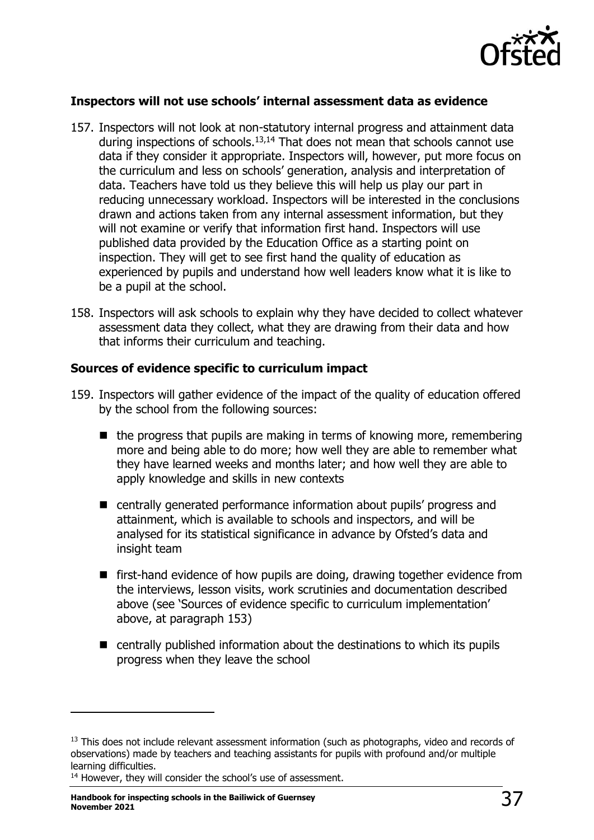

## **Inspectors will not use schools' internal assessment data as evidence**

- 157. Inspectors will not look at non-statutory internal progress and attainment data during inspections of schools.<sup>13,14</sup> That does not mean that schools cannot use data if they consider it appropriate. Inspectors will, however, put more focus on the curriculum and less on schools' generation, analysis and interpretation of data. Teachers have told us they believe this will help us play our part in reducing unnecessary workload. Inspectors will be interested in the conclusions drawn and actions taken from any internal assessment information, but they will not examine or verify that information first hand. Inspectors will use published data provided by the Education Office as a starting point on inspection. They will get to see first hand the quality of education as experienced by pupils and understand how well leaders know what it is like to be a pupil at the school.
- 158. Inspectors will ask schools to explain why they have decided to collect whatever assessment data they collect, what they are drawing from their data and how that informs their curriculum and teaching.

### **Sources of evidence specific to curriculum impact**

- 159. Inspectors will gather evidence of the impact of the quality of education offered by the school from the following sources:
	- $\blacksquare$  the progress that pupils are making in terms of knowing more, remembering more and being able to do more; how well they are able to remember what they have learned weeks and months later; and how well they are able to apply knowledge and skills in new contexts
	- centrally generated performance information about pupils' progress and attainment, which is available to schools and inspectors, and will be analysed for its statistical significance in advance by Ofsted's data and insight team
	- first-hand evidence of how pupils are doing, drawing together evidence from the interviews, lesson visits, work scrutinies and documentation described above (see 'Sources of evidence specific to curriculum implementation' above, at paragraph 153)
	- centrally published information about the destinations to which its pupils progress when they leave the school

 $13$  This does not include relevant assessment information (such as photographs, video and records of observations) made by teachers and teaching assistants for pupils with profound and/or multiple learning difficulties.

<sup>&</sup>lt;sup>14</sup> However, they will consider the school's use of assessment.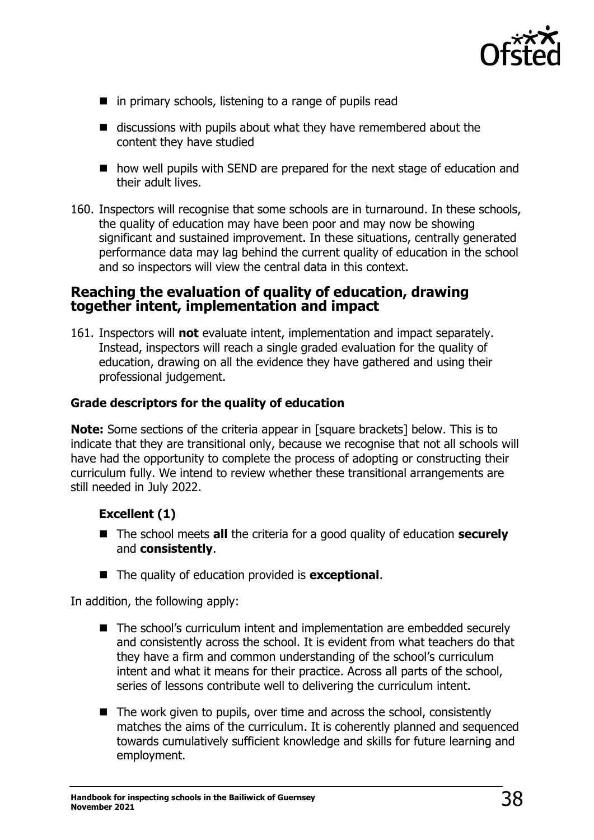

- in primary schools, listening to a range of pupils read
- discussions with pupils about what they have remembered about the content they have studied
- how well pupils with SEND are prepared for the next stage of education and their adult lives.
- 160. Inspectors will recognise that some schools are in turnaround. In these schools, the quality of education may have been poor and may now be showing significant and sustained improvement. In these situations, centrally generated performance data may lag behind the current quality of education in the school and so inspectors will view the central data in this context.

## **Reaching the evaluation of quality of education, drawing together intent, implementation and impact**

161. Inspectors will **not** evaluate intent, implementation and impact separately. Instead, inspectors will reach a single graded evaluation for the quality of education, drawing on all the evidence they have gathered and using their professional judgement.

## **Grade descriptors for the quality of education**

**Note:** Some sections of the criteria appear in [square brackets] below. This is to indicate that they are transitional only, because we recognise that not all schools will have had the opportunity to complete the process of adopting or constructing their curriculum fully. We intend to review whether these transitional arrangements are still needed in July 2022.

## **Excellent (1)**

- The school meets **all** the criteria for a good quality of education **securely** and **consistently**.
- The quality of education provided is **exceptional**.

In addition, the following apply:

- The school's curriculum intent and implementation are embedded securely and consistently across the school. It is evident from what teachers do that they have a firm and common understanding of the school's curriculum intent and what it means for their practice. Across all parts of the school, series of lessons contribute well to delivering the curriculum intent.
- The work given to pupils, over time and across the school, consistently matches the aims of the curriculum. It is coherently planned and sequenced towards cumulatively sufficient knowledge and skills for future learning and employment.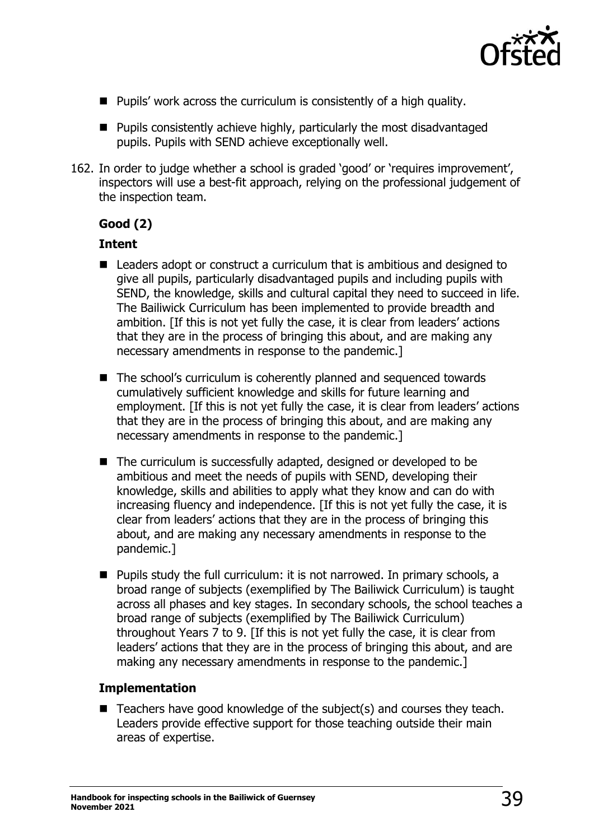

- Pupils' work across the curriculum is consistently of a high quality.
- Pupils consistently achieve highly, particularly the most disadvantaged pupils. Pupils with SEND achieve exceptionally well.
- 162. In order to judge whether a school is graded 'good' or 'requires improvement', inspectors will use a best-fit approach, relying on the professional judgement of the inspection team.

## **Good (2)**

## **Intent**

- Leaders adopt or construct a curriculum that is ambitious and designed to give all pupils, particularly disadvantaged pupils and including pupils with SEND, the knowledge, skills and cultural capital they need to succeed in life. The Bailiwick Curriculum has been implemented to provide breadth and ambition. [If this is not yet fully the case, it is clear from leaders' actions that they are in the process of bringing this about, and are making any necessary amendments in response to the pandemic.]
- The school's curriculum is coherently planned and sequenced towards cumulatively sufficient knowledge and skills for future learning and employment. [If this is not yet fully the case, it is clear from leaders' actions that they are in the process of bringing this about, and are making any necessary amendments in response to the pandemic.]
- The curriculum is successfully adapted, designed or developed to be ambitious and meet the needs of pupils with SEND, developing their knowledge, skills and abilities to apply what they know and can do with increasing fluency and independence. [If this is not yet fully the case, it is clear from leaders' actions that they are in the process of bringing this about, and are making any necessary amendments in response to the pandemic.]
- Pupils study the full curriculum: it is not narrowed. In primary schools, a broad range of subjects (exemplified by The Bailiwick Curriculum) is taught across all phases and key stages. In secondary schools, the school teaches a broad range of subjects (exemplified by The Bailiwick Curriculum) throughout Years 7 to 9. [If this is not yet fully the case, it is clear from leaders' actions that they are in the process of bringing this about, and are making any necessary amendments in response to the pandemic.]

## **Implementation**

 $\blacksquare$  Teachers have good knowledge of the subject(s) and courses they teach. Leaders provide effective support for those teaching outside their main areas of expertise.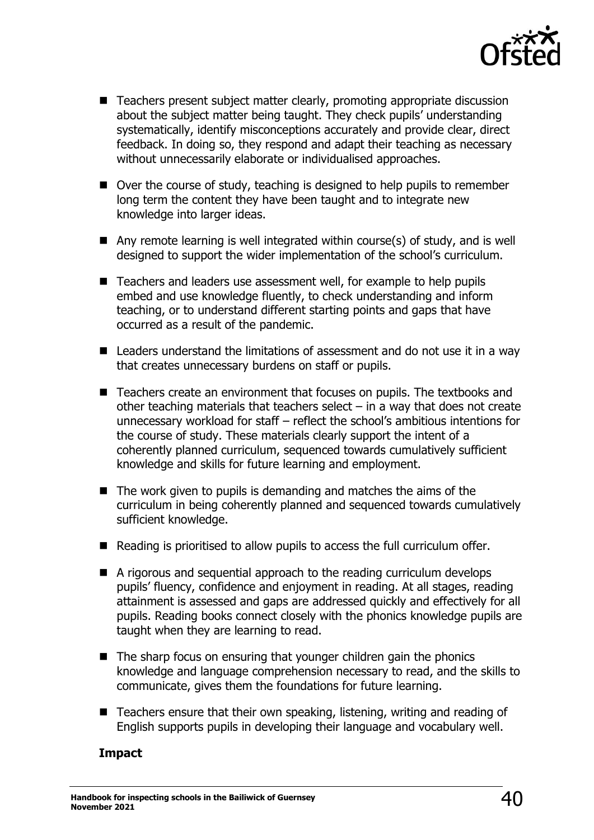

- Teachers present subject matter clearly, promoting appropriate discussion about the subject matter being taught. They check pupils' understanding systematically, identify misconceptions accurately and provide clear, direct feedback. In doing so, they respond and adapt their teaching as necessary without unnecessarily elaborate or individualised approaches.
- Over the course of study, teaching is designed to help pupils to remember long term the content they have been taught and to integrate new knowledge into larger ideas.
- $\blacksquare$  Any remote learning is well integrated within course(s) of study, and is well designed to support the wider implementation of the school's curriculum.
- Teachers and leaders use assessment well, for example to help pupils embed and use knowledge fluently, to check understanding and inform teaching, or to understand different starting points and gaps that have occurred as a result of the pandemic.
- Leaders understand the limitations of assessment and do not use it in a way that creates unnecessary burdens on staff or pupils.
- Teachers create an environment that focuses on pupils. The textbooks and other teaching materials that teachers select – in a way that does not create unnecessary workload for staff – reflect the school's ambitious intentions for the course of study. These materials clearly support the intent of a coherently planned curriculum, sequenced towards cumulatively sufficient knowledge and skills for future learning and employment.
- $\blacksquare$  The work given to pupils is demanding and matches the aims of the curriculum in being coherently planned and sequenced towards cumulatively sufficient knowledge.
- Reading is prioritised to allow pupils to access the full curriculum offer.
- A rigorous and sequential approach to the reading curriculum develops pupils' fluency, confidence and enjoyment in reading. At all stages, reading attainment is assessed and gaps are addressed quickly and effectively for all pupils. Reading books connect closely with the phonics knowledge pupils are taught when they are learning to read.
- The sharp focus on ensuring that younger children gain the phonics knowledge and language comprehension necessary to read, and the skills to communicate, gives them the foundations for future learning.
- Teachers ensure that their own speaking, listening, writing and reading of English supports pupils in developing their language and vocabulary well.

## **Impact**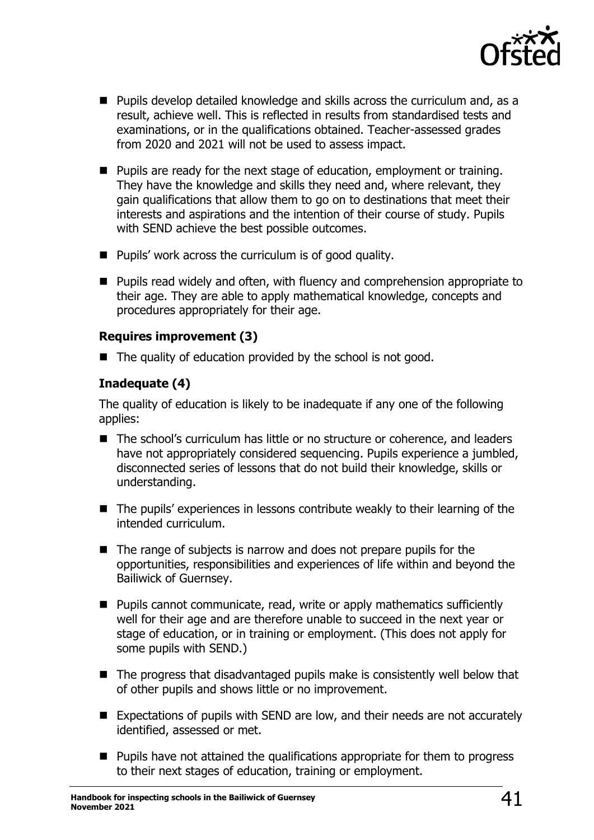

- Pupils develop detailed knowledge and skills across the curriculum and, as a result, achieve well. This is reflected in results from standardised tests and examinations, or in the qualifications obtained. Teacher-assessed grades from 2020 and 2021 will not be used to assess impact.
- Pupils are ready for the next stage of education, employment or training. They have the knowledge and skills they need and, where relevant, they gain qualifications that allow them to go on to destinations that meet their interests and aspirations and the intention of their course of study. Pupils with SEND achieve the best possible outcomes.
- Pupils' work across the curriculum is of good quality.
- Pupils read widely and often, with fluency and comprehension appropriate to their age. They are able to apply mathematical knowledge, concepts and procedures appropriately for their age.

## **Requires improvement (3)**

■ The quality of education provided by the school is not good.

## **Inadequate (4)**

The quality of education is likely to be inadequate if any one of the following applies:

- The school's curriculum has little or no structure or coherence, and leaders have not appropriately considered sequencing. Pupils experience a jumbled, disconnected series of lessons that do not build their knowledge, skills or understanding.
- The pupils' experiences in lessons contribute weakly to their learning of the intended curriculum.
- The range of subjects is narrow and does not prepare pupils for the opportunities, responsibilities and experiences of life within and beyond the Bailiwick of Guernsey.
- Pupils cannot communicate, read, write or apply mathematics sufficiently well for their age and are therefore unable to succeed in the next year or stage of education, or in training or employment. (This does not apply for some pupils with SEND.)
- The progress that disadvantaged pupils make is consistently well below that of other pupils and shows little or no improvement.
- Expectations of pupils with SEND are low, and their needs are not accurately identified, assessed or met.
- Pupils have not attained the qualifications appropriate for them to progress to their next stages of education, training or employment.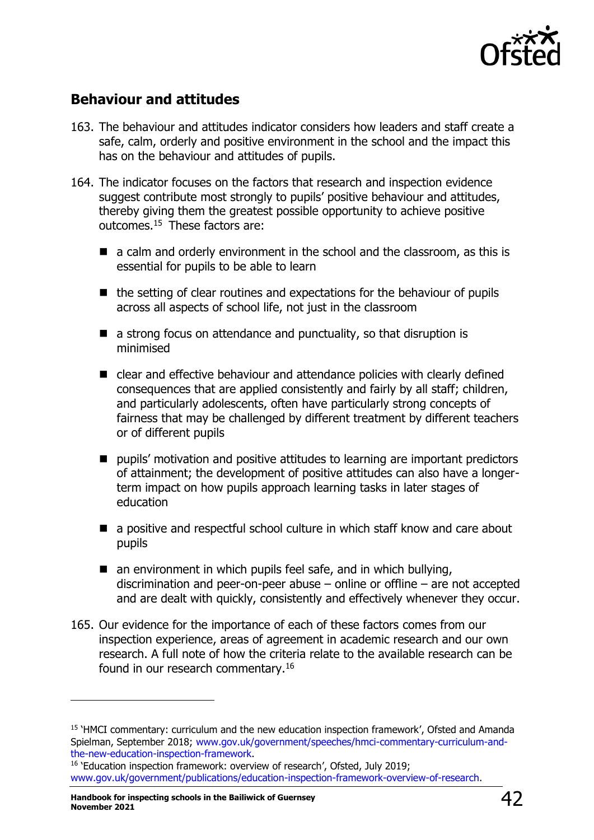

# **Behaviour and attitudes**

- 163. The behaviour and attitudes indicator considers how leaders and staff create a safe, calm, orderly and positive environment in the school and the impact this has on the behaviour and attitudes of pupils.
- 164. The indicator focuses on the factors that research and inspection evidence suggest contribute most strongly to pupils' positive behaviour and attitudes, thereby giving them the greatest possible opportunity to achieve positive outcomes.<sup>15</sup> These factors are:
	- a calm and orderly environment in the school and the classroom, as this is essential for pupils to be able to learn
	- the setting of clear routines and expectations for the behaviour of pupils across all aspects of school life, not just in the classroom
	- $\blacksquare$  a strong focus on attendance and punctuality, so that disruption is minimised
	- clear and effective behaviour and attendance policies with clearly defined consequences that are applied consistently and fairly by all staff; children, and particularly adolescents, often have particularly strong concepts of fairness that may be challenged by different treatment by different teachers or of different pupils
	- pupils' motivation and positive attitudes to learning are important predictors of attainment; the development of positive attitudes can also have a longerterm impact on how pupils approach learning tasks in later stages of education
	- a positive and respectful school culture in which staff know and care about pupils
	- $\blacksquare$  an environment in which pupils feel safe, and in which bullying, discrimination and peer-on-peer abuse – online or offline – are not accepted and are dealt with quickly, consistently and effectively whenever they occur.
- 165. Our evidence for the importance of each of these factors comes from our inspection experience, areas of agreement in academic research and our own research. A full note of how the criteria relate to the available research can be found in our research commentary.<sup>16</sup>

<sup>&</sup>lt;sup>15</sup> 'HMCI commentary: curriculum and the new education inspection framework', Ofsted and Amanda Spielman, September 2018; [www.gov.uk/government/speeches/hmci-commentary-curriculum-and](http://www.gov.uk/government/speeches/hmci-commentary-curriculum-and-the-new-education-inspection-framework)[the-new-education-inspection-framework.](http://www.gov.uk/government/speeches/hmci-commentary-curriculum-and-the-new-education-inspection-framework)

<sup>&</sup>lt;sup>16</sup> 'Education inspection framework: overview of research', Ofsted, July 2019; [www.gov.uk/government/publications/education-inspection-framework-overview-of-research.](http://www.gov.uk/government/publications/education-inspection-framework-overview-of-research)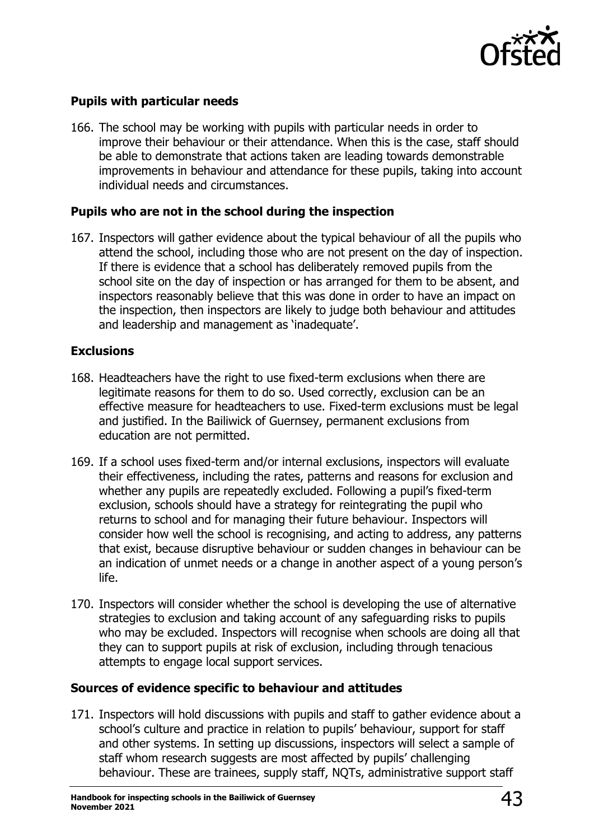

## **Pupils with particular needs**

166. The school may be working with pupils with particular needs in order to improve their behaviour or their attendance. When this is the case, staff should be able to demonstrate that actions taken are leading towards demonstrable improvements in behaviour and attendance for these pupils, taking into account individual needs and circumstances.

### **Pupils who are not in the school during the inspection**

167. Inspectors will gather evidence about the typical behaviour of all the pupils who attend the school, including those who are not present on the day of inspection. If there is evidence that a school has deliberately removed pupils from the school site on the day of inspection or has arranged for them to be absent, and inspectors reasonably believe that this was done in order to have an impact on the inspection, then inspectors are likely to judge both behaviour and attitudes and leadership and management as 'inadequate'.

### **Exclusions**

- 168. Headteachers have the right to use fixed-term exclusions when there are legitimate reasons for them to do so. Used correctly, exclusion can be an effective measure for headteachers to use. Fixed-term exclusions must be legal and justified. In the Bailiwick of Guernsey, permanent exclusions from education are not permitted.
- 169. If a school uses fixed-term and/or internal exclusions, inspectors will evaluate their effectiveness, including the rates, patterns and reasons for exclusion and whether any pupils are repeatedly excluded. Following a pupil's fixed-term exclusion, schools should have a strategy for reintegrating the pupil who returns to school and for managing their future behaviour. Inspectors will consider how well the school is recognising, and acting to address, any patterns that exist, because disruptive behaviour or sudden changes in behaviour can be an indication of unmet needs or a change in another aspect of a young person's life.
- 170. Inspectors will consider whether the school is developing the use of alternative strategies to exclusion and taking account of any safeguarding risks to pupils who may be excluded. Inspectors will recognise when schools are doing all that they can to support pupils at risk of exclusion, including through tenacious attempts to engage local support services.

## **Sources of evidence specific to behaviour and attitudes**

171. Inspectors will hold discussions with pupils and staff to gather evidence about a school's culture and practice in relation to pupils' behaviour, support for staff and other systems. In setting up discussions, inspectors will select a sample of staff whom research suggests are most affected by pupils' challenging behaviour. These are trainees, supply staff, NQTs, administrative support staff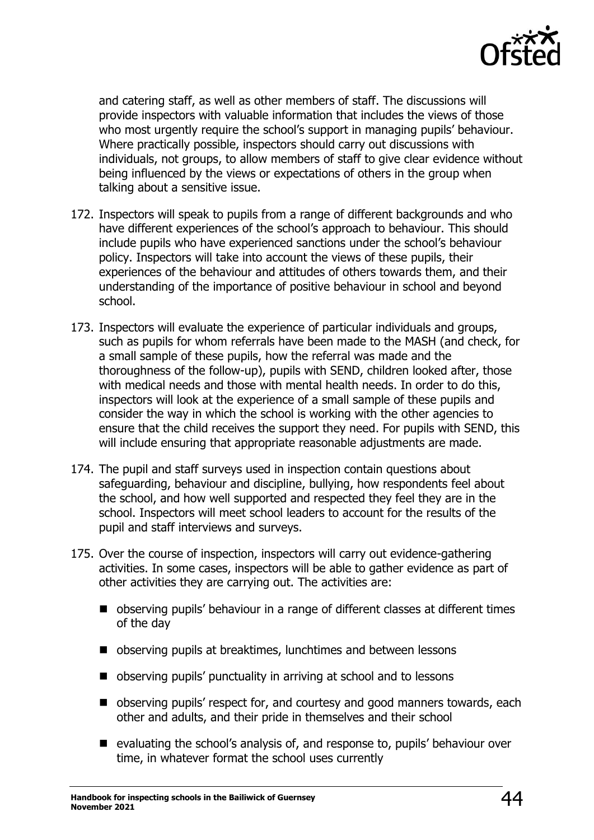

and catering staff, as well as other members of staff. The discussions will provide inspectors with valuable information that includes the views of those who most urgently require the school's support in managing pupils' behaviour. Where practically possible, inspectors should carry out discussions with individuals, not groups, to allow members of staff to give clear evidence without being influenced by the views or expectations of others in the group when talking about a sensitive issue.

- 172. Inspectors will speak to pupils from a range of different backgrounds and who have different experiences of the school's approach to behaviour. This should include pupils who have experienced sanctions under the school's behaviour policy. Inspectors will take into account the views of these pupils, their experiences of the behaviour and attitudes of others towards them, and their understanding of the importance of positive behaviour in school and beyond school.
- 173. Inspectors will evaluate the experience of particular individuals and groups, such as pupils for whom referrals have been made to the MASH (and check, for a small sample of these pupils, how the referral was made and the thoroughness of the follow-up), pupils with SEND, children looked after, those with medical needs and those with mental health needs. In order to do this, inspectors will look at the experience of a small sample of these pupils and consider the way in which the school is working with the other agencies to ensure that the child receives the support they need. For pupils with SEND, this will include ensuring that appropriate reasonable adjustments are made.
- 174. The pupil and staff surveys used in inspection contain questions about safeguarding, behaviour and discipline, bullying, how respondents feel about the school, and how well supported and respected they feel they are in the school. Inspectors will meet school leaders to account for the results of the pupil and staff interviews and surveys.
- 175. Over the course of inspection, inspectors will carry out evidence-gathering activities. In some cases, inspectors will be able to gather evidence as part of other activities they are carrying out. The activities are:
	- observing pupils' behaviour in a range of different classes at different times of the day
	- observing pupils at breaktimes, lunchtimes and between lessons
	- observing pupils' punctuality in arriving at school and to lessons
	- observing pupils' respect for, and courtesy and good manners towards, each other and adults, and their pride in themselves and their school
	- evaluating the school's analysis of, and response to, pupils' behaviour over time, in whatever format the school uses currently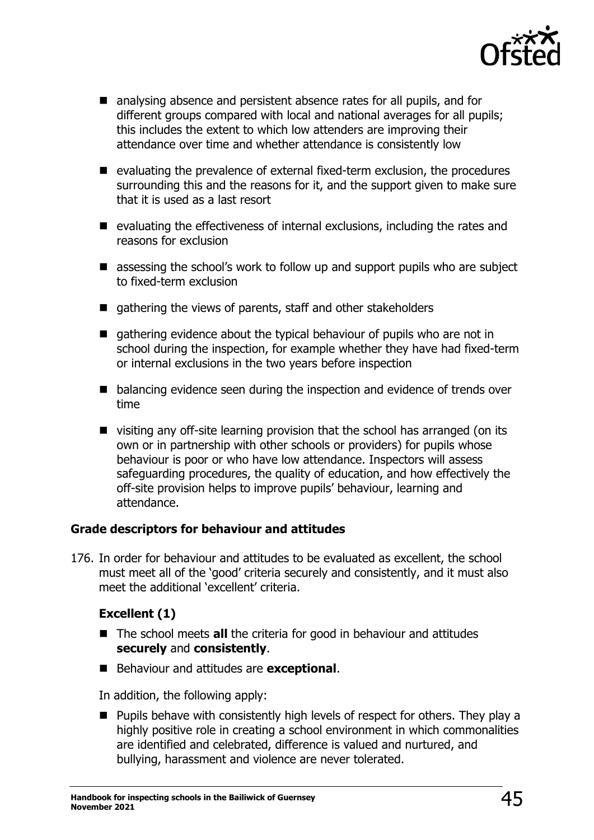

- analysing absence and persistent absence rates for all pupils, and for different groups compared with local and national averages for all pupils; this includes the extent to which low attenders are improving their attendance over time and whether attendance is consistently low
- evaluating the prevalence of external fixed-term exclusion, the procedures surrounding this and the reasons for it, and the support given to make sure that it is used as a last resort
- evaluating the effectiveness of internal exclusions, including the rates and reasons for exclusion
- assessing the school's work to follow up and support pupils who are subject to fixed-term exclusion
- gathering the views of parents, staff and other stakeholders
- gathering evidence about the typical behaviour of pupils who are not in school during the inspection, for example whether they have had fixed-term or internal exclusions in the two years before inspection
- balancing evidence seen during the inspection and evidence of trends over time
- visiting any off-site learning provision that the school has arranged (on its own or in partnership with other schools or providers) for pupils whose behaviour is poor or who have low attendance. Inspectors will assess safeguarding procedures, the quality of education, and how effectively the off-site provision helps to improve pupils' behaviour, learning and attendance.

## **Grade descriptors for behaviour and attitudes**

176. In order for behaviour and attitudes to be evaluated as excellent, the school must meet all of the 'good' criteria securely and consistently, and it must also meet the additional 'excellent' criteria.

## **Excellent (1)**

- The school meets **all** the criteria for good in behaviour and attitudes **securely** and **consistently**.
- Behaviour and attitudes are **exceptional**.

In addition, the following apply:

■ Pupils behave with consistently high levels of respect for others. They play a highly positive role in creating a school environment in which commonalities are identified and celebrated, difference is valued and nurtured, and bullying, harassment and violence are never tolerated.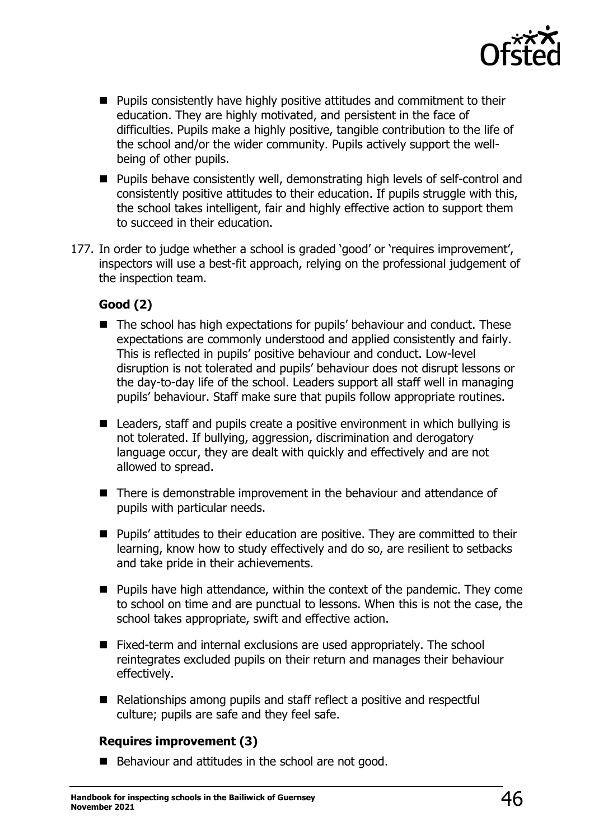

- Pupils consistently have highly positive attitudes and commitment to their education. They are highly motivated, and persistent in the face of difficulties. Pupils make a highly positive, tangible contribution to the life of the school and/or the wider community. Pupils actively support the wellbeing of other pupils.
- Pupils behave consistently well, demonstrating high levels of self-control and consistently positive attitudes to their education. If pupils struggle with this, the school takes intelligent, fair and highly effective action to support them to succeed in their education.
- 177. In order to judge whether a school is graded 'good' or 'requires improvement', inspectors will use a best-fit approach, relying on the professional judgement of the inspection team.

## **Good (2)**

- The school has high expectations for pupils' behaviour and conduct. These expectations are commonly understood and applied consistently and fairly. This is reflected in pupils' positive behaviour and conduct. Low-level disruption is not tolerated and pupils' behaviour does not disrupt lessons or the day-to-day life of the school. Leaders support all staff well in managing pupils' behaviour. Staff make sure that pupils follow appropriate routines.
- Leaders, staff and pupils create a positive environment in which bullying is not tolerated. If bullying, aggression, discrimination and derogatory language occur, they are dealt with quickly and effectively and are not allowed to spread.
- There is demonstrable improvement in the behaviour and attendance of pupils with particular needs.
- Pupils' attitudes to their education are positive. They are committed to their learning, know how to study effectively and do so, are resilient to setbacks and take pride in their achievements.
- Pupils have high attendance, within the context of the pandemic. They come to school on time and are punctual to lessons. When this is not the case, the school takes appropriate, swift and effective action.
- Fixed-term and internal exclusions are used appropriately. The school reintegrates excluded pupils on their return and manages their behaviour effectively.
- Relationships among pupils and staff reflect a positive and respectful culture; pupils are safe and they feel safe.

## **Requires improvement (3)**

■ Behaviour and attitudes in the school are not good.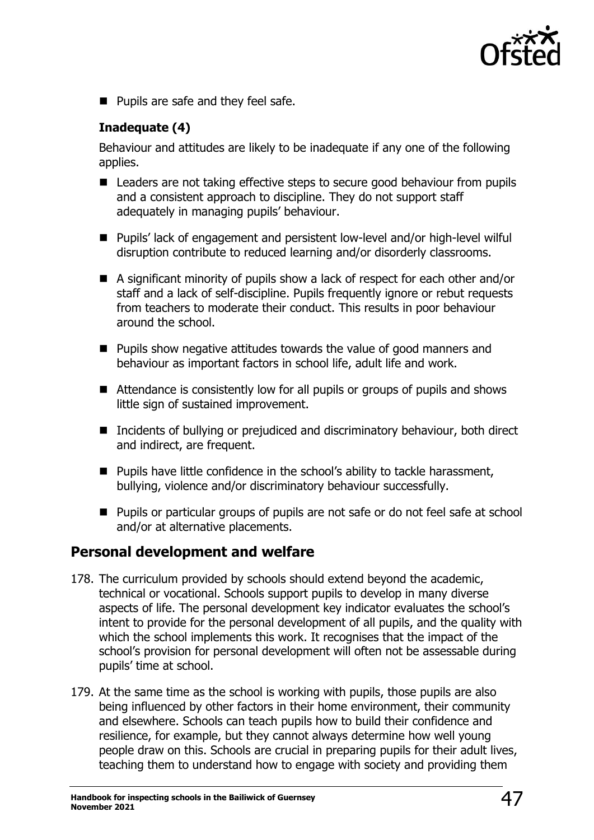

■ Pupils are safe and they feel safe.

## **Inadequate (4)**

Behaviour and attitudes are likely to be inadequate if any one of the following applies.

- Leaders are not taking effective steps to secure good behaviour from pupils and a consistent approach to discipline. They do not support staff adequately in managing pupils' behaviour.
- Pupils' lack of engagement and persistent low-level and/or high-level wilful disruption contribute to reduced learning and/or disorderly classrooms.
- A significant minority of pupils show a lack of respect for each other and/or staff and a lack of self-discipline. Pupils frequently ignore or rebut requests from teachers to moderate their conduct. This results in poor behaviour around the school.
- Pupils show negative attitudes towards the value of good manners and behaviour as important factors in school life, adult life and work.
- Attendance is consistently low for all pupils or groups of pupils and shows little sign of sustained improvement.
- Incidents of bullying or prejudiced and discriminatory behaviour, both direct and indirect, are frequent.
- Pupils have little confidence in the school's ability to tackle harassment, bullying, violence and/or discriminatory behaviour successfully.
- Pupils or particular groups of pupils are not safe or do not feel safe at school and/or at alternative placements.

## **Personal development and welfare**

- 178. The curriculum provided by schools should extend beyond the academic, technical or vocational. Schools support pupils to develop in many diverse aspects of life. The personal development key indicator evaluates the school's intent to provide for the personal development of all pupils, and the quality with which the school implements this work. It recognises that the impact of the school's provision for personal development will often not be assessable during pupils' time at school.
- 179. At the same time as the school is working with pupils, those pupils are also being influenced by other factors in their home environment, their community and elsewhere. Schools can teach pupils how to build their confidence and resilience, for example, but they cannot always determine how well young people draw on this. Schools are crucial in preparing pupils for their adult lives, teaching them to understand how to engage with society and providing them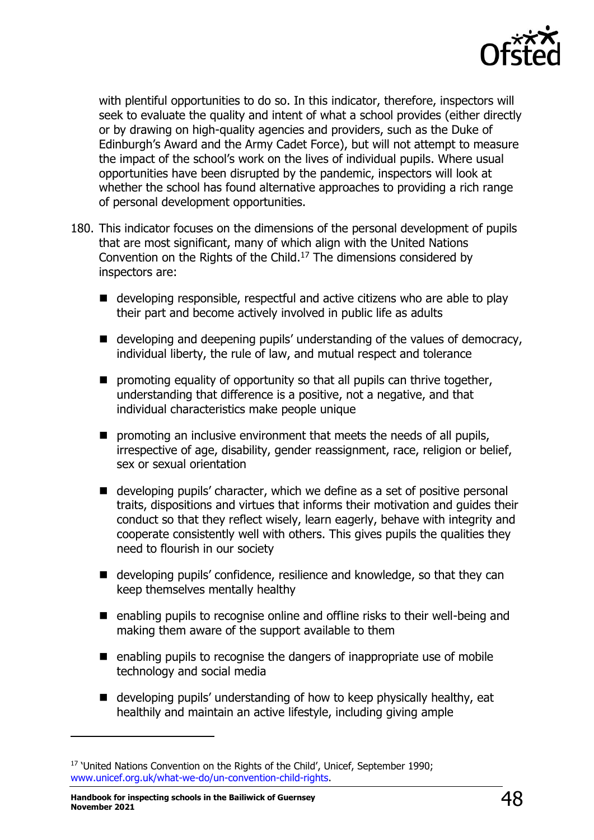

with plentiful opportunities to do so. In this indicator, therefore, inspectors will seek to evaluate the quality and intent of what a school provides (either directly or by drawing on high-quality agencies and providers, such as the Duke of Edinburgh's Award and the Army Cadet Force), but will not attempt to measure the impact of the school's work on the lives of individual pupils. Where usual opportunities have been disrupted by the pandemic, inspectors will look at whether the school has found alternative approaches to providing a rich range of personal development opportunities.

- 180. This indicator focuses on the dimensions of the personal development of pupils that are most significant, many of which align with the United Nations Convention on the Rights of the Child. <sup>17</sup> The dimensions considered by inspectors are:
	- developing responsible, respectful and active citizens who are able to play their part and become actively involved in public life as adults
	- developing and deepening pupils' understanding of the values of democracy, individual liberty, the rule of law, and mutual respect and tolerance
	- $\blacksquare$  promoting equality of opportunity so that all pupils can thrive together, understanding that difference is a positive, not a negative, and that individual characteristics make people unique
	- promoting an inclusive environment that meets the needs of all pupils, irrespective of age, disability, gender reassignment, race, religion or belief, sex or sexual orientation
	- developing pupils' character, which we define as a set of positive personal traits, dispositions and virtues that informs their motivation and guides their conduct so that they reflect wisely, learn eagerly, behave with integrity and cooperate consistently well with others. This gives pupils the qualities they need to flourish in our society
	- developing pupils' confidence, resilience and knowledge, so that they can keep themselves mentally healthy
	- enabling pupils to recognise online and offline risks to their well-being and making them aware of the support available to them
	- enabling pupils to recognise the dangers of inappropriate use of mobile technology and social media
	- developing pupils' understanding of how to keep physically healthy, eat healthily and maintain an active lifestyle, including giving ample

<sup>&</sup>lt;sup>17</sup> 'United Nations Convention on the Rights of the Child', Unicef, September 1990; [www.unicef.org.uk/what-we-do/un-convention-child-rights.](http://www.unicef.org.uk/what-we-do/un-convention-child-rights)

**Handbook for inspecting schools in the Bailiwick of Guernsey November <sup>2021</sup>** 48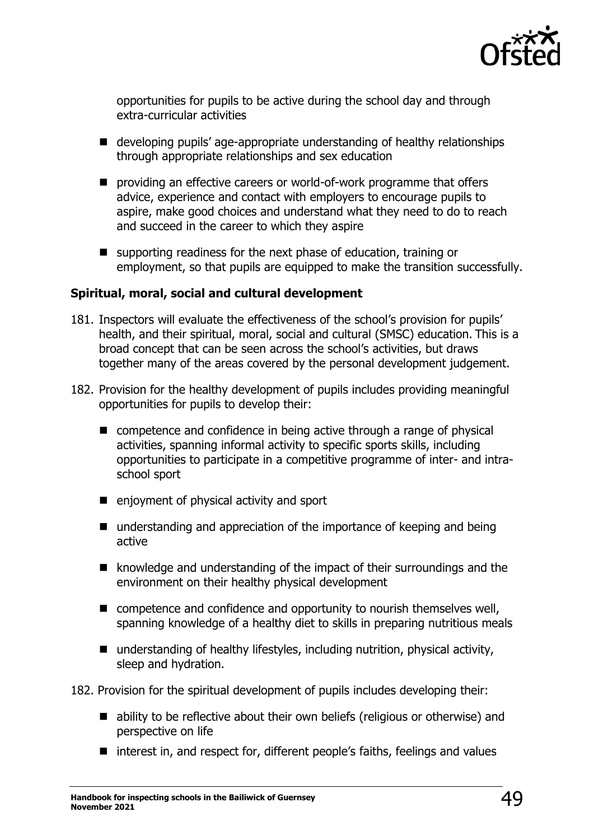

opportunities for pupils to be active during the school day and through extra-curricular activities

- developing pupils' age-appropriate understanding of healthy relationships through appropriate relationships and sex education
- providing an effective careers or world-of-work programme that offers advice, experience and contact with employers to encourage pupils to aspire, make good choices and understand what they need to do to reach and succeed in the career to which they aspire
- supporting readiness for the next phase of education, training or employment, so that pupils are equipped to make the transition successfully.

### **Spiritual, moral, social and cultural development**

- 181. Inspectors will evaluate the effectiveness of the school's provision for pupils' health, and their spiritual, moral, social and cultural (SMSC) education. This is a broad concept that can be seen across the school's activities, but draws together many of the areas covered by the personal development judgement.
- 182. Provision for the healthy development of pupils includes providing meaningful opportunities for pupils to develop their:
	- competence and confidence in being active through a range of physical activities, spanning informal activity to specific sports skills, including opportunities to participate in a competitive programme of inter- and intraschool sport
	- enjoyment of physical activity and sport
	- understanding and appreciation of the importance of keeping and being active
	- knowledge and understanding of the impact of their surroundings and the environment on their healthy physical development
	- competence and confidence and opportunity to nourish themselves well, spanning knowledge of a healthy diet to skills in preparing nutritious meals
	- $\blacksquare$  understanding of healthy lifestyles, including nutrition, physical activity, sleep and hydration.

182. Provision for the spiritual development of pupils includes developing their:

- ability to be reflective about their own beliefs (religious or otherwise) and perspective on life
- interest in, and respect for, different people's faiths, feelings and values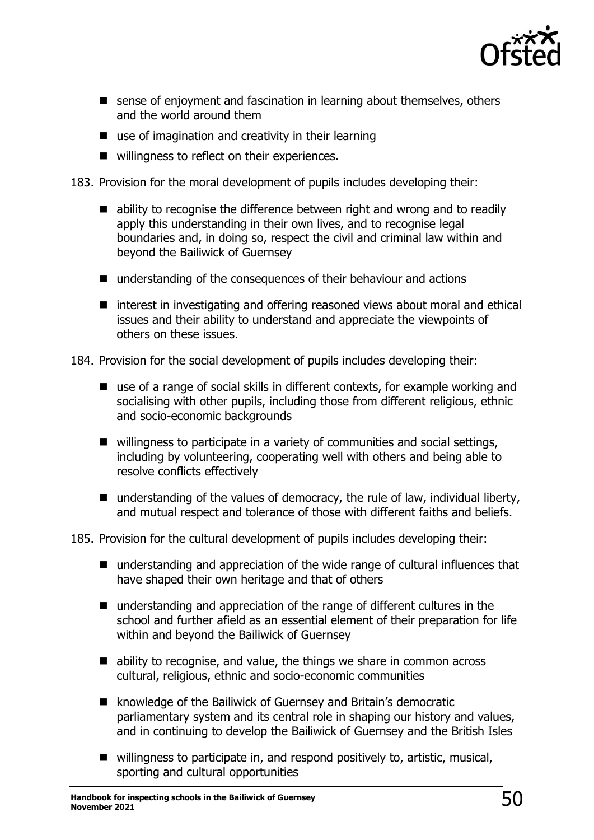

- sense of enjoyment and fascination in learning about themselves, others and the world around them
- use of imagination and creativity in their learning
- willingness to reflect on their experiences.
- 183. Provision for the moral development of pupils includes developing their:
	- ability to recognise the difference between right and wrong and to readily apply this understanding in their own lives, and to recognise legal boundaries and, in doing so, respect the civil and criminal law within and beyond the Bailiwick of Guernsey
	- understanding of the consequences of their behaviour and actions
	- interest in investigating and offering reasoned views about moral and ethical issues and their ability to understand and appreciate the viewpoints of others on these issues.

184. Provision for the social development of pupils includes developing their:

- use of a range of social skills in different contexts, for example working and socialising with other pupils, including those from different religious, ethnic and socio-economic backgrounds
- willingness to participate in a variety of communities and social settings, including by volunteering, cooperating well with others and being able to resolve conflicts effectively
- $\blacksquare$  understanding of the values of democracy, the rule of law, individual liberty, and mutual respect and tolerance of those with different faiths and beliefs.

#### 185. Provision for the cultural development of pupils includes developing their:

- understanding and appreciation of the wide range of cultural influences that have shaped their own heritage and that of others
- understanding and appreciation of the range of different cultures in the school and further afield as an essential element of their preparation for life within and beyond the Bailiwick of Guernsey
- ability to recognise, and value, the things we share in common across cultural, religious, ethnic and socio-economic communities
- knowledge of the Bailiwick of Guernsey and Britain's democratic parliamentary system and its central role in shaping our history and values, and in continuing to develop the Bailiwick of Guernsey and the British Isles
- willingness to participate in, and respond positively to, artistic, musical, sporting and cultural opportunities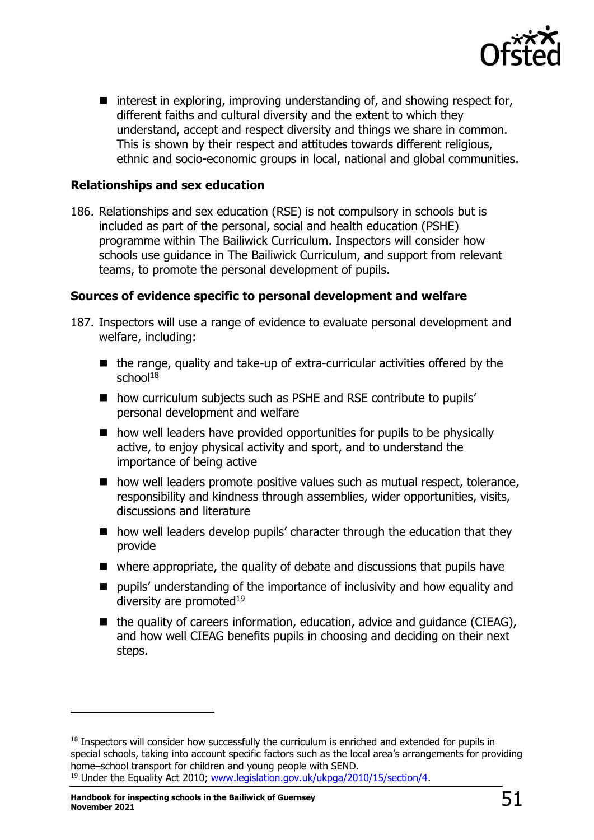

■ interest in exploring, improving understanding of, and showing respect for, different faiths and cultural diversity and the extent to which they understand, accept and respect diversity and things we share in common. This is shown by their respect and attitudes towards different religious, ethnic and socio-economic groups in local, national and global communities.

## **Relationships and sex education**

186. Relationships and sex education (RSE) is not compulsory in schools but is included as part of the personal, social and health education (PSHE) programme within The Bailiwick Curriculum. Inspectors will consider how schools use guidance in The Bailiwick Curriculum, and support from relevant teams, to promote the personal development of pupils.

## **Sources of evidence specific to personal development and welfare**

- 187. Inspectors will use a range of evidence to evaluate personal development and welfare, including:
	- $\blacksquare$  the range, quality and take-up of extra-curricular activities offered by the school $18$
	- how curriculum subjects such as PSHE and RSE contribute to pupils' personal development and welfare
	- how well leaders have provided opportunities for pupils to be physically active, to enjoy physical activity and sport, and to understand the importance of being active
	- how well leaders promote positive values such as mutual respect, tolerance, responsibility and kindness through assemblies, wider opportunities, visits, discussions and literature
	- how well leaders develop pupils' character through the education that they provide
	- where appropriate, the quality of debate and discussions that pupils have
	- pupils' understanding of the importance of inclusivity and how equality and diversity are promoted $19$
	- the quality of careers information, education, advice and quidance (CIEAG), and how well CIEAG benefits pupils in choosing and deciding on their next steps.

<sup>&</sup>lt;sup>18</sup> Inspectors will consider how successfully the curriculum is enriched and extended for pupils in special schools, taking into account specific factors such as the local area's arrangements for providing home–school transport for children and young people with SEND. <sup>19</sup> Under the Equality Act 2010; [www.legislation.gov.uk/ukpga/2010/15/section/4.](http://www.legislation.gov.uk/ukpga/2010/15/section/4)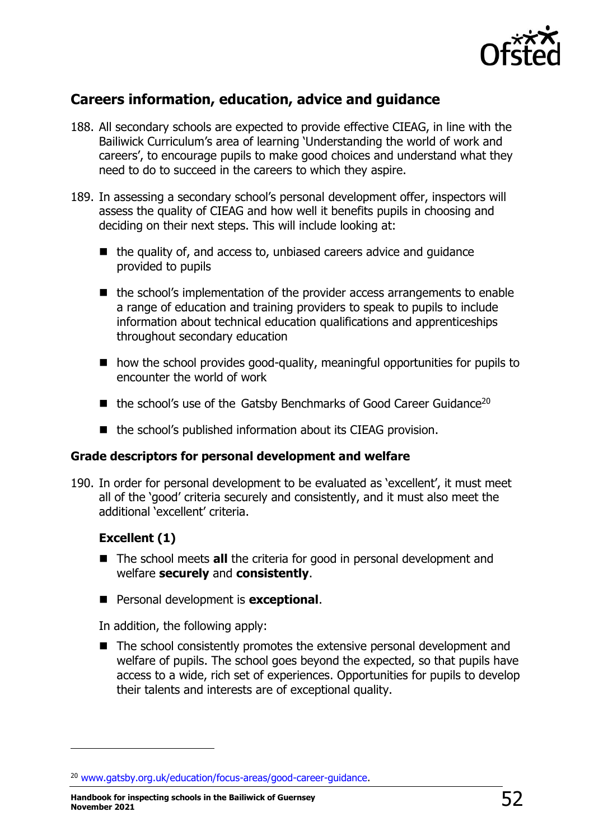

# **Careers information, education, advice and guidance**

- 188. All secondary schools are expected to provide effective CIEAG, in line with the Bailiwick Curriculum's area of learning 'Understanding the world of work and careers', to encourage pupils to make good choices and understand what they need to do to succeed in the careers to which they aspire.
- 189. In assessing a secondary school's personal development offer, inspectors will assess the quality of CIEAG and how well it benefits pupils in choosing and deciding on their next steps. This will include looking at:
	- the quality of, and access to, unbiased careers advice and quidance provided to pupils
	- the school's implementation of the provider access arrangements to enable a range of education and training providers to speak to pupils to include information about technical education qualifications and apprenticeships throughout secondary education
	- $\blacksquare$  how the school provides good-quality, meaningful opportunities for pupils to encounter the world of work
	- the school's use of the Gatsby Benchmarks of Good Career Guidance<sup>20</sup>
	- the school's published information about its CIEAG provision.

## **Grade descriptors for personal development and welfare**

190. In order for personal development to be evaluated as 'excellent', it must meet all of the 'good' criteria securely and consistently, and it must also meet the additional 'excellent' criteria.

## **Excellent (1)**

- The school meets **all** the criteria for good in personal development and welfare **securely** and **consistently**.
- Personal development is **exceptional**.

In addition, the following apply:

■ The school consistently promotes the extensive personal development and welfare of pupils. The school goes beyond the expected, so that pupils have access to a wide, rich set of experiences. Opportunities for pupils to develop their talents and interests are of exceptional quality.

<sup>20</sup> [www.gatsby.org.uk/education/focus-areas/good-career-guidance.](http://www.gatsby.org.uk/education/focus-areas/good-career-guidance)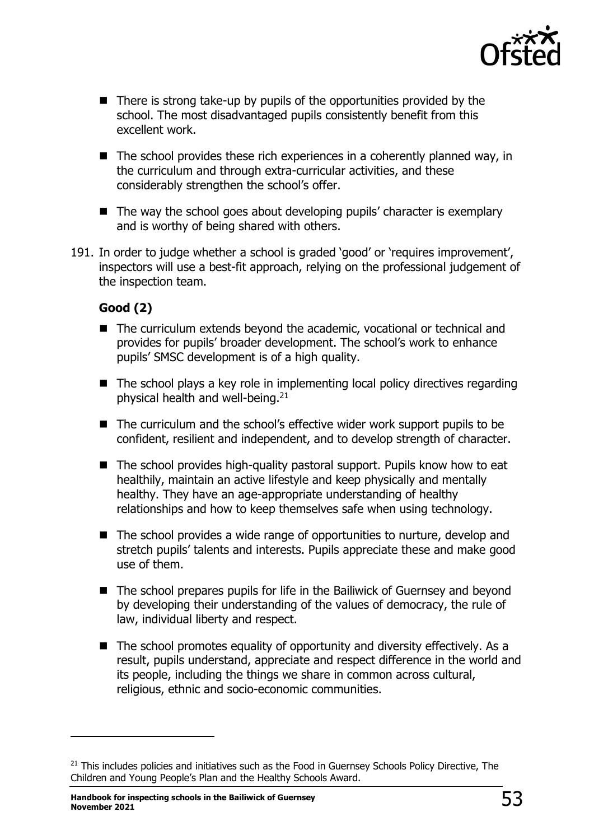

- There is strong take-up by pupils of the opportunities provided by the school. The most disadvantaged pupils consistently benefit from this excellent work.
- The school provides these rich experiences in a coherently planned way, in the curriculum and through extra-curricular activities, and these considerably strengthen the school's offer.
- The way the school goes about developing pupils' character is exemplary and is worthy of being shared with others.
- 191. In order to judge whether a school is graded 'good' or 'requires improvement', inspectors will use a best-fit approach, relying on the professional judgement of the inspection team.

## **Good (2)**

- The curriculum extends beyond the academic, vocational or technical and provides for pupils' broader development. The school's work to enhance pupils' SMSC development is of a high quality.
- The school plays a key role in implementing local policy directives regarding physical health and well-being.<sup>21</sup>
- The curriculum and the school's effective wider work support pupils to be confident, resilient and independent, and to develop strength of character.
- The school provides high-quality pastoral support. Pupils know how to eat healthily, maintain an active lifestyle and keep physically and mentally healthy. They have an age-appropriate understanding of healthy relationships and how to keep themselves safe when using technology.
- The school provides a wide range of opportunities to nurture, develop and stretch pupils' talents and interests. Pupils appreciate these and make good use of them.
- The school prepares pupils for life in the Bailiwick of Guernsey and beyond by developing their understanding of the values of democracy, the rule of law, individual liberty and respect.
- The school promotes equality of opportunity and diversity effectively. As a result, pupils understand, appreciate and respect difference in the world and its people, including the things we share in common across cultural, religious, ethnic and socio-economic communities.

<sup>&</sup>lt;sup>21</sup> This includes policies and initiatives such as the Food in Guernsey Schools Policy Directive, The Children and Young People's Plan and the Healthy Schools Award.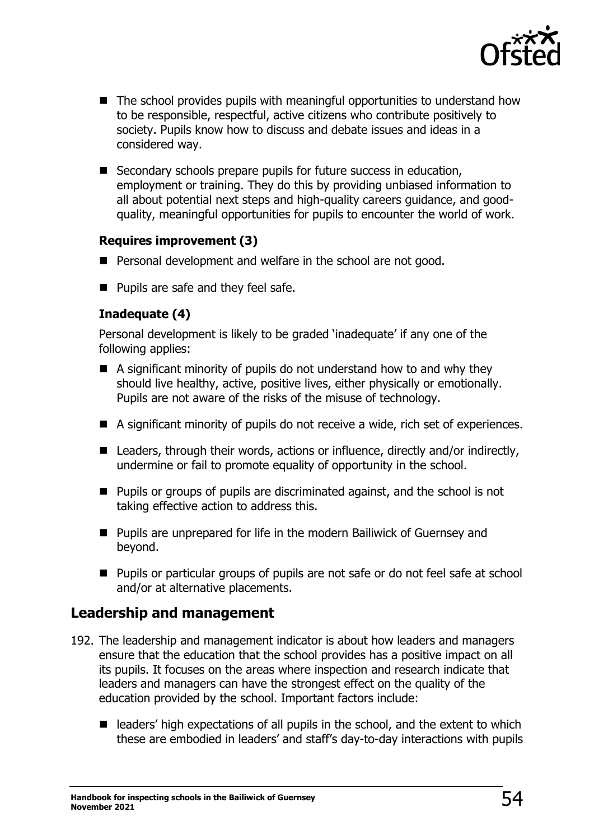

- The school provides pupils with meaningful opportunities to understand how to be responsible, respectful, active citizens who contribute positively to society. Pupils know how to discuss and debate issues and ideas in a considered way.
- Secondary schools prepare pupils for future success in education, employment or training. They do this by providing unbiased information to all about potential next steps and high-quality careers guidance, and goodquality, meaningful opportunities for pupils to encounter the world of work.

## **Requires improvement (3)**

- Personal development and welfare in the school are not good.
- Pupils are safe and they feel safe.

## **Inadequate (4)**

Personal development is likely to be graded 'inadequate' if any one of the following applies:

- A significant minority of pupils do not understand how to and why they should live healthy, active, positive lives, either physically or emotionally. Pupils are not aware of the risks of the misuse of technology.
- A significant minority of pupils do not receive a wide, rich set of experiences.
- Leaders, through their words, actions or influence, directly and/or indirectly, undermine or fail to promote equality of opportunity in the school.
- Pupils or groups of pupils are discriminated against, and the school is not taking effective action to address this.
- Pupils are unprepared for life in the modern Bailiwick of Guernsey and beyond.
- Pupils or particular groups of pupils are not safe or do not feel safe at school and/or at alternative placements.

## **Leadership and management**

- 192. The leadership and management indicator is about how leaders and managers ensure that the education that the school provides has a positive impact on all its pupils. It focuses on the areas where inspection and research indicate that leaders and managers can have the strongest effect on the quality of the education provided by the school. Important factors include:
	- leaders' high expectations of all pupils in the school, and the extent to which these are embodied in leaders' and staff's day-to-day interactions with pupils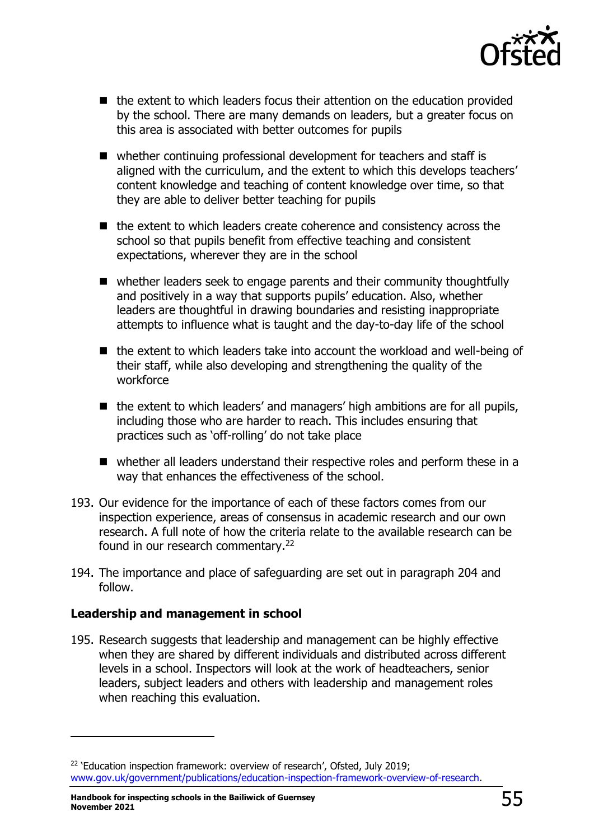

- the extent to which leaders focus their attention on the education provided by the school. There are many demands on leaders, but a greater focus on this area is associated with better outcomes for pupils
- whether continuing professional development for teachers and staff is aligned with the curriculum, and the extent to which this develops teachers' content knowledge and teaching of content knowledge over time, so that they are able to deliver better teaching for pupils
- the extent to which leaders create coherence and consistency across the school so that pupils benefit from effective teaching and consistent expectations, wherever they are in the school
- whether leaders seek to engage parents and their community thoughtfully and positively in a way that supports pupils' education. Also, whether leaders are thoughtful in drawing boundaries and resisting inappropriate attempts to influence what is taught and the day-to-day life of the school
- the extent to which leaders take into account the workload and well-being of their staff, while also developing and strengthening the quality of the workforce
- the extent to which leaders' and managers' high ambitions are for all pupils, including those who are harder to reach. This includes ensuring that practices such as 'off-rolling' do not take place
- whether all leaders understand their respective roles and perform these in a way that enhances the effectiveness of the school.
- 193. Our evidence for the importance of each of these factors comes from our inspection experience, areas of consensus in academic research and our own research. A full note of how the criteria relate to the available research can be found in our research commentary.<sup>22</sup>
- 194. The importance and place of safeguarding are set out in paragraph 204 and follow.

## **Leadership and management in school**

195. Research suggests that leadership and management can be highly effective when they are shared by different individuals and distributed across different levels in a school. Inspectors will look at the work of headteachers, senior leaders, subject leaders and others with leadership and management roles when reaching this evaluation.

<sup>&</sup>lt;sup>22</sup> 'Education inspection framework: overview of research', Ofsted, July 2019; [www.gov.uk/government/publications/education-inspection-framework-overview-of-research.](http://www.gov.uk/government/publications/education-inspection-framework-overview-of-research)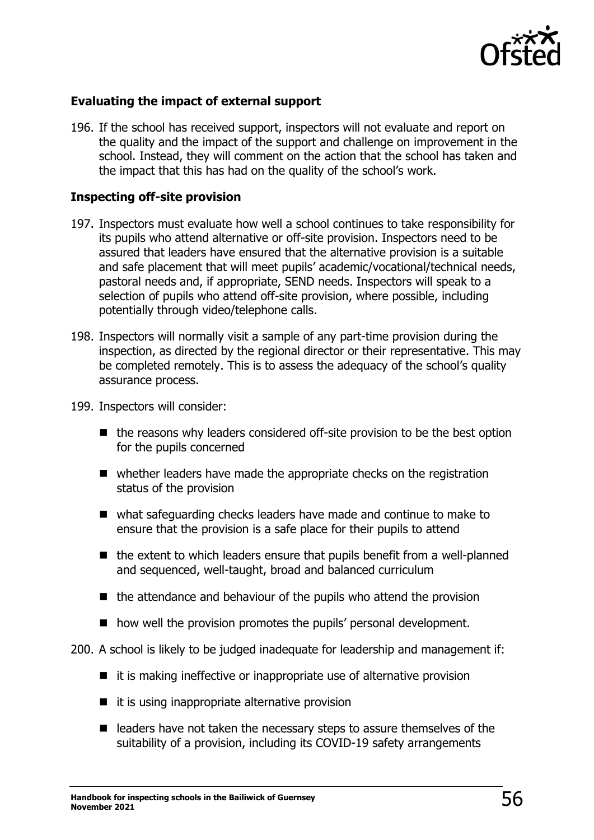

## **Evaluating the impact of external support**

196. If the school has received support, inspectors will not evaluate and report on the quality and the impact of the support and challenge on improvement in the school. Instead, they will comment on the action that the school has taken and the impact that this has had on the quality of the school's work.

#### **Inspecting off-site provision**

- 197. Inspectors must evaluate how well a school continues to take responsibility for its pupils who attend alternative or off-site provision. Inspectors need to be assured that leaders have ensured that the alternative provision is a suitable and safe placement that will meet pupils' academic/vocational/technical needs, pastoral needs and, if appropriate, SEND needs. Inspectors will speak to a selection of pupils who attend off-site provision, where possible, including potentially through video/telephone calls.
- 198. Inspectors will normally visit a sample of any part-time provision during the inspection, as directed by the regional director or their representative. This may be completed remotely. This is to assess the adequacy of the school's quality assurance process.
- 199. Inspectors will consider:
	- the reasons why leaders considered off-site provision to be the best option for the pupils concerned
	- whether leaders have made the appropriate checks on the registration status of the provision
	- what safeguarding checks leaders have made and continue to make to ensure that the provision is a safe place for their pupils to attend
	- the extent to which leaders ensure that pupils benefit from a well-planned and sequenced, well-taught, broad and balanced curriculum
	- the attendance and behaviour of the pupils who attend the provision
	- how well the provision promotes the pupils' personal development.
- 200. A school is likely to be judged inadequate for leadership and management if:
	- it is making ineffective or inappropriate use of alternative provision
	- it is using inappropriate alternative provision
	- leaders have not taken the necessary steps to assure themselves of the suitability of a provision, including its COVID-19 safety arrangements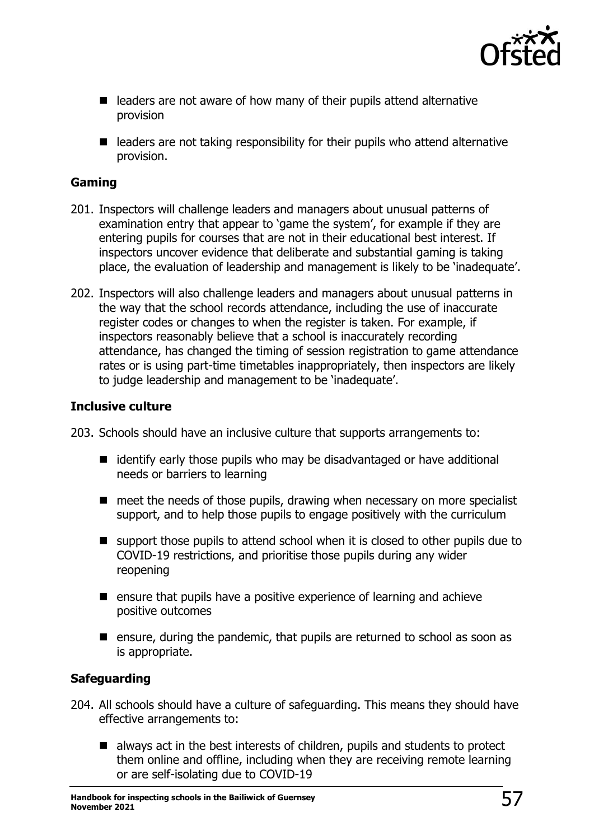

- leaders are not aware of how many of their pupils attend alternative provision
- leaders are not taking responsibility for their pupils who attend alternative provision.

## **Gaming**

- 201. Inspectors will challenge leaders and managers about unusual patterns of examination entry that appear to 'game the system', for example if they are entering pupils for courses that are not in their educational best interest. If inspectors uncover evidence that deliberate and substantial gaming is taking place, the evaluation of leadership and management is likely to be 'inadequate'.
- 202. Inspectors will also challenge leaders and managers about unusual patterns in the way that the school records attendance, including the use of inaccurate register codes or changes to when the register is taken. For example, if inspectors reasonably believe that a school is inaccurately recording attendance, has changed the timing of session registration to game attendance rates or is using part-time timetables inappropriately, then inspectors are likely to judge leadership and management to be 'inadequate'.

## **Inclusive culture**

203. Schools should have an inclusive culture that supports arrangements to:

- identify early those pupils who may be disadvantaged or have additional needs or barriers to learning
- meet the needs of those pupils, drawing when necessary on more specialist support, and to help those pupils to engage positively with the curriculum
- support those pupils to attend school when it is closed to other pupils due to COVID-19 restrictions, and prioritise those pupils during any wider reopening
- ensure that pupils have a positive experience of learning and achieve positive outcomes
- ensure, during the pandemic, that pupils are returned to school as soon as is appropriate.

## **Safeguarding**

- 204. All schools should have a culture of safeguarding. This means they should have effective arrangements to:
	- always act in the best interests of children, pupils and students to protect them online and offline, including when they are receiving remote learning or are self-isolating due to COVID-19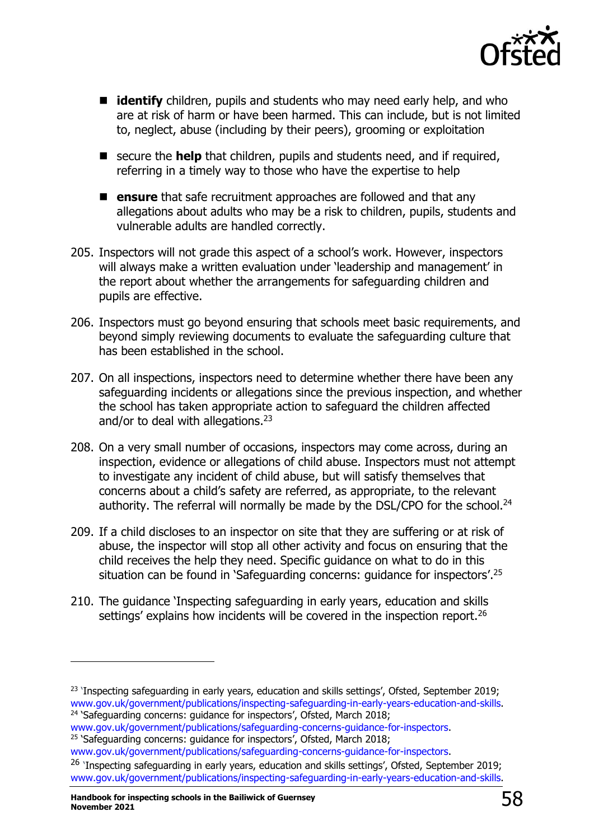

- **identify** children, pupils and students who may need early help, and who are at risk of harm or have been harmed. This can include, but is not limited to, neglect, abuse (including by their peers), grooming or exploitation
- secure the **help** that children, pupils and students need, and if required, referring in a timely way to those who have the expertise to help
- ensure that safe recruitment approaches are followed and that any allegations about adults who may be a risk to children, pupils, students and vulnerable adults are handled correctly.
- 205. Inspectors will not grade this aspect of a school's work. However, inspectors will always make a written evaluation under 'leadership and management' in the report about whether the arrangements for safeguarding children and pupils are effective.
- 206. Inspectors must go beyond ensuring that schools meet basic requirements, and beyond simply reviewing documents to evaluate the safeguarding culture that has been established in the school.
- 207. On all inspections, inspectors need to determine whether there have been any safeguarding incidents or allegations since the previous inspection, and whether the school has taken appropriate action to safeguard the children affected and/or to deal with allegations.<sup>23</sup>
- 208. On a very small number of occasions, inspectors may come across, during an inspection, evidence or allegations of child abuse. Inspectors must not attempt to investigate any incident of child abuse, but will satisfy themselves that concerns about a child's safety are referred, as appropriate, to the relevant authority. The referral will normally be made by the DSL/CPO for the school.<sup>24</sup>
- 209. If a child discloses to an inspector on site that they are suffering or at risk of abuse, the inspector will stop all other activity and focus on ensuring that the child receives the help they need. Specific guidance on what to do in this situation can be found in 'Safeguarding concerns: guidance for inspectors'. 25
- 210. The guidance 'Inspecting safeguarding in early years, education and skills settings' explains how incidents will be covered in the inspection report.<sup>26</sup>

```
www.gov.uk/government/publications/safeguarding-concerns-guidance-for-inspectors.
```
<sup>25</sup> 'Safeguarding concerns: guidance for inspectors', Ofsted, March 2018;

<sup>&</sup>lt;sup>23</sup> 'Inspecting safeguarding in early years, education and skills settings', Ofsted, September 2019; [www.gov.uk/government/publications/inspecting-safeguarding-in-early-years-education-and-skills.](https://www.gov.uk/government/publications/inspecting-safeguarding-in-early-years-education-and-skills) <sup>24</sup> 'Safeguarding concerns: guidance for inspectors', Ofsted, March 2018;

[www.gov.uk/government/publications/safeguarding-concerns-guidance-for-inspectors.](http://www.gov.uk/government/publications/safeguarding-concerns-guidance-for-inspectors)

<sup>&</sup>lt;sup>26</sup> 'Inspecting safeguarding in early years, education and skills settings', Ofsted, September 2019; [www.gov.uk/government/publications/inspecting-safeguarding-in-early-years-education-and-skills.](https://www.gov.uk/government/publications/inspecting-safeguarding-in-early-years-education-and-skills)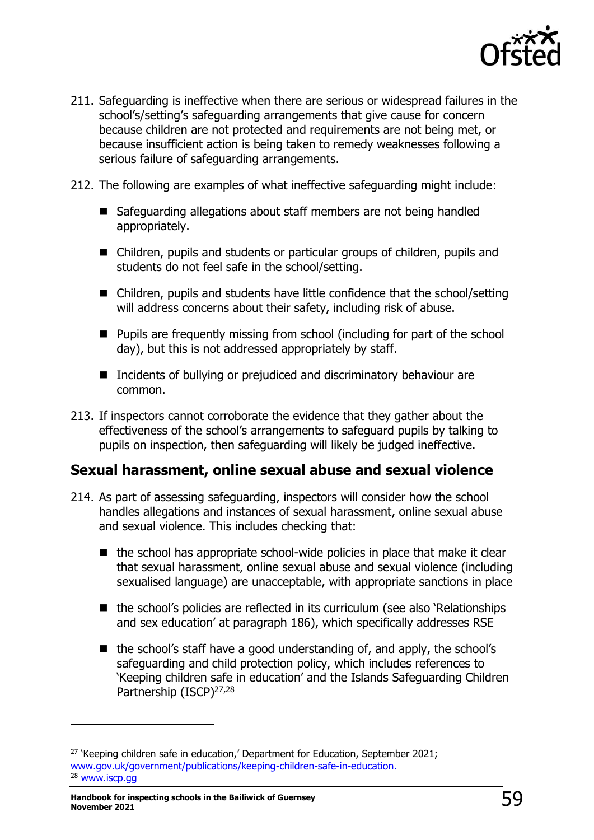

- 211. Safeguarding is ineffective when there are serious or widespread failures in the school's/setting's safeguarding arrangements that give cause for concern because children are not protected and requirements are not being met, or because insufficient action is being taken to remedy weaknesses following a serious failure of safeguarding arrangements.
- 212. The following are examples of what ineffective safeguarding might include:
	- Safeguarding allegations about staff members are not being handled appropriately.
	- Children, pupils and students or particular groups of children, pupils and students do not feel safe in the school/setting.
	- Children, pupils and students have little confidence that the school/setting will address concerns about their safety, including risk of abuse.
	- Pupils are frequently missing from school (including for part of the school day), but this is not addressed appropriately by staff.
	- Incidents of bullying or prejudiced and discriminatory behaviour are common.
- 213. If inspectors cannot corroborate the evidence that they gather about the effectiveness of the school's arrangements to safeguard pupils by talking to pupils on inspection, then safeguarding will likely be judged ineffective.

## **Sexual harassment, online sexual abuse and sexual violence**

- 214. As part of assessing safeguarding, inspectors will consider how the school handles allegations and instances of sexual harassment, online sexual abuse and sexual violence. This includes checking that:
	- $\blacksquare$  the school has appropriate school-wide policies in place that make it clear that sexual harassment, online sexual abuse and sexual violence (including sexualised language) are unacceptable, with appropriate sanctions in place
	- the school's policies are reflected in its curriculum (see also 'Relationships and sex education' at paragraph 186), which specifically addresses RSE
	- the school's staff have a good understanding of, and apply, the school's safeguarding and child protection policy, which includes references to 'Keeping children safe in education' and the Islands Safeguarding Children Partnership (ISCP)<sup>27,28</sup>

<sup>&</sup>lt;sup>27</sup> 'Keeping children safe in education,' Department for Education, September 2021; [www.gov.uk/government/publications/keeping-children-safe-in-education.](http://www.gov.uk/government/publications/keeping-children-safe-in-education) <sup>28</sup> [www.iscp.gg](http://www.iscp.gg/)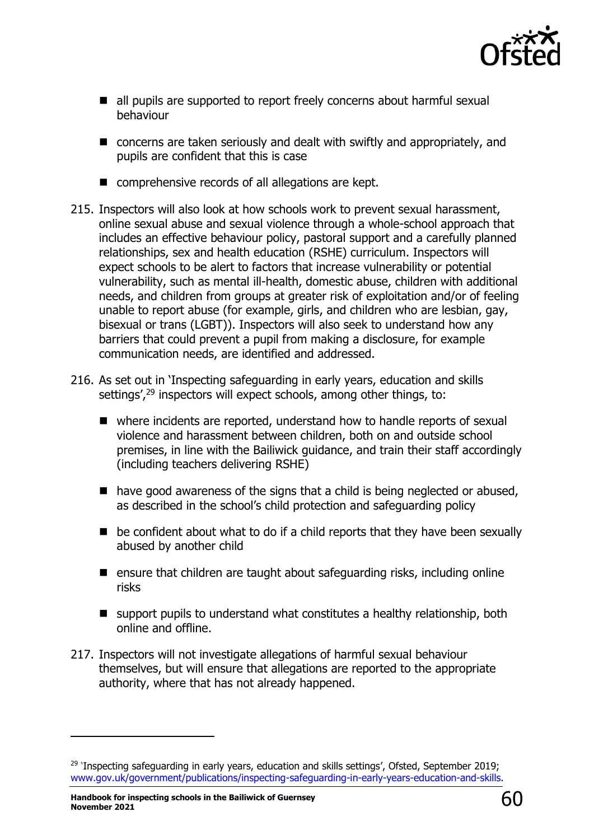

- all pupils are supported to report freely concerns about harmful sexual behaviour
- concerns are taken seriously and dealt with swiftly and appropriately, and pupils are confident that this is case
- comprehensive records of all allegations are kept.
- 215. Inspectors will also look at how schools work to prevent sexual harassment, online sexual abuse and sexual violence through a whole-school approach that includes an effective behaviour policy, pastoral support and a carefully planned relationships, sex and health education (RSHE) curriculum. Inspectors will expect schools to be alert to factors that increase vulnerability or potential vulnerability, such as mental ill-health, domestic abuse, children with additional needs, and children from groups at greater risk of exploitation and/or of feeling unable to report abuse (for example, girls, and children who are lesbian, gay, bisexual or trans (LGBT)). Inspectors will also seek to understand how any barriers that could prevent a pupil from making a disclosure, for example communication needs, are identified and addressed.
- 216. As set out in 'Inspecting safeguarding in early years, education and skills settings',<sup>29</sup> inspectors will expect schools, among other things, to:
	- where incidents are reported, understand how to handle reports of sexual violence and harassment between children, both on and outside school premises, in line with the [Bailiwick guidance,](https://www.gov.uk/government/publications/sexual-violence-and-sexual-harassment-between-children-in-schools-and-colleges) and train their staff accordingly (including teachers delivering RSHE)
	- have good awareness of the signs that a child is being neglected or abused, as described in the school's child protection and safeguarding policy
	- $\blacksquare$  be confident about what to do if a child reports that they have been sexually abused by another child
	- ensure that children are taught about safeguarding risks, including online [risks](https://www.gov.uk/government/publications/teaching-online-safety-in-schools)
	- support pupils to understand what constitutes a healthy relationship, both online and offline.
- 217. Inspectors will not investigate allegations of harmful sexual behaviour themselves, but will ensure that allegations are reported to the appropriate authority, where that has not already happened.

<sup>&</sup>lt;sup>29</sup> 'Inspecting safeguarding in early years, education and skills settings', Ofsted, September 2019; [www.gov.uk/government/publications/inspecting-safeguarding-in-early-years-education-and-skills.](https://www.gov.uk/government/publications/inspecting-safeguarding-in-early-years-education-and-skills)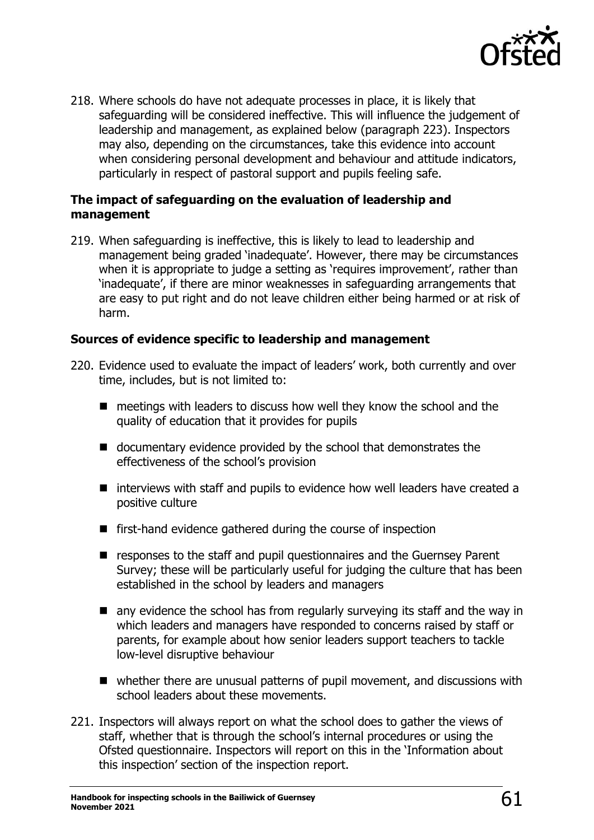

218. Where schools do have not adequate processes in place, it is likely that safeguarding will be considered ineffective. This will influence the judgement of leadership and management, as explained below (paragraph 223). Inspectors may also, depending on the circumstances, take this evidence into account when considering personal development and behaviour and attitude indicators, particularly in respect of pastoral support and pupils feeling safe.

### **The impact of safeguarding on the evaluation of leadership and management**

219. When safeguarding is ineffective, this is likely to lead to leadership and management being graded 'inadequate'. However, there may be circumstances when it is appropriate to judge a setting as 'requires improvement', rather than 'inadequate', if there are minor weaknesses in safeguarding arrangements that are easy to put right and do not leave children either being harmed or at risk of harm.

### **Sources of evidence specific to leadership and management**

- 220. Evidence used to evaluate the impact of leaders' work, both currently and over time, includes, but is not limited to:
	- meetings with leaders to discuss how well they know the school and the quality of education that it provides for pupils
	- documentary evidence provided by the school that demonstrates the effectiveness of the school's provision
	- interviews with staff and pupils to evidence how well leaders have created a positive culture
	- first-hand evidence gathered during the course of inspection
	- responses to the staff and pupil questionnaires and the Guernsey Parent Survey; these will be particularly useful for judging the culture that has been established in the school by leaders and managers
	- $\blacksquare$  any evidence the school has from regularly surveying its staff and the way in which leaders and managers have responded to concerns raised by staff or parents, for example about how senior leaders support teachers to tackle low-level disruptive behaviour
	- whether there are unusual patterns of pupil movement, and discussions with school leaders about these movements.
- 221. Inspectors will always report on what the school does to gather the views of staff, whether that is through the school's internal procedures or using the Ofsted questionnaire. Inspectors will report on this in the 'Information about this inspection' section of the inspection report.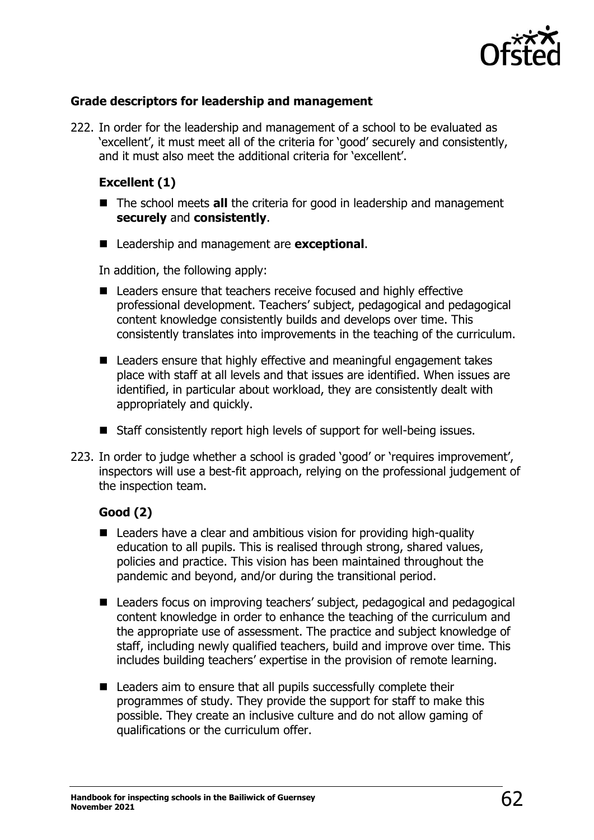

## **Grade descriptors for leadership and management**

222. In order for the leadership and management of a school to be evaluated as 'excellent', it must meet all of the criteria for 'good' securely and consistently, and it must also meet the additional criteria for 'excellent'.

### **Excellent (1)**

- The school meets **all** the criteria for good in leadership and management **securely** and **consistently**.
- Leadership and management are **exceptional**.

In addition, the following apply:

- Leaders ensure that teachers receive focused and highly effective professional development. Teachers' subject, pedagogical and pedagogical content knowledge consistently builds and develops over time. This consistently translates into improvements in the teaching of the curriculum.
- Leaders ensure that highly effective and meaningful engagement takes place with staff at all levels and that issues are identified. When issues are identified, in particular about workload, they are consistently dealt with appropriately and quickly.
- Staff consistently report high levels of support for well-being issues.
- 223. In order to judge whether a school is graded 'good' or 'requires improvement', inspectors will use a best-fit approach, relying on the professional judgement of the inspection team.

#### **Good (2)**

- Leaders have a clear and ambitious vision for providing high-quality education to all pupils. This is realised through strong, shared values, policies and practice. This vision has been maintained throughout the pandemic and beyond, and/or during the transitional period.
- Leaders focus on improving teachers' subject, pedagogical and pedagogical content knowledge in order to enhance the teaching of the curriculum and the appropriate use of assessment. The practice and subject knowledge of staff, including newly qualified teachers, build and improve over time. This includes building teachers' expertise in the provision of remote learning.
- Leaders aim to ensure that all pupils successfully complete their programmes of study. They provide the support for staff to make this possible. They create an inclusive culture and do not allow gaming of qualifications or the curriculum offer.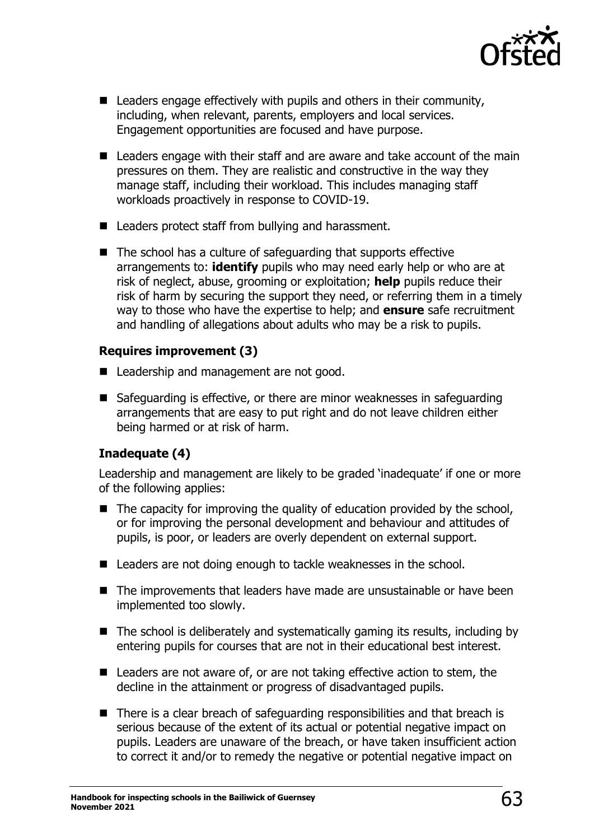

- $\blacksquare$  Leaders engage effectively with pupils and others in their community, including, when relevant, parents, employers and local services. Engagement opportunities are focused and have purpose.
- Leaders engage with their staff and are aware and take account of the main pressures on them. They are realistic and constructive in the way they manage staff, including their workload. This includes managing staff workloads proactively in response to COVID-19.
- Leaders protect staff from bullying and harassment.
- The school has a culture of safeguarding that supports effective arrangements to: **identify** pupils who may need early help or who are at risk of neglect, abuse, grooming or exploitation; **help** pupils reduce their risk of harm by securing the support they need, or referring them in a timely way to those who have the expertise to help; and **ensure** safe recruitment and handling of allegations about adults who may be a risk to pupils.

## **Requires improvement (3)**

- Leadership and management are not good.
- Safeguarding is effective, or there are minor weaknesses in safeguarding arrangements that are easy to put right and do not leave children either being harmed or at risk of harm.

## **Inadequate (4)**

Leadership and management are likely to be graded 'inadequate' if one or more of the following applies:

- $\blacksquare$  The capacity for improving the quality of education provided by the school, or for improving the personal development and behaviour and attitudes of pupils, is poor, or leaders are overly dependent on external support.
- Leaders are not doing enough to tackle weaknesses in the school.
- The improvements that leaders have made are unsustainable or have been implemented too slowly.
- The school is deliberately and systematically gaming its results, including by entering pupils for courses that are not in their educational best interest.
- Leaders are not aware of, or are not taking effective action to stem, the decline in the attainment or progress of disadvantaged pupils.
- There is a clear breach of safeguarding responsibilities and that breach is serious because of the extent of its actual or potential negative impact on pupils. Leaders are unaware of the breach, or have taken insufficient action to correct it and/or to remedy the negative or potential negative impact on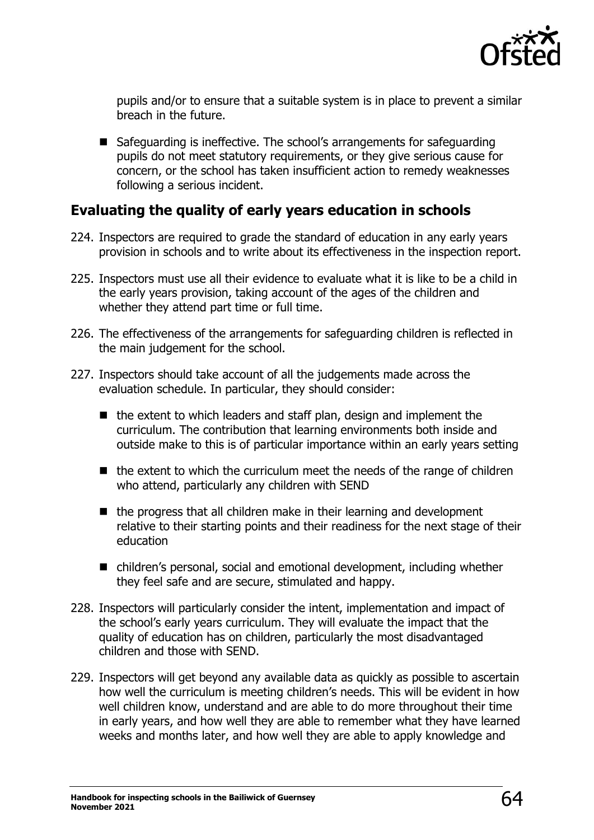

pupils and/or to ensure that a suitable system is in place to prevent a similar breach in the future.

■ Safeguarding is ineffective. The school's arrangements for safeguarding pupils do not meet statutory requirements, or they give serious cause for concern, or the school has taken insufficient action to remedy weaknesses following a serious incident.

## **Evaluating the quality of early years education in schools**

- 224. Inspectors are required to grade the standard of education in any early years provision in schools and to write about its effectiveness in the inspection report.
- 225. Inspectors must use all their evidence to evaluate what it is like to be a child in the early years provision, taking account of the ages of the children and whether they attend part time or full time.
- 226. The effectiveness of the arrangements for safeguarding children is reflected in the main judgement for the school.
- 227. Inspectors should take account of all the judgements made across the evaluation schedule. In particular, they should consider:
	- the extent to which leaders and staff plan, design and implement the curriculum. The contribution that learning environments both inside and outside make to this is of particular importance within an early years setting
	- $\blacksquare$  the extent to which the curriculum meet the needs of the range of children who attend, particularly any children with SEND
	- the progress that all children make in their learning and development relative to their starting points and their readiness for the next stage of their education
	- children's personal, social and emotional development, including whether they feel safe and are secure, stimulated and happy.
- 228. Inspectors will particularly consider the intent, implementation and impact of the school's early years curriculum. They will evaluate the impact that the quality of education has on children, particularly the most disadvantaged children and those with SEND.
- 229. Inspectors will get beyond any available data as quickly as possible to ascertain how well the curriculum is meeting children's needs. This will be evident in how well children know, understand and are able to do more throughout their time in early years, and how well they are able to remember what they have learned weeks and months later, and how well they are able to apply knowledge and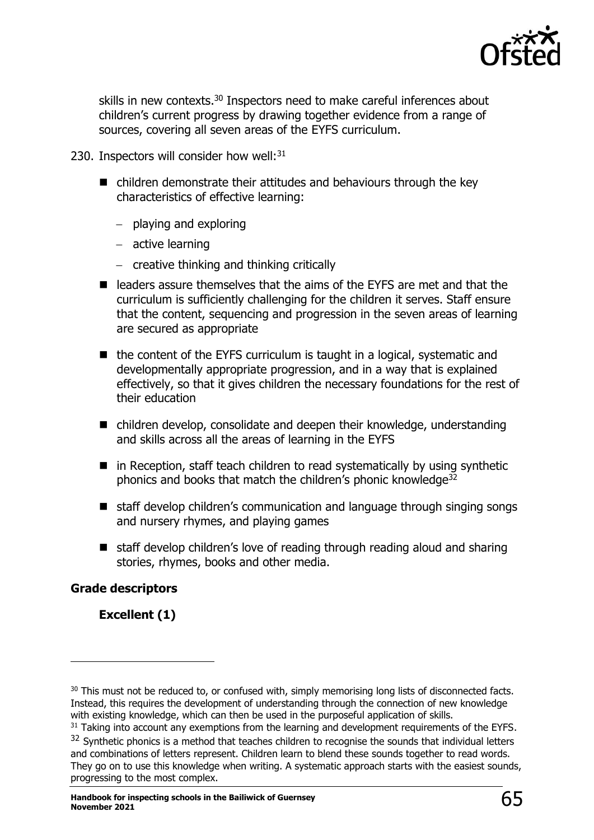

skills in new contexts.<sup>30</sup> Inspectors need to make careful inferences about children's current progress by drawing together evidence from a range of sources, covering all seven areas of the EYFS curriculum.

- 230. Inspectors will consider how well: $31$ 
	- children demonstrate their attitudes and behaviours through the key characteristics of effective learning:
		- − playing and exploring
		- − active learning
		- − creative thinking and thinking critically
	- leaders assure themselves that the aims of the EYFS are met and that the curriculum is sufficiently challenging for the children it serves. Staff ensure that the content, sequencing and progression in the seven areas of learning are secured as appropriate
	- the content of the EYFS curriculum is taught in a logical, systematic and developmentally appropriate progression, and in a way that is explained effectively, so that it gives children the necessary foundations for the rest of their education
	- children develop, consolidate and deepen their knowledge, understanding and skills across all the areas of learning in the EYFS
	- in Reception, staff teach children to read systematically by using synthetic phonics and books that match the children's phonic knowledge<sup>32</sup>
	- staff develop children's communication and language through singing songs and nursery rhymes, and playing games
	- staff develop children's love of reading through reading aloud and sharing stories, rhymes, books and other media.

## **Grade descriptors**

**Excellent (1)**

<sup>&</sup>lt;sup>30</sup> This must not be reduced to, or confused with, simply memorising long lists of disconnected facts. Instead, this requires the development of understanding through the connection of new knowledge with existing knowledge, which can then be used in the purposeful application of skills.

<sup>&</sup>lt;sup>31</sup> Taking into account any exemptions from the learning and development requirements of the EYFS.

<sup>&</sup>lt;sup>32</sup> Synthetic phonics is a method that teaches children to recognise the sounds that individual letters and combinations of letters represent. Children learn to blend these sounds together to read words. They go on to use this knowledge when writing. A systematic approach starts with the easiest sounds, progressing to the most complex.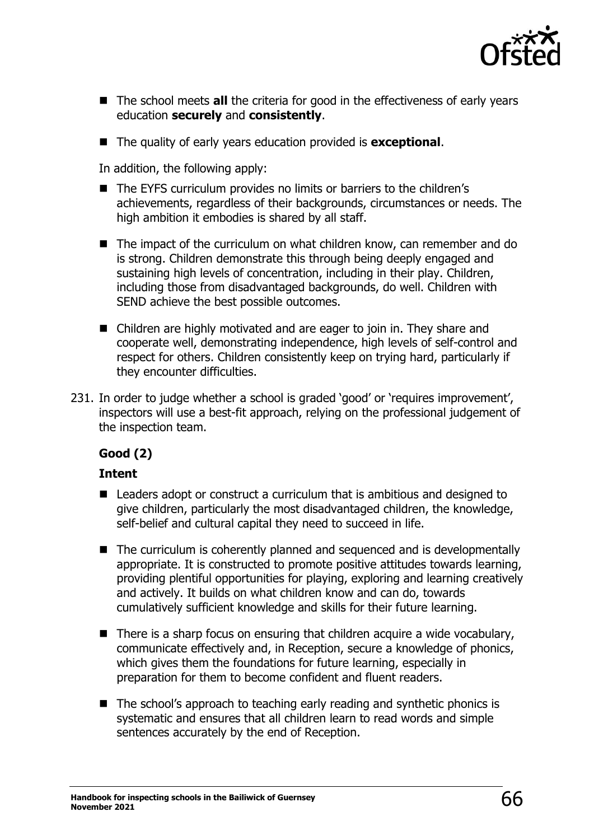

- The school meets **all** the criteria for good in the effectiveness of early years education **securely** and **consistently**.
- The quality of early years education provided is **exceptional**.

In addition, the following apply:

- The EYFS curriculum provides no limits or barriers to the children's achievements, regardless of their backgrounds, circumstances or needs. The high ambition it embodies is shared by all staff.
- The impact of the curriculum on what children know, can remember and do is strong. Children demonstrate this through being deeply engaged and sustaining high levels of concentration, including in their play. Children, including those from disadvantaged backgrounds, do well. Children with SEND achieve the best possible outcomes.
- Children are highly motivated and are eager to join in. They share and cooperate well, demonstrating independence, high levels of self-control and respect for others. Children consistently keep on trying hard, particularly if they encounter difficulties.
- 231. In order to judge whether a school is graded 'good' or 'requires improvement', inspectors will use a best-fit approach, relying on the professional judgement of the inspection team.

## **Good (2)**

## **Intent**

- Leaders adopt or construct a curriculum that is ambitious and designed to give children, particularly the most disadvantaged children, the knowledge, self-belief and cultural capital they need to succeed in life.
- The curriculum is coherently planned and sequenced and is developmentally appropriate. It is constructed to promote positive attitudes towards learning, providing plentiful opportunities for playing, exploring and learning creatively and actively. It builds on what children know and can do, towards cumulatively sufficient knowledge and skills for their future learning.
- $\blacksquare$  There is a sharp focus on ensuring that children acquire a wide vocabulary, communicate effectively and, in Reception, secure a knowledge of phonics, which gives them the foundations for future learning, especially in preparation for them to become confident and fluent readers.
- The school's approach to teaching early reading and synthetic phonics is systematic and ensures that all children learn to read words and simple sentences accurately by the end of Reception.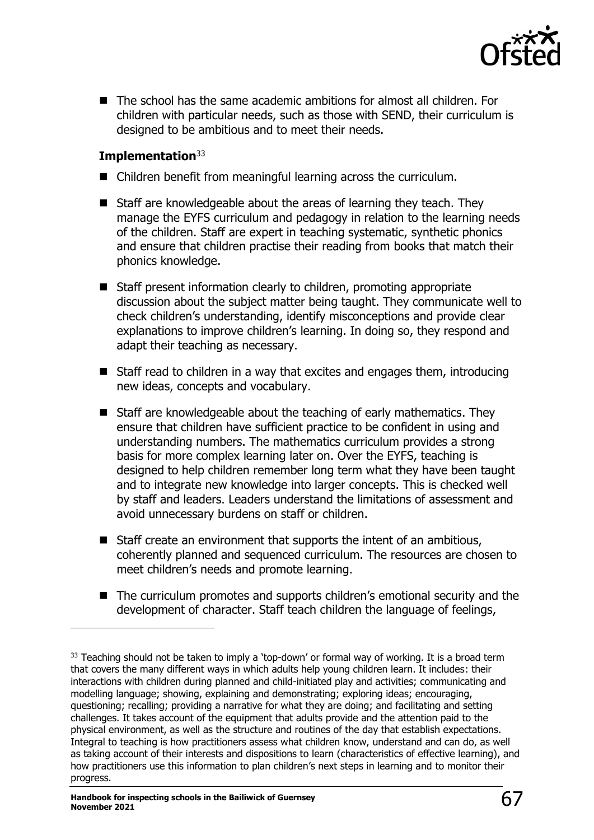

■ The school has the same academic ambitions for almost all children. For children with particular needs, such as those with SEND, their curriculum is designed to be ambitious and to meet their needs.

## **Implementation**<sup>33</sup>

- Children benefit from meaningful learning across the curriculum.
- Staff are knowledgeable about the areas of learning they teach. They manage the EYFS curriculum and pedagogy in relation to the learning needs of the children. Staff are expert in teaching systematic, synthetic phonics and ensure that children practise their reading from books that match their phonics knowledge.
- Staff present information clearly to children, promoting appropriate discussion about the subject matter being taught. They communicate well to check children's understanding, identify misconceptions and provide clear explanations to improve children's learning. In doing so, they respond and adapt their teaching as necessary.
- Staff read to children in a way that excites and engages them, introducing new ideas, concepts and vocabulary.
- Staff are knowledgeable about the teaching of early mathematics. They ensure that children have sufficient practice to be confident in using and understanding numbers. The mathematics curriculum provides a strong basis for more complex learning later on. Over the EYFS, teaching is designed to help children remember long term what they have been taught and to integrate new knowledge into larger concepts. This is checked well by staff and leaders. Leaders understand the limitations of assessment and avoid unnecessary burdens on staff or children.
- Staff create an environment that supports the intent of an ambitious, coherently planned and sequenced curriculum. The resources are chosen to meet children's needs and promote learning.
- The curriculum promotes and supports children's emotional security and the development of character. Staff teach children the language of feelings,

 $33$  Teaching should not be taken to imply a 'top-down' or formal way of working. It is a broad term that covers the many different ways in which adults help young children learn. It includes: their interactions with children during planned and child-initiated play and activities; communicating and modelling language; showing, explaining and demonstrating; exploring ideas; encouraging, questioning; recalling; providing a narrative for what they are doing; and facilitating and setting challenges. It takes account of the equipment that adults provide and the attention paid to the physical environment, as well as the structure and routines of the day that establish expectations. Integral to teaching is how practitioners assess what children know, understand and can do, as well as taking account of their interests and dispositions to learn (characteristics of effective learning), and how practitioners use this information to plan children's next steps in learning and to monitor their progress.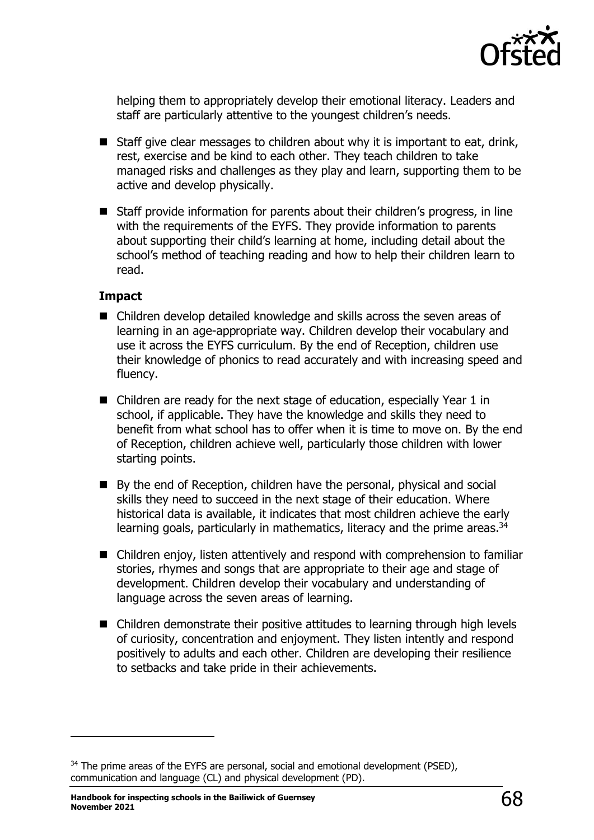

helping them to appropriately develop their emotional literacy. Leaders and staff are particularly attentive to the youngest children's needs.

- Staff give clear messages to children about why it is important to eat, drink, rest, exercise and be kind to each other. They teach children to take managed risks and challenges as they play and learn, supporting them to be active and develop physically.
- Staff provide information for parents about their children's progress, in line with the requirements of the EYFS. They provide information to parents about supporting their child's learning at home, including detail about the school's method of teaching reading and how to help their children learn to read.

### **Impact**

- Children develop detailed knowledge and skills across the seven areas of learning in an age-appropriate way. Children develop their vocabulary and use it across the EYFS curriculum. By the end of Reception, children use their knowledge of phonics to read accurately and with increasing speed and fluency.
- Children are ready for the next stage of education, especially Year 1 in school, if applicable. They have the knowledge and skills they need to benefit from what school has to offer when it is time to move on. By the end of Reception, children achieve well, particularly those children with lower starting points.
- By the end of Reception, children have the personal, physical and social skills they need to succeed in the next stage of their education. Where historical data is available, it indicates that most children achieve the early learning goals, particularly in mathematics, literacy and the prime areas.<sup>34</sup>
- Children enjoy, listen attentively and respond with comprehension to familiar stories, rhymes and songs that are appropriate to their age and stage of development. Children develop their vocabulary and understanding of language across the seven areas of learning.
- Children demonstrate their positive attitudes to learning through high levels of curiosity, concentration and enjoyment. They listen intently and respond positively to adults and each other. Children are developing their resilience to setbacks and take pride in their achievements.

<sup>&</sup>lt;sup>34</sup> The prime areas of the EYFS are personal, social and emotional development (PSED), communication and language (CL) and physical development (PD).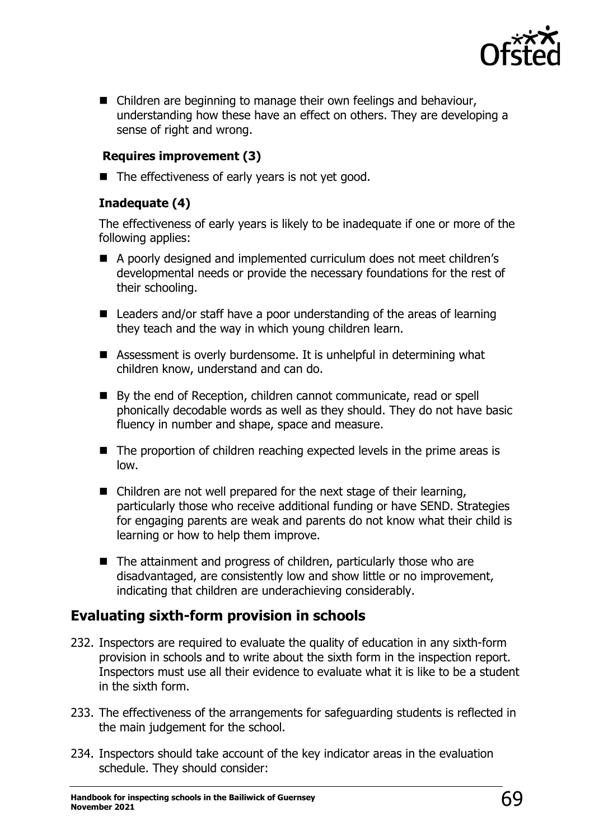

■ Children are beginning to manage their own feelings and behaviour, understanding how these have an effect on others. They are developing a sense of right and wrong.

## **Requires improvement (3)**

■ The effectiveness of early years is not yet good.

## **Inadequate (4)**

The effectiveness of early years is likely to be inadequate if one or more of the following applies:

- A poorly designed and implemented curriculum does not meet children's developmental needs or provide the necessary foundations for the rest of their schooling.
- Leaders and/or staff have a poor understanding of the areas of learning they teach and the way in which young children learn.
- Assessment is overly burdensome. It is unhelpful in determining what children know, understand and can do.
- By the end of Reception, children cannot communicate, read or spell phonically decodable words as well as they should. They do not have basic fluency in number and shape, space and measure.
- The proportion of children reaching expected levels in the prime areas is low.
- Children are not well prepared for the next stage of their learning, particularly those who receive additional funding or have SEND. Strategies for engaging parents are weak and parents do not know what their child is learning or how to help them improve.
- The attainment and progress of children, particularly those who are disadvantaged, are consistently low and show little or no improvement, indicating that children are underachieving considerably.

# **Evaluating sixth-form provision in schools**

- 232. Inspectors are required to evaluate the quality of education in any sixth-form provision in schools and to write about the sixth form in the inspection report. Inspectors must use all their evidence to evaluate what it is like to be a student in the sixth form.
- 233. The effectiveness of the arrangements for safeguarding students is reflected in the main judgement for the school.
- 234. Inspectors should take account of the key indicator areas in the evaluation schedule. They should consider: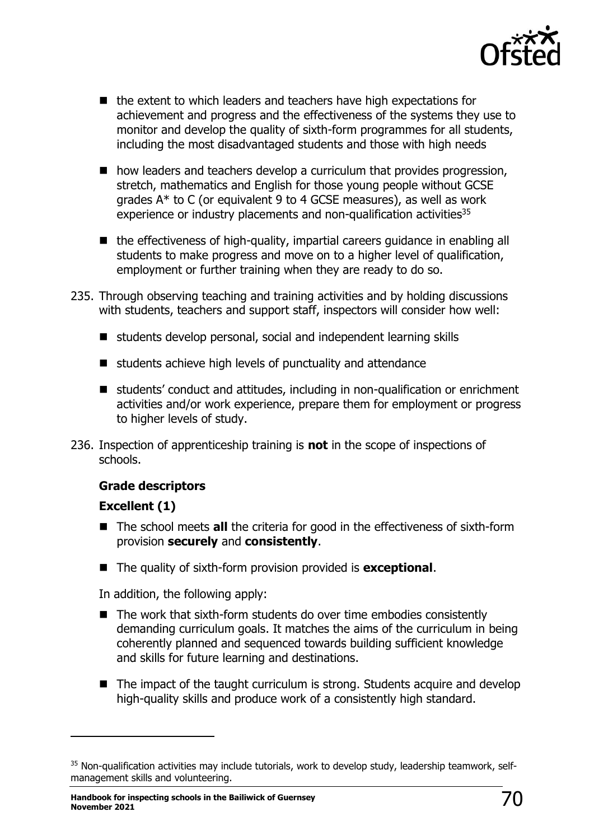

- the extent to which leaders and teachers have high expectations for achievement and progress and the effectiveness of the systems they use to monitor and develop the quality of sixth-form programmes for all students, including the most disadvantaged students and those with high needs
- how leaders and teachers develop a curriculum that provides progression, stretch, mathematics and English for those young people without GCSE grades A\* to C (or equivalent 9 to 4 GCSE measures), as well as work experience or industry placements and non-qualification activities<sup>35</sup>
- the effectiveness of high-quality, impartial careers quidance in enabling all students to make progress and move on to a higher level of qualification, employment or further training when they are ready to do so.
- 235. Through observing teaching and training activities and by holding discussions with students, teachers and support staff, inspectors will consider how well:
	- students develop personal, social and independent learning skills
	- students achieve high levels of punctuality and attendance
	- students' conduct and attitudes, including in non-qualification or enrichment activities and/or work experience, prepare them for employment or progress to higher levels of study.
- 236. Inspection of apprenticeship training is **not** in the scope of inspections of schools.

## **Grade descriptors**

## **Excellent (1)**

- The school meets **all** the criteria for good in the effectiveness of sixth-form provision **securely** and **consistently**.
- The quality of sixth-form provision provided is **exceptional**.

In addition, the following apply:

- The work that sixth-form students do over time embodies consistently demanding curriculum goals. It matches the aims of the curriculum in being coherently planned and sequenced towards building sufficient knowledge and skills for future learning and destinations.
- The impact of the taught curriculum is strong. Students acquire and develop high-quality skills and produce work of a consistently high standard.

<sup>35</sup> Non-qualification activities may include tutorials, work to develop study, leadership teamwork, selfmanagement skills and volunteering.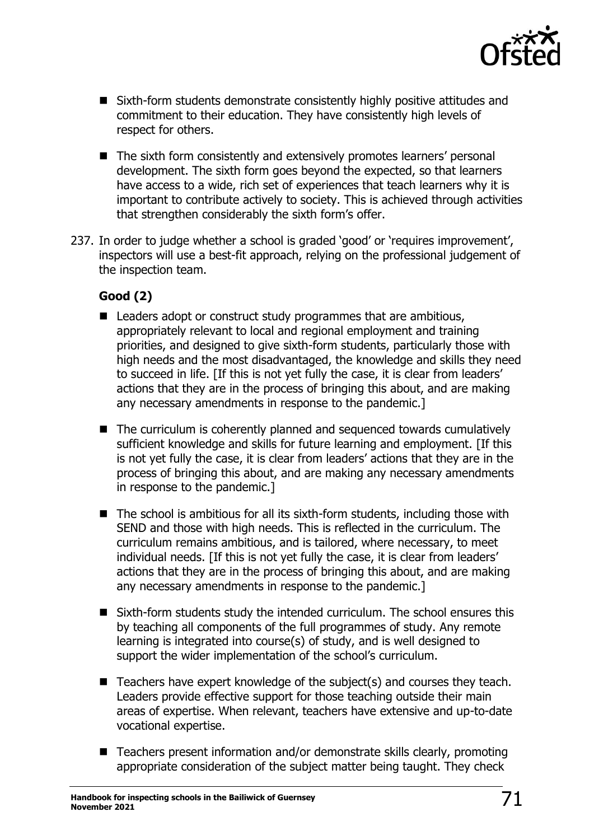

- Sixth-form students demonstrate consistently highly positive attitudes and commitment to their education. They have consistently high levels of respect for others.
- The sixth form consistently and extensively promotes learners' personal development. The sixth form goes beyond the expected, so that learners have access to a wide, rich set of experiences that teach learners why it is important to contribute actively to society. This is achieved through activities that strengthen considerably the sixth form's offer.
- 237. In order to judge whether a school is graded 'good' or 'requires improvement', inspectors will use a best-fit approach, relying on the professional judgement of the inspection team.

## **Good (2)**

- Leaders adopt or construct study programmes that are ambitious, appropriately relevant to local and regional employment and training priorities, and designed to give sixth-form students, particularly those with high needs and the most disadvantaged, the knowledge and skills they need to succeed in life. [If this is not yet fully the case, it is clear from leaders' actions that they are in the process of bringing this about, and are making any necessary amendments in response to the pandemic.]
- The curriculum is coherently planned and sequenced towards cumulatively sufficient knowledge and skills for future learning and employment. [If this is not yet fully the case, it is clear from leaders' actions that they are in the process of bringing this about, and are making any necessary amendments in response to the pandemic.]
- The school is ambitious for all its sixth-form students, including those with SEND and those with high needs. This is reflected in the curriculum. The curriculum remains ambitious, and is tailored, where necessary, to meet individual needs. [If this is not yet fully the case, it is clear from leaders' actions that they are in the process of bringing this about, and are making any necessary amendments in response to the pandemic.]
- Sixth-form students study the intended curriculum. The school ensures this by teaching all components of the full programmes of study. Any remote learning is integrated into course(s) of study, and is well designed to support the wider implementation of the school's curriculum.
- Teachers have expert knowledge of the subject(s) and courses they teach. Leaders provide effective support for those teaching outside their main areas of expertise. When relevant, teachers have extensive and up-to-date vocational expertise.
- Teachers present information and/or demonstrate skills clearly, promoting appropriate consideration of the subject matter being taught. They check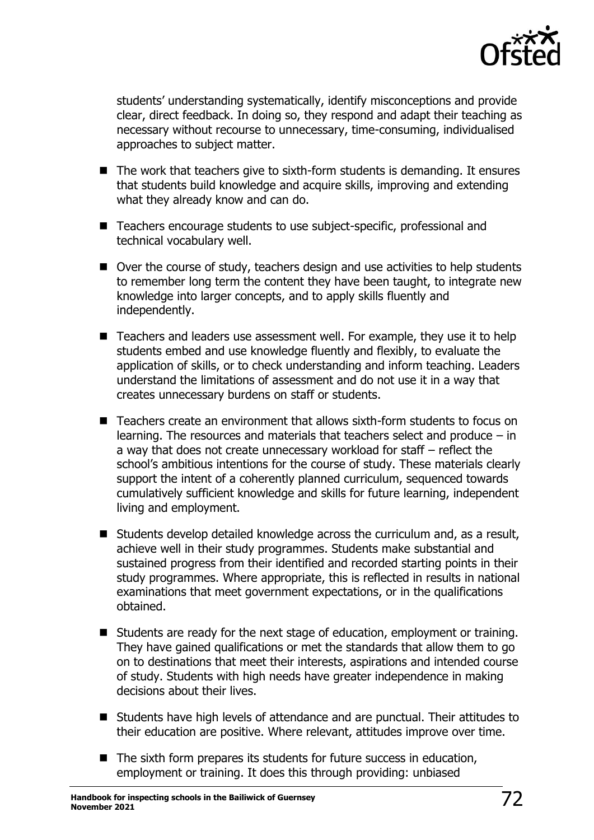

students' understanding systematically, identify misconceptions and provide clear, direct feedback. In doing so, they respond and adapt their teaching as necessary without recourse to unnecessary, time-consuming, individualised approaches to subject matter.

- The work that teachers give to sixth-form students is demanding. It ensures that students build knowledge and acquire skills, improving and extending what they already know and can do.
- Teachers encourage students to use subject-specific, professional and technical vocabulary well.
- Over the course of study, teachers design and use activities to help students to remember long term the content they have been taught, to integrate new knowledge into larger concepts, and to apply skills fluently and independently.
- Teachers and leaders use assessment well. For example, they use it to help students embed and use knowledge fluently and flexibly, to evaluate the application of skills, or to check understanding and inform teaching. Leaders understand the limitations of assessment and do not use it in a way that creates unnecessary burdens on staff or students.
- Teachers create an environment that allows sixth-form students to focus on learning. The resources and materials that teachers select and produce – in a way that does not create unnecessary workload for staff – reflect the school's ambitious intentions for the course of study. These materials clearly support the intent of a coherently planned curriculum, sequenced towards cumulatively sufficient knowledge and skills for future learning, independent living and employment.
- Students develop detailed knowledge across the curriculum and, as a result, achieve well in their study programmes. Students make substantial and sustained progress from their identified and recorded starting points in their study programmes. Where appropriate, this is reflected in results in national examinations that meet government expectations, or in the qualifications obtained.
- Students are ready for the next stage of education, employment or training. They have gained qualifications or met the standards that allow them to go on to destinations that meet their interests, aspirations and intended course of study. Students with high needs have greater independence in making decisions about their lives.
- Students have high levels of attendance and are punctual. Their attitudes to their education are positive. Where relevant, attitudes improve over time.
- The sixth form prepares its students for future success in education, employment or training. It does this through providing: unbiased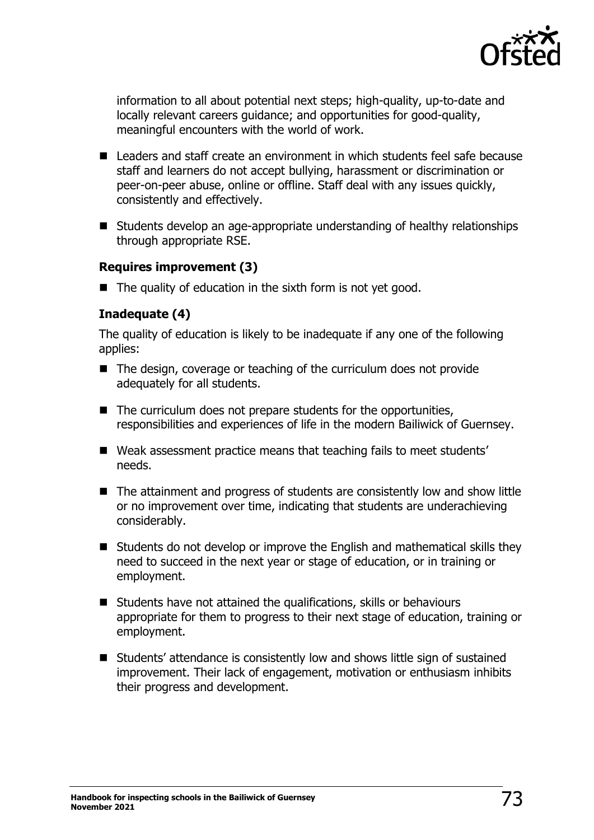

information to all about potential next steps; high-quality, up-to-date and locally relevant careers guidance; and opportunities for good-quality, meaningful encounters with the world of work.

- Leaders and staff create an environment in which students feel safe because staff and learners do not accept bullying, harassment or discrimination or peer-on-peer abuse, online or offline. Staff deal with any issues quickly, consistently and effectively.
- Students develop an age-appropriate understanding of healthy relationships through appropriate RSE.

#### **Requires improvement (3)**

■ The quality of education in the sixth form is not yet good.

#### **Inadequate (4)**

The quality of education is likely to be inadequate if any one of the following applies:

- The design, coverage or teaching of the curriculum does not provide adequately for all students.
- The curriculum does not prepare students for the opportunities, responsibilities and experiences of life in the modern Bailiwick of Guernsey.
- Weak assessment practice means that teaching fails to meet students' needs.
- The attainment and progress of students are consistently low and show little or no improvement over time, indicating that students are underachieving considerably.
- Students do not develop or improve the English and mathematical skills they need to succeed in the next year or stage of education, or in training or employment.
- Students have not attained the qualifications, skills or behaviours appropriate for them to progress to their next stage of education, training or employment.
- Students' attendance is consistently low and shows little sign of sustained improvement. Their lack of engagement, motivation or enthusiasm inhibits their progress and development.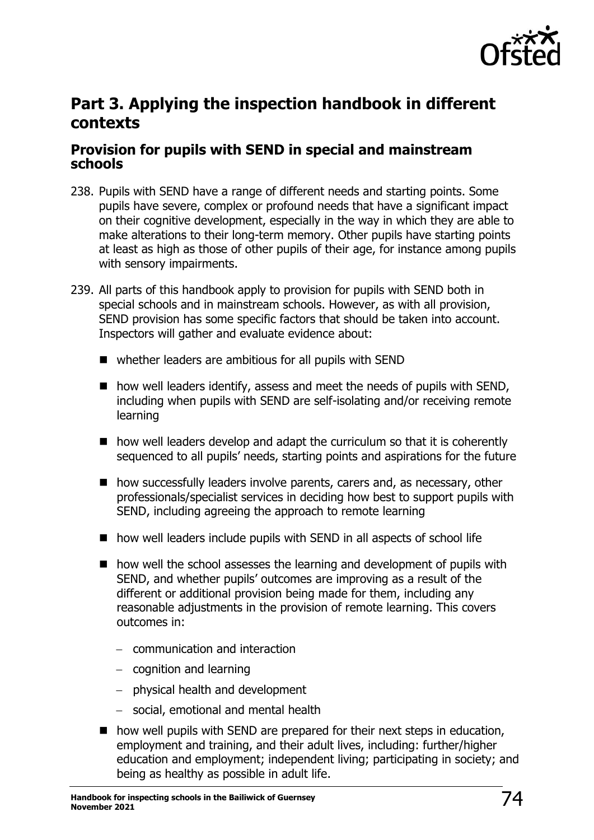

# **Part 3. Applying the inspection handbook in different contexts**

## **Provision for pupils with SEND in special and mainstream schools**

- 238. Pupils with SEND have a range of different needs and starting points. Some pupils have severe, complex or profound needs that have a significant impact on their cognitive development, especially in the way in which they are able to make alterations to their long-term memory. Other pupils have starting points at least as high as those of other pupils of their age, for instance among pupils with sensory impairments.
- 239. All parts of this handbook apply to provision for pupils with SEND both in special schools and in mainstream schools. However, as with all provision, SEND provision has some specific factors that should be taken into account. Inspectors will gather and evaluate evidence about:
	- whether leaders are ambitious for all pupils with SEND
	- how well leaders identify, assess and meet the needs of pupils with SEND, including when pupils with SEND are self-isolating and/or receiving remote learning
	- how well leaders develop and adapt the curriculum so that it is coherently sequenced to all pupils' needs, starting points and aspirations for the future
	- how successfully leaders involve parents, carers and, as necessary, other professionals/specialist services in deciding how best to support pupils with SEND, including agreeing the approach to remote learning
	- how well leaders include pupils with SEND in all aspects of school life
	- how well the school assesses the learning and development of pupils with SEND, and whether pupils' outcomes are improving as a result of the different or additional provision being made for them, including any reasonable adjustments in the provision of remote learning. This covers outcomes in:
		- − communication and interaction
		- − cognition and learning
		- − physical health and development
		- − social, emotional and mental health
	- how well pupils with SEND are prepared for their next steps in education, employment and training, and their adult lives, including: further/higher education and employment; independent living; participating in society; and being as healthy as possible in adult life.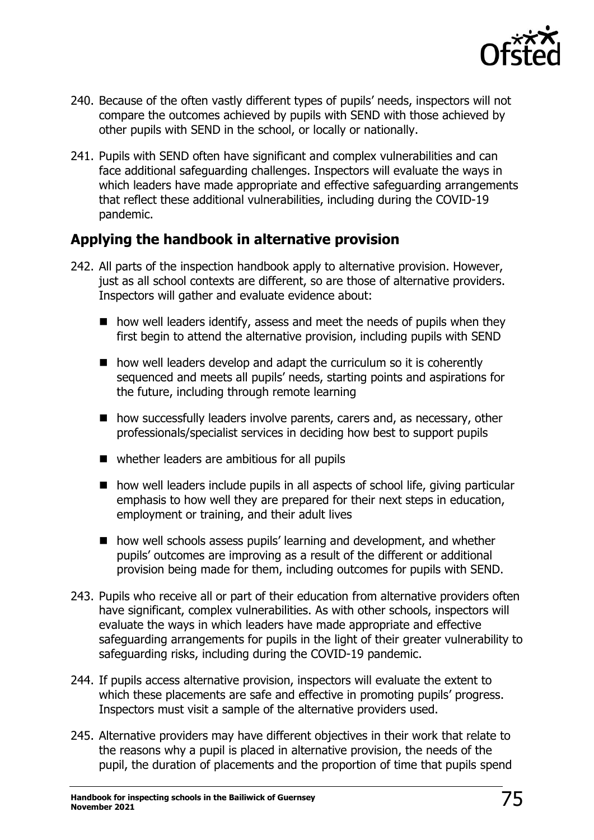

- 240. Because of the often vastly different types of pupils' needs, inspectors will not compare the outcomes achieved by pupils with SEND with those achieved by other pupils with SEND in the school, or locally or nationally.
- 241. Pupils with SEND often have significant and complex vulnerabilities and can face additional safeguarding challenges. Inspectors will evaluate the ways in which leaders have made appropriate and effective safeguarding arrangements that reflect these additional vulnerabilities, including during the COVID-19 pandemic.

## **Applying the handbook in alternative provision**

- 242. All parts of the inspection handbook apply to alternative provision. However, just as all school contexts are different, so are those of alternative providers. Inspectors will gather and evaluate evidence about:
	- how well leaders identify, assess and meet the needs of pupils when they first begin to attend the alternative provision, including pupils with SEND
	- how well leaders develop and adapt the curriculum so it is coherently sequenced and meets all pupils' needs, starting points and aspirations for the future, including through remote learning
	- how successfully leaders involve parents, carers and, as necessary, other professionals/specialist services in deciding how best to support pupils
	- whether leaders are ambitious for all pupils
	- how well leaders include pupils in all aspects of school life, giving particular emphasis to how well they are prepared for their next steps in education, employment or training, and their adult lives
	- how well schools assess pupils' learning and development, and whether pupils' outcomes are improving as a result of the different or additional provision being made for them, including outcomes for pupils with SEND.
- 243. Pupils who receive all or part of their education from alternative providers often have significant, complex vulnerabilities. As with other schools, inspectors will evaluate the ways in which leaders have made appropriate and effective safeguarding arrangements for pupils in the light of their greater vulnerability to safeguarding risks, including during the COVID-19 pandemic.
- 244. If pupils access alternative provision, inspectors will evaluate the extent to which these placements are safe and effective in promoting pupils' progress. Inspectors must visit a sample of the alternative providers used.
- 245. Alternative providers may have different objectives in their work that relate to the reasons why a pupil is placed in alternative provision, the needs of the pupil, the duration of placements and the proportion of time that pupils spend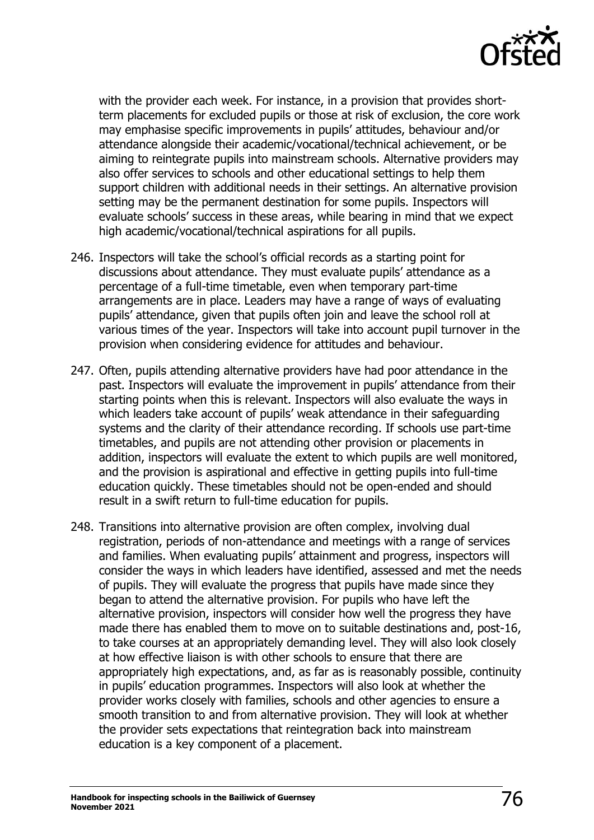

with the provider each week. For instance, in a provision that provides shortterm placements for excluded pupils or those at risk of exclusion, the core work may emphasise specific improvements in pupils' attitudes, behaviour and/or attendance alongside their academic/vocational/technical achievement, or be aiming to reintegrate pupils into mainstream schools. Alternative providers may also offer services to schools and other educational settings to help them support children with additional needs in their settings. An alternative provision setting may be the permanent destination for some pupils. Inspectors will evaluate schools' success in these areas, while bearing in mind that we expect high academic/vocational/technical aspirations for all pupils.

- 246. Inspectors will take the school's official records as a starting point for discussions about attendance. They must evaluate pupils' attendance as a percentage of a full-time timetable, even when temporary part-time arrangements are in place. Leaders may have a range of ways of evaluating pupils' attendance, given that pupils often join and leave the school roll at various times of the year. Inspectors will take into account pupil turnover in the provision when considering evidence for attitudes and behaviour.
- 247. Often, pupils attending alternative providers have had poor attendance in the past. Inspectors will evaluate the improvement in pupils' attendance from their starting points when this is relevant. Inspectors will also evaluate the ways in which leaders take account of pupils' weak attendance in their safeguarding systems and the clarity of their attendance recording. If schools use part-time timetables, and pupils are not attending other provision or placements in addition, inspectors will evaluate the extent to which pupils are well monitored, and the provision is aspirational and effective in getting pupils into full-time education quickly. These timetables should not be open-ended and should result in a swift return to full-time education for pupils.
- 248. Transitions into alternative provision are often complex, involving dual registration, periods of non-attendance and meetings with a range of services and families. When evaluating pupils' attainment and progress, inspectors will consider the ways in which leaders have identified, assessed and met the needs of pupils. They will evaluate the progress that pupils have made since they began to attend the alternative provision. For pupils who have left the alternative provision, inspectors will consider how well the progress they have made there has enabled them to move on to suitable destinations and, post-16, to take courses at an appropriately demanding level. They will also look closely at how effective liaison is with other schools to ensure that there are appropriately high expectations, and, as far as is reasonably possible, continuity in pupils' education programmes. Inspectors will also look at whether the provider works closely with families, schools and other agencies to ensure a smooth transition to and from alternative provision. They will look at whether the provider sets expectations that reintegration back into mainstream education is a key component of a placement.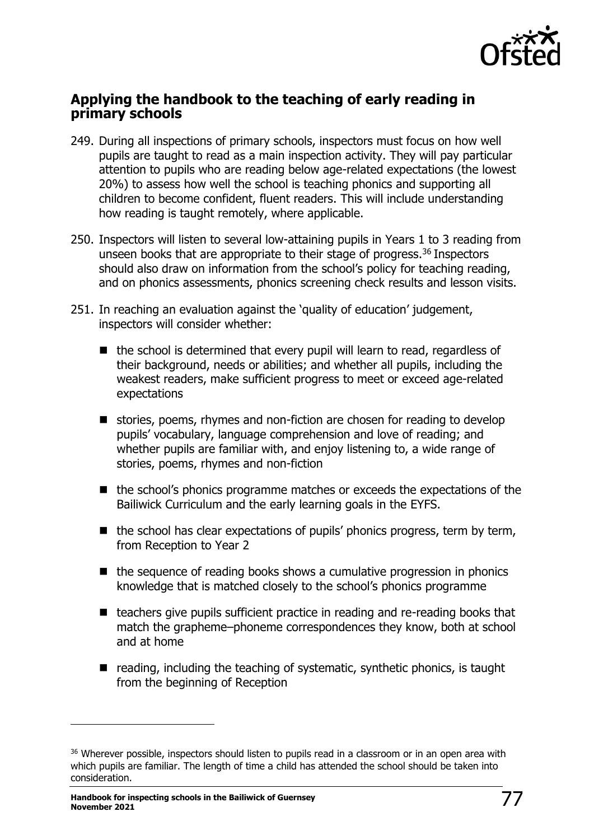

### **Applying the handbook to the teaching of early reading in primary schools**

- 249. During all inspections of primary schools, inspectors must focus on how well pupils are taught to read as a main inspection activity. They will pay particular attention to pupils who are reading below age-related expectations (the lowest 20%) to assess how well the school is teaching phonics and supporting all children to become confident, fluent readers. This will include understanding how reading is taught remotely, where applicable.
- 250. Inspectors will listen to several low-attaining pupils in Years 1 to 3 reading from unseen books that are appropriate to their stage of progress.<sup>36</sup> Inspectors should also draw on information from the school's policy for teaching reading, and on phonics assessments, phonics screening check results and lesson visits.
- 251. In reaching an evaluation against the 'quality of education' judgement, inspectors will consider whether:
	- the school is determined that every pupil will learn to read, regardless of their background, needs or abilities; and whether all pupils, including the weakest readers, make sufficient progress to meet or exceed age-related expectations
	- stories, poems, rhymes and non-fiction are chosen for reading to develop pupils' vocabulary, language comprehension and love of reading; and whether pupils are familiar with, and enjoy listening to, a wide range of stories, poems, rhymes and non-fiction
	- the school's phonics programme matches or exceeds the expectations of the Bailiwick Curriculum and the early learning goals in the EYFS.
	- $\blacksquare$  the school has clear expectations of pupils' phonics progress, term by term, from Reception to Year 2
	- the sequence of reading books shows a cumulative progression in phonics knowledge that is matched closely to the school's phonics programme
	- teachers give pupils sufficient practice in reading and re-reading books that match the grapheme–phoneme correspondences they know, both at school and at home
	- $\blacksquare$  reading, including the teaching of systematic, synthetic phonics, is taught from the beginning of Reception

<sup>&</sup>lt;sup>36</sup> Wherever possible, inspectors should listen to pupils read in a classroom or in an open area with which pupils are familiar. The length of time a child has attended the school should be taken into consideration.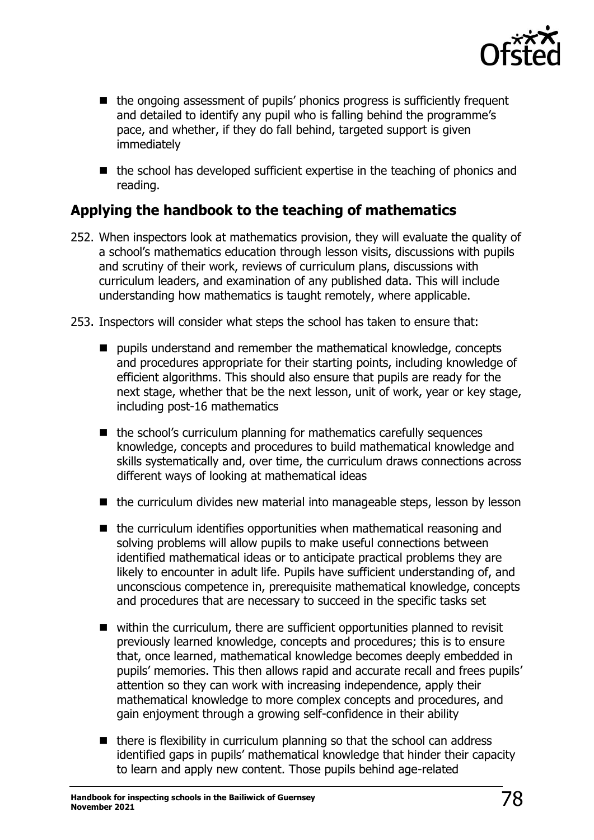

- the ongoing assessment of pupils' phonics progress is sufficiently frequent and detailed to identify any pupil who is falling behind the programme's pace, and whether, if they do fall behind, targeted support is given immediately
- the school has developed sufficient expertise in the teaching of phonics and reading.

# **Applying the handbook to the teaching of mathematics**

- 252. When inspectors look at mathematics provision, they will evaluate the quality of a school's mathematics education through lesson visits, discussions with pupils and scrutiny of their work, reviews of curriculum plans, discussions with curriculum leaders, and examination of any published data. This will include understanding how mathematics is taught remotely, where applicable.
- 253. Inspectors will consider what steps the school has taken to ensure that:
	- pupils understand and remember the mathematical knowledge, concepts and procedures appropriate for their starting points, including knowledge of efficient algorithms. This should also ensure that pupils are ready for the next stage, whether that be the next lesson, unit of work, year or key stage, including post-16 mathematics
	- the school's curriculum planning for mathematics carefully sequences knowledge, concepts and procedures to build mathematical knowledge and skills systematically and, over time, the curriculum draws connections across different ways of looking at mathematical ideas
	- the curriculum divides new material into manageable steps, lesson by lesson
	- the curriculum identifies opportunities when mathematical reasoning and solving problems will allow pupils to make useful connections between identified mathematical ideas or to anticipate practical problems they are likely to encounter in adult life. Pupils have sufficient understanding of, and unconscious competence in, prerequisite mathematical knowledge, concepts and procedures that are necessary to succeed in the specific tasks set
	- within the curriculum, there are sufficient opportunities planned to revisit previously learned knowledge, concepts and procedures; this is to ensure that, once learned, mathematical knowledge becomes deeply embedded in pupils' memories. This then allows rapid and accurate recall and frees pupils' attention so they can work with increasing independence, apply their mathematical knowledge to more complex concepts and procedures, and gain enjoyment through a growing self-confidence in their ability
	- there is flexibility in curriculum planning so that the school can address identified gaps in pupils' mathematical knowledge that hinder their capacity to learn and apply new content. Those pupils behind age-related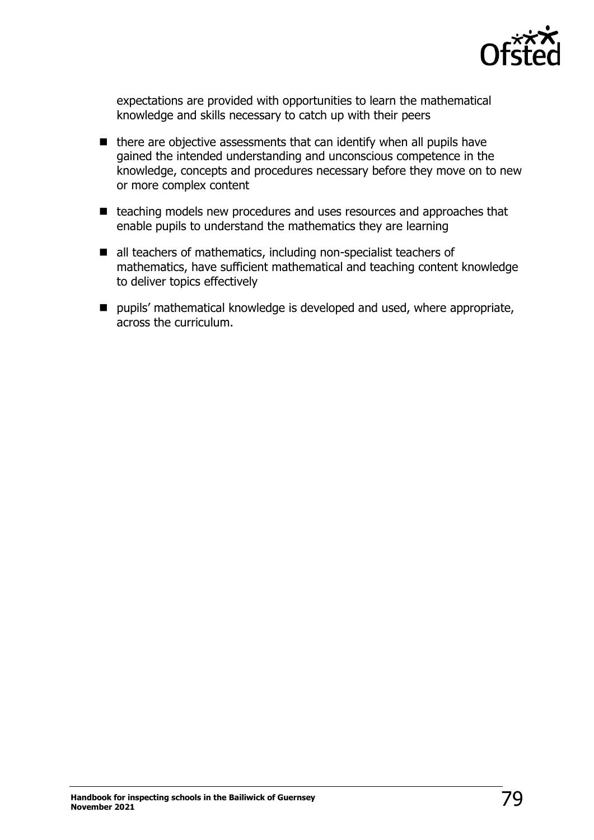

expectations are provided with opportunities to learn the mathematical knowledge and skills necessary to catch up with their peers

- there are objective assessments that can identify when all pupils have gained the intended understanding and unconscious competence in the knowledge, concepts and procedures necessary before they move on to new or more complex content
- teaching models new procedures and uses resources and approaches that enable pupils to understand the mathematics they are learning
- all teachers of mathematics, including non-specialist teachers of mathematics, have sufficient mathematical and teaching content knowledge to deliver topics effectively
- pupils' mathematical knowledge is developed and used, where appropriate, across the curriculum.